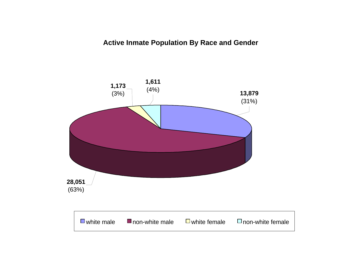**Active Inmate Population By Race and Gender**

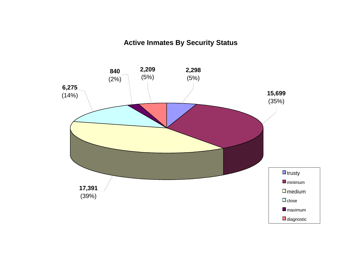# **Active Inmates By Security Status**

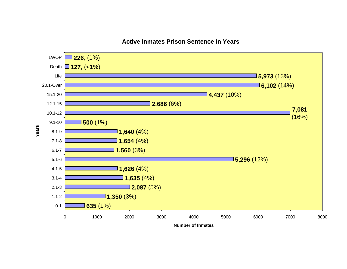

## **Active Inmates Prison Sentence In Years**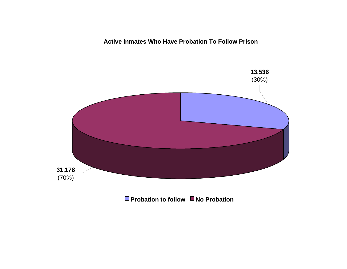**Active Inmates Who Have Probation To Follow Prison**

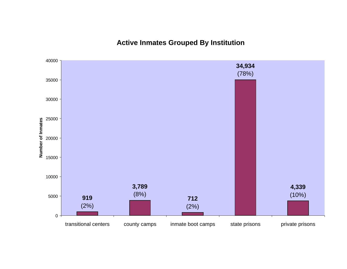**Active Inmates Grouped By Institution**

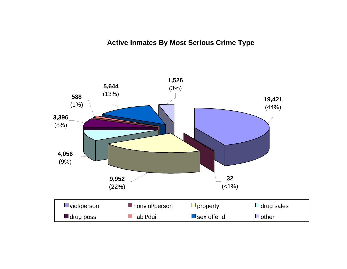# **Active Inmates By Most Serious Crime Type**

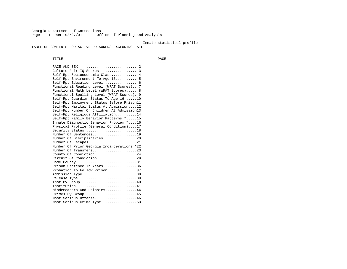Georgia Department of Corrections Page 1 Run 02/27/01 Office of Planning and Analysis

#### Inmate statistical profile

TABLE OF CONTENTS FOR ACTIVE PRISONERS EXCLUDING JAIL

 TITLE PAGE ----- ---- RACE AND SEX............................ 2 Culture Fair IQ Scores.................. 3 Self-Rpt Socioeconomic Class............ 4 Self-Rpt Environment To Age 16.......... 5 Self-Rpt Education Level................ 6 Functional Reading Level (WRAT Scores).. 7 Functional Math Level (WRAT Scores)..... 8 Functional Spelling Level (WRAT Scores). 9 Self-Rpt Guardian Status To Age 16......10 Self-Rpt Employment Status Before Prison11 Self-Rpt Marital Status At Admission....12 Self-Rpt Number Of Children At Admission13 Self-Rpt Religious Affiliation..........14 Self-Rpt Family Behavior Patterns \*.....15 Inmate Diagnostic Behavior Problem \*....16 Physical Profile (General Condition)....17 Security Status...........................18 Number Of Sentences.....................19 Number Of Disciplinaries................20 Number Of Escapes........................21 Number Of Prior Georgia Incarcerations \*22 Number Of Transfers.....................23 County Of Conviction....................24 Circuit Of Conviction...................29 Home County................................31 Prison Sentence In Years................36 Probation To Follow Prison..............37Admission Type.............................38 Release Type...............................39 Inst By Group..............................40 Institution.............................41 Misdemeanors And Felonies...............44 Crimes By Group.........................45 Most Serious Offense....................46 Most Serious Crime Type.................53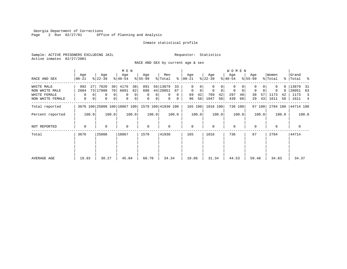Georgia Department of Corrections Page 2 Run 02/27/01 Office of Planning and Analysis

#### Inmate statistical profile

Sample: ACTIVE PRISONERS EXCLUDING JAIL **Requestor:** Statistics Active inmates 02/27/2001

RACE AND SEX by current age & sex

|                                                                  |                              |                                                                                      | M E N                                                                  |                                                                    |                                                                                   |                                                         |                                             | <b>WOMEN</b>                                                     |                                     |                                                  |                                                         |
|------------------------------------------------------------------|------------------------------|--------------------------------------------------------------------------------------|------------------------------------------------------------------------|--------------------------------------------------------------------|-----------------------------------------------------------------------------------|---------------------------------------------------------|---------------------------------------------|------------------------------------------------------------------|-------------------------------------|--------------------------------------------------|---------------------------------------------------------|
| RACE AND SEX                                                     | Age<br>  00-21               | Age<br>$ 22-39 $                                                                     | Age<br>$ 40-54 $                                                       | Age<br>$ 55-99 $                                                   | Men<br>% Total                                                                    | Age<br>$8   00 - 21$                                    | Age<br>$ 22-39 $                            | Age<br>$ 40-54 $                                                 | Age<br>$8 55-99$                    | Women<br>% Total                                 | Grand<br>%   Total %                                    |
| WHITE MALE<br>NON WHITE MALE<br>WHITE FEMALE<br>NON WHITE FEMALE | 992<br>2684<br>$\Omega$<br>0 | 7820<br>30<br>27 <br>73 17988<br>70<br>0<br>0<br>0<br>0 <sup>1</sup><br>$\mathbf{0}$ | 4176<br>38<br>6691<br>62<br>$\mathbf 0$<br>0<br>$\mathbf 0$<br>$\circ$ | 891<br>688<br>0 <sup>1</sup><br>$\mathbf 0$<br>0<br>0 <sup>1</sup> | 56 13879<br>33<br>44 28051<br>67<br>$\mathbf{0}$<br>$\Omega$<br>$\mathbf{0}$<br>0 | 0<br>$\mathbf 0$<br>$\mathbf 0$<br>42<br>69<br>58<br>96 | $\mathbf 0$<br>0<br>769<br>42<br>1047<br>58 | $\Omega$<br>$\mathbf 0$<br>$\mathbf 0$<br>297<br>40<br>439<br>60 | $\mathbf 0$<br>38<br>57<br>43<br>29 | $\Omega$<br>$\Omega$<br>1173<br>42<br>1611<br>58 | 13879<br>- 31<br>28051<br>63<br>1173<br>-3<br>1611<br>4 |
| Total reported                                                   |                              | 3676 100 25808 100 10867 100 1579 100 41930 100                                      |                                                                        |                                                                    |                                                                                   | 165 100                                                 | 1816 100                                    | 736 100                                                          | 67 100                              | 2784 100                                         | 44714 100                                               |
| Percent reported                                                 | 100.0                        | 100.0                                                                                | 100.0                                                                  | 100.0                                                              | 100.0                                                                             | 100.0                                                   | 100.0                                       | 100.0                                                            | 100.0                               | 100.0                                            | 100.0                                                   |
| NOT REPORTED                                                     | 0                            | $\Omega$                                                                             | $\mathbf 0$                                                            | $\mathbf 0$                                                        | $\Omega$                                                                          | $\mathbf{0}$                                            | $\Omega$                                    | $\Omega$                                                         | $\Omega$                            | $\Omega$                                         | $\mathbf 0$                                             |
| Total                                                            | 3676                         | 25808                                                                                | 10867                                                                  | 1579                                                               | 41930                                                                             | 165                                                     | 1816                                        | 736                                                              | 67                                  | 2784                                             | 44714                                                   |
| AVERAGE AGE                                                      | 19.93                        | 30.27                                                                                | 45.04                                                                  | 60.70                                                              | 34.34                                                                             | 19.86                                                   | 31.34                                       | 44.53                                                            | 59.48                               | 34.83                                            | 34.37                                                   |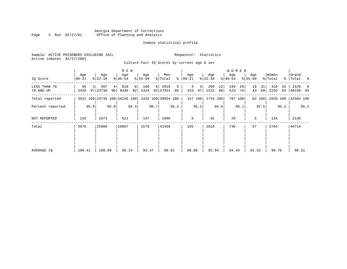#### Georgia Department of Corrections Page 3 Run 02/27/01 Office of Planning and Analysis

#### Inmate statistical profile

Sample: ACTIVE PRISONERS EXCLUDING JAIL **Requestor:** Statistics Active inmates 02/27/2001

Culture Fair IQ Scores by current age & sex

|                           |                                      | M E N        |                 |          |                  |          |                  |      |                    |         |                  |          |                 |          | <b>WOMEN</b>     |          |                  |          |                  |          |                      |      |
|---------------------------|--------------------------------------|--------------|-----------------|----------|------------------|----------|------------------|------|--------------------|---------|------------------|----------|-----------------|----------|------------------|----------|------------------|----------|------------------|----------|----------------------|------|
| IQ Score                  | Age<br>Age<br>$ 22-39 $<br>$00 - 21$ |              |                 |          | Age<br>$ 40-54 $ |          | Age<br>$8 55-99$ |      | Men<br>% Total     | ៖       | Age<br>$ 00-21 $ |          | Age<br>$ 22-39$ |          | Age<br>$8 40-54$ |          | Age<br>$ 55-99 $ |          | Women<br>% Total |          | Grand<br>%   Total % |      |
| LESS THAN 70<br>70 AND UP | 95<br>3426                           |              | 997<br>97 23738 | 4 <br>96 | 810<br>9436      | 8 <br>92 | 108<br>1324      | 8    | 2010<br>92 37924   | 5<br>95 | 4<br>153         | 3 <br>97 | 209<br>1515     | 12<br>88 | 184<br>523       | 26<br>74 | 19<br>43         | 31<br>69 | 416<br>2234      | 16<br>84 | 2426<br>40158 94     | - 6  |
| Total reported            |                                      |              |                 |          |                  |          |                  |      | 1432 100 39934 100 |         |                  | 157 100  | 1724 100        |          |                  | 707 100  |                  | 62 100   | 2650 100         |          | 42584 100            |      |
| Percent reported          | 3521 100 24735 100 10246 100<br>95.8 |              |                 |          |                  | 94.3     |                  | 90.7 |                    | 95.2    |                  | 95.2     |                 | 94.9     |                  | 96.1     |                  | 92.5     |                  | 95.2     |                      | 95.2 |
| NOT REPORTED              | 155                                  | 95.8<br>1073 |                 |          | 621              |          | 147              |      | 1996               |         | 8                |          | 92              |          | 29               |          | 5                |          | 134              |          | 2130                 |      |
| Total                     | 3676                                 |              | 25808           |          | 10867            |          | 1579             |      | 41930              |         | 165              |          | 1816            |          | 736              |          | 67               |          | 2784             |          | 44714                |      |
|                           |                                      |              |                 |          |                  |          |                  |      |                    |         |                  |          |                 |          |                  |          |                  |          |                  |          |                      |      |
|                           |                                      |              |                 |          |                  |          |                  |      |                    |         |                  |          |                 |          |                  |          |                  |          |                  |          |                      |      |
| AVERAGE IQ                | 100.41                               |              | 100.00          |          | 96.14            |          | 93.47            |      | 98.81              |         | 98.88            |          | 92.94           |          | 84.45            |          | 81.52            |          | 90.76            |          | 98.31                |      |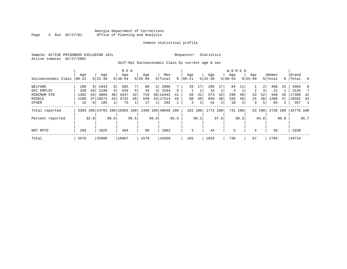#### Georgia Department of Corrections<br>4 Run 02/27/01 Office of Planning and Analysis Page 4 Run 02/27/01 Office of Planning and Analysis

#### Inmate statistical profile

Sample: ACTIVE PRISONERS EXCLUDING JAIL **Requestor:** Statistics Active inmates 02/27/2001

## Self-Rpt Socioeconomic Class by current age & sex

|                     |       |      |                              |                | M E N     |      |             |      |                    |      |            |         |           |      | W O M E N |         |             |        |         |      |           |      |
|---------------------|-------|------|------------------------------|----------------|-----------|------|-------------|------|--------------------|------|------------|---------|-----------|------|-----------|---------|-------------|--------|---------|------|-----------|------|
|                     | Age   |      | Age                          |                | Age       |      | Age         |      | Men                |      | Age        |         | Age       |      | Age       |         | Age         |        | Women   |      | Grand     |      |
| Socioeconomic Class | 00-21 |      | $ 22-39$                     |                | $8 40-54$ |      | $8155 - 99$ |      | % Total            | ႜၟ   | $ 00 - 21$ |         | $ 22-39 $ |      | $8 40-54$ |         | $8155 - 99$ |        | % Total |      | %   Total |      |
| WELFARE             | 288   | 9    | 1943                         | 8 <sup>1</sup> | 685       |      | 80          | 5.   | 2996               |      | 28         | 17      | 295       | 17   | 84        | 11      |             | 2      | 408     | 15   | 3404      | 8    |
| OCC EMPLOY          | 328   | 10   | 2199                         | 9              | 534       | 5    | 43          |      | 3104               | 8    |            |         | 14        |      | 4         |         | 2           | 3      | 21      |      | 3125      |      |
| MINIMUM STD         | 1492  | 44   | 9884                         | 40             | 4347      | 42   | 719         | 48   | 16442              | 41   | 50         | 31      | 573       | 32   | 290       | 40      | 33          | 52     | 946     | 35   | 17388     | 41   |
| MIDDLE              | 1260  | 37   | 10572                        | 43             | 4742      | 46   | 640         |      | 43 17214           | 43   | 80         | 49      | 849       | 48   | 335       | 46      | 24          | 38     | 1288    | 47   | 18502     | 43   |
| OTHER               | 15    | 0    | 185                          |                | 75        |      | 17          |      | 292                |      | 3          | 2       | 41        | 2    | 18        |         | 3           | 5      | 65      | 2    | 357       |      |
| Total reported      |       |      | 3383 100 24783 100 10383 100 |                |           |      |             |      | 1499 100 40048 100 |      |            | 162 100 | 1772 100  |      |           | 731 100 |             | 63 100 | 2728    | 100  | 42776 100 |      |
| Percent reported    |       | 92.0 |                              | 96.0           |           | 95.5 |             | 94.9 |                    | 95.5 |            | 98.2    |           | 97.6 |           | 99.3    |             | 94.0   |         | 98.0 |           | 95.7 |
|                     |       |      |                              |                |           |      |             |      |                    |      |            |         |           |      |           |         |             |        |         |      |           |      |
| NOT RPTD            | 293   |      | 1025                         |                | 484       |      | 80          |      | 1882               |      | 3          |         | 44        |      | 5         |         | 4           |        | 56      |      | 1938      |      |
| Total               | 3676  |      | 25808                        |                | 10867     |      | 1579        |      | 41930              |      | 165        |         | 1816      |      | 736       |         | 67          |        | 2784    |      | 44714     |      |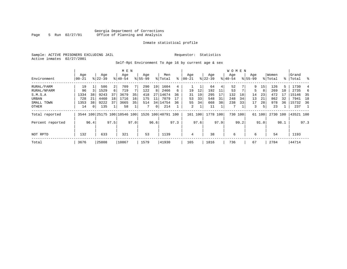#### Georgia Department of Corrections Page 5 Run 02/27/01 Office of Planning and Analysis

#### Inmate statistical profile

Sample: ACTIVE PRISONERS EXCLUDING JAIL **Requestor:** Statistics Active inmates 02/27/2001

Self-Rpt Environment To Age 16 by current age & sex

|                  |                   |      |                    |      | M E N                        |      |                    |      |                    |      |                 |      |                    |      | <b>WOMEN</b>     |      |                    |                 |                  |      |                 |      |
|------------------|-------------------|------|--------------------|------|------------------------------|------|--------------------|------|--------------------|------|-----------------|------|--------------------|------|------------------|------|--------------------|-----------------|------------------|------|-----------------|------|
| Environment      | Age<br>$ 00 - 21$ |      | Age<br>$8122 - 39$ |      | Age<br>$8140 - 54$           |      | Age<br>$8155 - 99$ |      | Men<br>% Total     | ៖    | Age<br>$ 00-21$ |      | Age<br>$8$   22-39 |      | Aqe<br>$8 40-54$ |      | Age<br>$8155 - 99$ |                 | Women<br>% Total | ႜၟ   | Grand<br> Total | ႜ    |
| RURAL/FARM       | 19                |      | 586                | 2    | 709                          |      | 290                | 19   | 1604               | 4    |                 |      | 64                 | 4    | 52               |      | 9                  | 15 <sub>1</sub> | 126              | 5    | 1730            |      |
| RURAL/NFARM      | 96                |      | 1529               | 6    | 719                          |      | 122                | 8    | 2466               | 6    | 19              | 12   | 192                | 11   | 53               |      |                    | 8               | 269              | 10   | 2735            | 6    |
| S.M.S.A          | 1334              | 38   | 9243               | 37   | 3679                         | 35   | 418                | 27   | 14674              | 36   | 31              | 19   | 295                | 17   | 132              | 18   | 14                 | 23              | 472              |      | 15146           | - 35 |
| URBAN            | 728               | 21   | 4460               | 18   | 1716                         | 16   | 175                | 11   | 7079               | 17   | 53              | 33   | 548                | 31   | 248              | 34   | 13                 | 21              | 862              | 32   | 7941            | 18   |
| SMALL TOWN       | 1353              | 38   | 9222               | 37   | 3665                         | 35   | 514                |      | 34   14754         | 36   | 55              | 34   | 668                | 38   | 238              | 33   | 17                 | 28              | 978              | 36   | 15732           | 36   |
| OTHER            | 14                | 0    | 135                |      | 58                           |      |                    | 0    | 214                |      | 2               |      | 11                 |      | 7                |      | 3                  | 5               | 23               |      | 237             |      |
| Total reported   |                   |      |                    |      | 3544 100 25175 100 10546 100 |      |                    |      | 1526 100 40791 100 |      | 161             | 100  | 1778 100           |      | 730 100          |      |                    | 61 100          | 2730 100         |      | 43521 100       |      |
| Percent reported |                   | 96.4 |                    | 97.5 |                              | 97.0 |                    | 96.6 |                    | 97.3 |                 | 97.6 |                    | 97.9 |                  | 99.2 |                    | 91.0            |                  | 98.1 |                 | 97.3 |
| NOT RPTD         | 132               |      | 633                |      | 321                          |      | 53                 |      | 1139               |      | 4               |      | 38                 |      | 6                |      | 6                  |                 | 54               |      | 1193            |      |
| Total            | 3676              |      | 25808              |      | 10867                        |      | 1579               |      | 41930              |      | 165             |      | 1816               |      | 736              |      | 67                 |                 | 2784             |      | 44714           |      |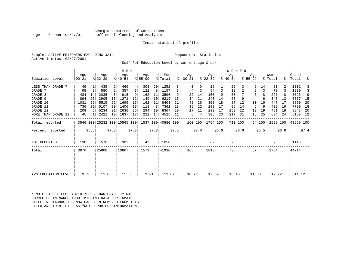#### Georgia Department of Corrections Page 6 Run 02/27/01 Office of Planning and Analysis

#### Inmate statistical profile

Sample: ACTIVE PRISONERS EXCLUDING JAIL **Requestor:** Statistics Active inmates 02/27/2001

Self-Rpt Education Level by current age & sex

|                     |                  | M E N                         |                              |                 |       |       |                 |      |                    |      |                  |      |                  |      | W O M E N        |         |                  |        |                  |      |                    |      |
|---------------------|------------------|-------------------------------|------------------------------|-----------------|-------|-------|-----------------|------|--------------------|------|------------------|------|------------------|------|------------------|---------|------------------|--------|------------------|------|--------------------|------|
| Education Level     | Age<br>$00 - 21$ | Age<br>$ 22-39 $<br>$ 40-54 $ |                              |                 |       |       | Age<br>$ 55-99$ |      | Men<br>% Total     | ႜ    | Age<br>$ 00-21 $ |      | Age<br>$ 22-39 $ |      | Age<br>$ 40-54 $ |         | Age<br>$8 55-99$ |        | Women<br>% Total |      | Grand<br>%   Total | ್ಠಿ  |
| LESS THAN GRADE 7   | 49               |                               | 435                          | 2               | 460   | 4     | 308             | 20   | 1252               | 3    |                  | 0    | 19               |      | 22               |         | 9                | 14     | 50               |      | 1302               |      |
| GRADE 7             | 98               | 3                             | 580                          | 2               | 357   | 3     | 122             | 8    | 1157               | 3    | 4                | 3    | 54               | 3    | 13               |         | 2                | 3      | 73               |      | 1230               | -3   |
| GRADE 8             | 484              | 14                            | 2035                         |                 | 915   |       | 162             | 11   | 3596               | 9    | 22               | 14   | 150              | 9    | 50               |         | 5                |        | 227              |      | 3823               | 9    |
| GRADE 9             | 894              | 25                            | 3905                         | 15              | 1271  | 12    | 149             | 10   | 6219               | 15   | 34               | 21   | 243              | 14   | 67               | 9       | 4                |        | 348              | 13   | 6567               | 15   |
| GRADE 10            | 1031             | 29                            | 5515                         | 22              | 1695  | 16    | 162             | 11   | 8403               | 21   | 42               | 26   | 308              | 18   | 87               | 12      | 10               | 16     | 447              | 17   | 8850               | -20  |
| GRADE 11            | 736              | 21                            | 5107                         | 20 <sup>1</sup> | 1400  | 13    | 118             | 8    | 7361               | 18   | 35               | 22   | 292              | 17   | 96               | 14      | 6                | 9      | 429              | 16   | 7790               | 18   |
| GRADE 12            | 209              | 6                             | 5234                         | 21              | 2630  | 25    | 294             | 19   | 8367               | 20   | 17               | 11   | 293              | 17   | 159              | 22      | 12               | 19     | 481              | 18   | 8848               | -20  |
| MORE THAN GRADE 12  | 45               |                               | 2421                         | 10              | 1837  | 17    | 222             | 14   | 4525               | 11   | 6                | 4    | 395              | 23   | 217              | 31      | 16               | 25     | 634              | 24   | 5159               | 12   |
| Total reported      |                  |                               | 3546 100 25232 100 10565 100 |                 |       |       |                 |      | 1537 100 40880 100 |      | 160 100          |      | 1754 100         |      |                  | 711 100 |                  | 64 100 | 2689 100         |      | 43569 100          |      |
| Percent reported    |                  | 96.5                          |                              | 97.8            |       | 97.2  |                 | 97.3 |                    | 97.5 |                  | 97.0 |                  | 96.6 |                  | 96.6    |                  | 95.5   |                  | 96.6 |                    | 97.4 |
| NOT REPORTED        | 130              |                               | 576                          |                 | 302   |       | 42              |      | 1050               |      | 5                |      | 62               |      | 25               |         | 3                |        | 95               |      | 1145               |      |
| Total               | 3676             |                               | 25808                        |                 | 10867 |       | 1579            |      | 41930              |      | 165              |      | 1816             |      | 736              |         | 67               |        | 2784             |      | 44714              |      |
|                     |                  |                               |                              |                 |       |       |                 |      |                    |      |                  |      |                  |      |                  |         |                  |        |                  |      |                    |      |
| AVG EDUCATION LEVEL |                  | 11.03<br>9.78                 |                              |                 |       | 11.56 | 9.91            |      | 11.02              |      | 10.21            |      | 12.69            |      | 13.45            |         | 11.58            |        | 12.72            |      | 11.12              |      |

\* NOTE: THE FIELD LABLED "LESS THAN GRADE 7" WAS CORRECTED IN MARCH 1989: MISSING DATA FOR INMATES STILL IN DIAGNOSTICS NOW HAS BEEN REMOVED FROM THIS FIELD AND IDENTIFIED AS "NOT REPORTED" INFORMATION.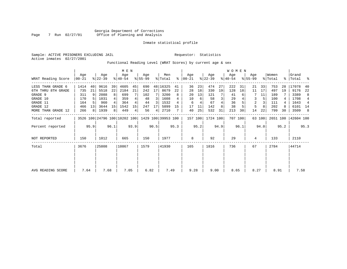Sample: ACTIVE PRISONERS EXCLUDING JAIL **Requestor:** Statistics Active inmates 02/27/2001

Functional Reading Level (WRAT Scores) by current age & sex

|                     |              |                                          |                  |    | M E N            |      |                  |      |                    |      |                  |      |                  |      | W O M E N        |         |                    |        |                  |      |                |      |
|---------------------|--------------|------------------------------------------|------------------|----|------------------|------|------------------|------|--------------------|------|------------------|------|------------------|------|------------------|---------|--------------------|--------|------------------|------|----------------|------|
| WRAT Reading Score  | Age<br>00-21 |                                          | Age<br>$ 22-39 $ |    | Age<br>$ 40-54 $ |      | Age<br>$8 55-99$ |      | Men<br>% Total     | ႜ    | Age<br>$ 00-21 $ |      | Age<br>$ 22-39 $ |      | Age<br>$ 40-54 $ |         | Age<br>$8155 - 99$ |        | Women<br>% Total | ႜ    | Grand<br>Total | ႜ    |
| LESS THAN GRADE 6   | 1414         | 40                                       | 9616             | 39 | 4605             | 45   | 690              |      | 48 16325           | 41   | 36               | 23   | 474              | 27   | 222              | 31      | 21                 | 33     | 753              | 28   | 17078          | 40   |
| 6TH THRU 8TH GRADE  | 735          | 21                                       | 5518             | 22 | 2184             | 21   | 242              | 17   | 8679               | 22   | 28               | 18   | 330              | 19   | 128              | 18      | 11                 | 17     | 497              | 19   | 9176           | 22   |
| GRADE 9             | 311          | 9                                        | 2088             | 8  | 699              |      | 102              |      | 3200               | 8    | 20               | 13   | 121              |      | 41               |         |                    | 11     | 189              |      | 3389           | 8    |
| GRADE 10            | 170          |                                          | 1031             |    | 359              |      | 48               | 3    | 1608               |      | 10               | 6    | 58               |      | 29               |         | 3                  |        | 100              |      | 1708           | 4    |
| GRADE 11            | 164          |                                          | 960              |    | 364              |      | 44               | 3    | 1532               |      | 6                |      | 67               |      | 36               |         | 2                  |        | 111              |      | 1643           | 4    |
| GRADE 12            | 466          |                                          | 3644             | 15 | 1542             | 15   | 247              | 17   | 5899               | 15   | 17               | 11   | 142              |      | 38               |         | 5                  | 8      | 202              |      | 6101 14        |      |
| MORE THAN GRADE 12  | 266          |                                          | 1939             | 8  | 449              | 4    | 56               | 4    | 2710               |      | 40               | 25   | 532              | 31   | 213              | 30      | 14                 | 22     | 799              | 30   | 3509           | -8   |
| Total reported      |              | 13 <br>8<br>3526 100 24796 100 10202 100 |                  |    |                  |      |                  |      | 1429 100 39953 100 |      | 157 100          |      | 1724 100         |      |                  | 707 100 |                    | 63 100 | 2651 100         |      | 42604 100      |      |
| Percent reported    |              | 96.1<br>95.9                             |                  |    |                  | 93.9 |                  | 90.5 |                    | 95.3 |                  | 95.2 |                  | 94.9 |                  | 96.1    |                    | 94.0   |                  | 95.2 |                | 95.3 |
| <b>NOT REPORTED</b> | 150          |                                          | 1012             |    | 665              |      | 150              |      | 1977               |      | 8                |      | 92               |      | 29               |         | 4                  |        | 133              |      | 2110           |      |
| Total               | 3676         | 25808                                    |                  |    | 10867            |      | 1579             |      | 41930              |      | 165              |      | 1816             |      | 736              |         | 67                 |        | 2784             |      | 44714          |      |
|                     |              |                                          |                  |    |                  |      |                  |      |                    |      |                  |      |                  |      |                  |         |                    |        |                  |      |                |      |
|                     |              |                                          |                  |    |                  |      |                  |      |                    |      |                  |      |                  |      |                  |         |                    |        |                  |      |                |      |
| AVG READING SCORE   | 7.64         |                                          | 7.68             |    | 7.05             |      | 6.82             |      | 7.49               |      | 9.28             |      | 9.00             |      | 8.65             |         | 8.27               |        | 8.91             |      | 7.58           |      |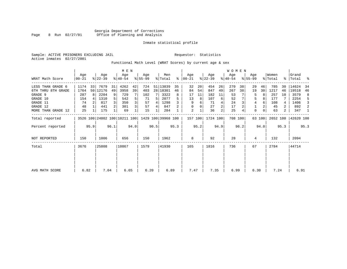Sample: ACTIVE PRISONERS EXCLUDING JAIL **Requestor:** Statistics Active inmates 02/27/2001

Functional Math Level (WRAT Scores) by current age & sex

|                    |                  |                                              | M E N            |       |                    |      |                 |       |                    |      | WOMEN            |      |                  |      |                  |         |                    |        |                  |       |                    |      |
|--------------------|------------------|----------------------------------------------|------------------|-------|--------------------|------|-----------------|-------|--------------------|------|------------------|------|------------------|------|------------------|---------|--------------------|--------|------------------|-------|--------------------|------|
| WRAT Math Score    | Age<br>$00 - 21$ |                                              | Age<br>$ 22-39 $ |       | Age<br>$8140 - 54$ |      | Age<br>$ 55-99$ |       | Men<br>% Total     | ႜ    | Age<br>$ 00-21 $ |      | Age<br>$ 22-39 $ |      | Age<br>$ 40-54 $ |         | Age<br>$8155 - 99$ |        | Women<br>% Total |       | Grand<br>%   Total | ႜ    |
| LESS THAN GRADE 6  | 1174             | 33                                           | 7679             | 31    | 4262               | 42   | 724             |       | 51 13839           | 35   | 32               | 20   | 454              | 26   | 270              | 38      | 29                 | 46     | 785              | 30    | 14624              | 34   |
| 6TH THRU 8TH GRADE | 1764             |                                              | 50 12176         | 49    | 3958               | 39   | 403             |       | 28 18301           | 46   | 84               | 54   | 847              | 49   | 267              | 38      | 19                 | 30     | 1217             | 46    | 19518              | 46   |
| GRADE 9            | 287              | 8                                            | 2204             | 9     | 729                |      | 102             |       | 3322               | 8    | 17               | 11   | 182              | 11   | 53               |         | 5                  |        | 257              | 10    | 3579               | 8    |
| GRADE 10           | 154              |                                              | 1310             | 5     | 542                | 5    | 71              |       | 2077               |      | 13               | 8    | 107              | 6    | 52               |         | 5                  |        | 177              |       | 2254               | -5   |
| GRADE 11           | 74               |                                              | 817              |       | 350                | 3    | 57              | 4     | 1298               |      | 9                | 6    | 71               |      | 24               |         | 4                  |        | 108              |       | 1406               | 3    |
| GRADE 12           | 48               |                                              | 441              |       | 301                | 3    | 57              | 4     | 847                |      |                  |      | 27               | 2    | 17               |         |                    |        | 45               | 2     | 892                | 2    |
| MORE THAN GRADE 12 | 25               |                                              | 175              |       | 69                 |      | 15              |       | 284                |      | $\overline{2}$   |      | 36               | 2    | 25               |         | $\mathbf 0$        | 0      | 63               | 2     | 347                | -1   |
| Total reported     |                  |                                              |                  |       |                    |      |                 |       | 1429 100 39968 100 |      | 157 100          |      | 1724 100         |      |                  | 708 100 |                    | 63 100 | 2652 100         |       | 42620 100          |      |
| Percent reported   |                  | 3526 100 24802 100 10211 100<br>95.9<br>96.1 |                  |       |                    | 94.0 |                 | 90.5  |                    | 95.3 |                  | 95.2 |                  | 94.9 |                  | 96.2    |                    | 94.0   |                  | 95.3  |                    | 95.3 |
| NOT REPORTED       | 150              |                                              | 1006             |       | 656                |      | 150             |       | 1962               |      | 8                |      | 92               |      | 28               |         | 4                  |        | 132              |       | 2094               |      |
| Total              | 3676<br>25808    |                                              |                  | 10867 |                    | 1579 |                 | 41930 |                    | 165  |                  | 1816 |                  | 736  |                  | 67      |                    | 2784   |                  | 44714 |                    |      |
|                    |                  |                                              |                  |       |                    |      |                 |       |                    |      |                  |      |                  |      |                  |         |                    |        |                  |       |                    |      |
| AVG MATH SCORE     | 6.82             |                                              | 7.04             |       | 6.65               |      | 6.20            |       | 6.89               |      | 7.47             |      | 7.35             |      | 6.99             |         | 6.30               |        | 7.24             |       | 6.91               |      |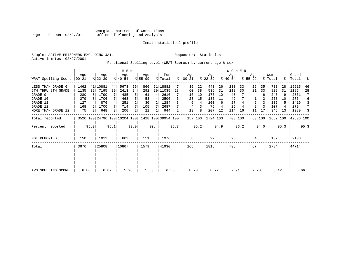Sample: ACTIVE PRISONERS EXCLUDING JAIL **Requestor:** Statistics Active inmates 02/27/2001

Functional Spelling Level (WRAT Scores) by current age & sex

|                     |                  | M E N |                  |      |                              |                |                 |      |                    |      |                |      |                  |      | WOMEN            |         |                    |        |                  |               |                |      |
|---------------------|------------------|-------|------------------|------|------------------------------|----------------|-----------------|------|--------------------|------|----------------|------|------------------|------|------------------|---------|--------------------|--------|------------------|---------------|----------------|------|
| WRAT Spelling Score | Age<br>$ 00-21 $ |       | Age<br>$ 22-39 $ |      | Age<br>$ 40-54 $             |                | Age<br>$ 55-99$ |      | Men<br>% Total     | ⊱    | Age<br>  00-21 |      | Age<br>$ 22-39 $ |      | Age<br>$ 40-54 $ |         | Age<br>$8155 - 99$ |        | Women<br>% Total | $\frac{8}{3}$ | Grand<br>Total | း    |
| LESS THAN GRADE 6   | 1462             |       | 41 10881         | 44   | 5673                         | 56             | 866             |      | 61 18882           | 47   | 35             | 22   | 443              | 26   | 233              | 33      | 22                 | 35     | 733              | 28            | 19615          | 46   |
| 6TH THRU 8TH GRADE  | 1135             | 32    | 7195             | 29   | 2413                         | 24             | 292             |      | 20 11035           | 28   | 60             | 38   | 536              | 31   | 212              | 30      | 21                 | 33     | 829              | 31            | 11864          | 28   |
| GRADE 9             | 280              | 8     | 1790             |      | 485                          | 5              | 61              | 4    | 2616               |      | 16             | 10   | 177              | 10   | 48               |         | 4                  | 6      | 245              | 9             | 2861           | 7    |
| GRADE 10            | 279              |       | 1706             |      | 468                          | 5              | 53              | 4    | 2506               | 6    | 23             | 15   | 185              | 11   | 49               |         |                    |        | 258              | 10            | 2764           | 6    |
| GRADE 11            | 127              |       | 876              |      | 251                          | $\overline{a}$ | 30              | 2    | 1284               |      | 6              | 4    | 100              | 6    | 27               |         | 2                  |        | 135              |               | 1419           | 3    |
| GRADE 12            | 168              |       | 1700             | 7    | 714                          |                | 105             |      | 2687               |      |                |      | 76               |      | 25               |         | $\overline{2}$     |        | 107              |               | 2794           | 7    |
| MORE THAN GRADE 12  | 75               |       | 648              | 3    | 200                          | 2              | 21              |      | 944                | 2    | 13             | 8    | 207              | 12   | 114              | 16      | 11                 | 17     | 345              | 13            | 1289           | 3    |
| Total reported      |                  |       |                  |      | 3526 100 24796 100 10204 100 |                |                 |      | 1428 100 39954 100 |      | 157 100        |      | 1724 100         |      |                  | 708 100 |                    | 63 100 | 2652 100         |               | 42606 100      |      |
| Percent reported    |                  | 95.9  |                  | 96.1 |                              | 93.9           |                 | 90.4 |                    | 95.3 |                | 95.2 |                  | 94.9 |                  | 96.2    |                    | 94.0   |                  | 95.3          |                | 95.3 |
| <b>NOT REPORTED</b> | 150              |       | 1012             |      | 663                          |                | 151             |      | 1976               |      | 8              |      | 92               |      | 28               |         | 4                  |        | 132              |               | 2108           |      |
| Total               | 3676             | 25808 |                  |      | 10867                        |                | 1579            |      | 41930              |      | 165            |      | 1816             |      | 736              |         | 67                 |        | 2784             |               | 44714          |      |
|                     |                  |       |                  |      |                              |                |                 |      |                    |      |                |      |                  |      |                  |         |                    |        |                  |               |                |      |
| AVG SPELLING SCORE  | 6.88             |       | 6.82             |      | 5.98                         |                | 5.53            |      | 6.56               |      | 8.23           |      | 8.22             |      | 7.91             |         | 7.20               |        | 8.12             |               | 6.66           |      |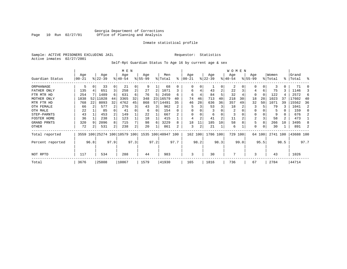#### Georgia Department of Corrections Page 10 Run 02/27/01 Office of Planning and Analysis

#### Inmate statistical profile

Sample: ACTIVE PRISONERS EXCLUDING JAIL **Requestor:** Statistics Active inmates 02/27/2001

Self-Rpt Guardian Status To Age 16 by current age & sex

|                  |               |    |           |                | M E N                        |                |           |      |                    |      |          |      |           |                | <b>WOMEN</b> |      |             |        |          |      |           |      |
|------------------|---------------|----|-----------|----------------|------------------------------|----------------|-----------|------|--------------------|------|----------|------|-----------|----------------|--------------|------|-------------|--------|----------|------|-----------|------|
|                  | Age           |    | Age       |                | Age                          |                | Age       |      | Men                |      | Age      |      | Age       |                | Age          |      | Age         |        | Women    |      | Grand     |      |
| Guardian Status  | $00 - 21$     |    | $ 22-39 $ |                | $8140 - 54$                  |                | $8 55-99$ |      | % Total            | ⊱    | $ 00-21$ |      | $ 22-39 $ |                | $ 40-54$     |      | $8155 - 99$ |        | % Total  |      | %   Total | ႜ    |
| ORPHANAGE        | 5             |    | 33        | $\Omega$       | 21                           | 0              | 9         |      | 68                 | 0    | 0        | 0    |           | 0              | 2            |      | O           |        |          | 0    | 71        |      |
| FATHER ONLY      | 135           |    | 651       | 3              | 258                          | $\overline{a}$ | 27        | 2    | 1071               |      | 6        | 4    | 43        | 2              | 22           |      | 4           |        | 75       | 3    | 1146      |      |
| FTR MTR HD       | 254           |    | 1489      | 6              | 631                          | 6              | 76        | 5    | 2450               | 6    | 6        | 4    | 84        |                | 32           |      | $\Omega$    |        | 122      |      | 2572      | 6    |
| MOTHER ONLY      | 1838          | 52 | 11028     | 44             | 3365                         | 32             | 348       | 23   | 16579              | 40   | 74       | 46   | 713       | 40             | 218          | 30   | 18          | 28     | 1023     | 37   | 17602     | 40   |
| MTR FTR HD       | 768           | 22 | 8093      | 32             | 4762                         | 45             | 868       |      | 57 14491           | 35   | 46       | 28   | 636       | 36             | 357          | 49   | 32          | 50     | 1071     | 39   | 15562     | 36   |
| OTH FEMALE       | 66            |    | 577       |                | 276                          | 3              | 43        | 3    | 962                |      | 5        | 3    | 53        | 3              | 18           |      | 3           |        | 79       |      | 1041      | 2    |
| OTH MALE         | 22            |    | 85        |                | 41                           |                | 6         | 0    | 154                |      |          |      |           |                | 2            |      | $\Omega$    |        | 5        | 0    | 159       | n    |
| STEP-PARNTS      | 43            |    | 453       |                | 149                          |                | 22        |      | 667                |      |          |      | 6         |                | 3            |      | $\Omega$    |        |          | 0    | 676       |      |
| FOSTER HOME      | 36            |    | 238       |                | 123                          |                | 18        |      | 415                |      |          |      | 41        | $\overline{a}$ | 11           |      | 2           |        | 58       | 2    | 473       |      |
| GRAND PRNTS      | 320           | 9  | 2096      | 8              | 715                          | 7              | 98        | 6    | 3229               | 8    | 18       | 11   | 185       | 10             | 58           | 8    | 5           |        | 266      | 10   | 3495      |      |
| OTHER            | 72            |    | 531       | 2 <sub>1</sub> | 238                          | 2 <sub>1</sub> | 20        |      | 861                | 2    | 3        | 2    | 21        |                | 6            |      | 0           |        | 30       |      | 891       |      |
| Total reported   |               |    |           |                | 3559 100 25274 100 10579 100 |                |           |      | 1535 100 40947 100 |      | 162 100  |      | 1786 100  |                | 729 100      |      |             | 64 100 | 2741 100 |      | 43688 100 |      |
| Percent reported | 97.9<br>96.8  |    |           |                |                              | 97.3           |           | 97.2 |                    | 97.7 |          | 98.2 |           | 98.3           |              | 99.0 |             | 95.5   |          | 98.5 |           | 97.7 |
| NOT RPTD         | 534<br>117    |    |           |                | 288                          |                | 44        |      | 983                |      | 3        |      | 30        |                | 7            |      | 3           |        | 43       |      | 1026      |      |
| Total            | 3676<br>25808 |    |           |                | 10867                        |                | 1579      |      | 41930              |      | 165      |      | 1816      |                | 736          |      | 67          |        | 2784     |      | 44714     |      |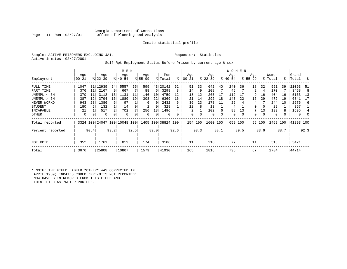#### Georgia Department of Corrections Office of Planning and Analysis

#### Inmate statistical profile

Sample: ACTIVE PRISONERS EXCLUDING JAIL **Requestor:** Statistics Active inmates 02/27/2001

#### Self-Rpt Employment Status Before Prison by current age & sex

|                  |           |      |           |      | M E N                        |      |           |             |                    |      |           |      |           |      | <b>WOMEN</b> |             |           |        |          |      |              |          |
|------------------|-----------|------|-----------|------|------------------------------|------|-----------|-------------|--------------------|------|-----------|------|-----------|------|--------------|-------------|-----------|--------|----------|------|--------------|----------|
|                  | Age       |      | Age       |      | Age                          |      | Age       |             | Men                |      | Age       |      | Age       |      | Age          |             | Age       |        | Women    |      | Grand        |          |
| Employment       | $00 - 21$ |      | $ 22-39 $ |      | $8 40-54$                    |      | $ 55-99 $ |             | % Total            | ႜ    | $00 - 21$ |      | $ 22-39 $ |      | $ 40-54 $    |             | $ 55-99 $ |        | % Total  |      | %   Total    | - 옹      |
| FULL TIME        | 1047      | 31   | 12939     | 54   | 5557                         | 55   | 599       | 43          | 20142              | 52   | 51        | 33   | 642       | 40   | 240          | 36          | 18        | 32     | 951      | 39   | 21093        | 51       |
| PART TIME        | 376       | 11   | 2167      | 9    | 667                          |      | 88        | 6           | 3298               | 8    | 14        | 9    | 108       |      | 46           |             | 2         | 4      | 170      |      | 3468         | 8        |
| UNEMPL < 6M      | 370       | 11   | 3112      | 13   | 1131                         | 11   | 146       | 10          | 4759               | 12   | 18        | 12   | 265       |      | 112          | 17          | 9         | 16     | 404      | 16   | 5163         | 13       |
| UNEMPL > 6M      | 387       | 12   | 3794      | 16   | 1880                         | 19   | 308       | 22          | 6369               | 16   | 21        | 14   | 292       | 18   | 143          | 22          | 16        | 29     | 472      | 19   | 6841         | 17       |
| NEVER WORKD      | 943       | 28   | 1386      | 6    | 97                           |      | 6         | $\Omega$    | 2432               | 6    | 36        | 23   | 178       |      | 26           |             | 4         |        | 244      | 10   | 2676         | 6        |
| <b>STUDENT</b>   | 180       | 5    | 132       |      | 14                           |      | 2         | 0           | 328                |      | 12        | 8    | 13        |      | 4            |             | 0         | 0      | 29       |      | 357          |          |
| INCAPABLE        | 21        |      | 517       | 2    | 702                          |      | 256       | 18          | 1496               |      | 2         |      | 102       | 6    | 88           | 13          |           | 13     | 199      |      | 1695         | 4        |
| OTHER            | 0         | 0    | 0         | 0    | $\mathbf 0$                  |      | 0         | $\mathbf 0$ | $\Omega$           | 0    | $\Omega$  | 0    | 0         |      | 0            | $\mathbf 0$ | 0         | 0      | $\Omega$ |      | $\mathbf{0}$ | $\Omega$ |
| Total reported   |           |      |           |      | 3324 100 24047 100 10048 100 |      |           |             | 1405 100 38824 100 |      | 154 100   |      | 1600 100  |      | 659 100      |             |           | 56 100 | 2469     | 100  | 41293 100    |          |
| Percent reported |           | 90.4 |           | 93.2 |                              | 92.5 |           | 89.0        |                    | 92.6 |           | 93.3 |           | 88.1 |              | 89.5        |           | 83.6   |          | 88.7 |              | 92.3     |
| NOT RPTD         | 352       |      | 1761      |      | 819                          |      | 174       |             | 3106               |      | 11        |      | 216       |      | 77           |             | 11        |        | 315      |      | 3421         |          |
| Total            | 3676      |      | 25808     |      | 10867                        |      | 1579      |             | 41930              |      | 165       |      | 1816      |      | 736          |             | 67        |        | 2784     |      | 44714        |          |

\* NOTE: THE FIELD LABELD "OTHER" WAS CORRECTED IN APRIL 1989; INMATES CODED "PRE-OTIS NOT REPORTED" NOW HAVE BEEN REMOVED FROM THIS FIELD AND IDENTIFIED AS "NOT REPORTED".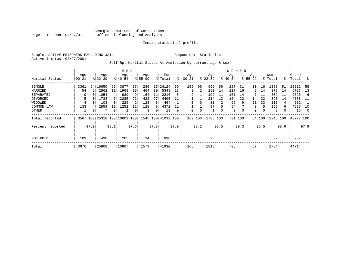Sample: ACTIVE PRISONERS EXCLUDING JAIL **Requestor:** Statistics Active inmates 02/27/2001

#### Self-Rpt Marital Status At Admission by current age & sex

|                  |           |      |           |      | M E N     |      |                                            |                 |         |           |          |                |           |      | <b>WOMEN</b> |          |             |        |          |      |           |      |
|------------------|-----------|------|-----------|------|-----------|------|--------------------------------------------|-----------------|---------|-----------|----------|----------------|-----------|------|--------------|----------|-------------|--------|----------|------|-----------|------|
|                  | Age       |      | Age       |      | Age       |      | Age                                        |                 | Men     |           | Age      |                | Age       |      | Age          |          | Age         |        | Women    |      | Grand     |      |
| Marital Status   | $00 - 21$ |      | $ 22-39 $ |      | $8 40-54$ |      | $8155 - 99$                                |                 | % Total | $\approx$ | 00-21    |                | $ 22-39 $ |      | $ 40-54 $    |          | $8155 - 99$ |        | % Total  |      | %   Total | း    |
| SINGLE           | 3361      | 94   | 16650     | 66   | 3877      | 37   | 236                                        | 15 <sup>1</sup> | 24124   | 59        | 155      | 96             | 996       | 56   | 227          | 31       | 10          | 16     | 1388     | 51   | 25512     | 58   |
| MARRIED          | 54        |      | 2862      | 11   | 1968      | 19   | 464                                        | 30              | 5348    | 13        | 3        | $\overline{2}$ | 250       | 14   | 117          | 16       | 9           | 14     | 379      | 14   | 5727      | 13   |
| SEPARATED        | 9         |      | 1054      | 4    | 989       | 9    | 164                                        | 11              | 2216    |           |          |                | 199       | 11   | 101          | 14       |             | 11     | 309      | ТT   | 2525      | -6   |
| DIVORCED         | 5         | 0    | 1783      |      | 2285      | 22   | 422                                        | 27              | 4495    |           |          |                | 214       | 12   | 164          | 22       | 14          | 22     | 393      | 14   | 4888      | -11  |
| WIDOWED          | 4         |      | 103       |      | 229       |      | 128                                        | 8               | 464     |           | $\Omega$ |                | 31        | 2    | 66           | 9        | 21          | 33     | 118      | 4    | 582       |      |
| COMMON LAW       | 133       | 4    | 2859      |      | 1252      | 12   | 128                                        | 8               | 4372    |           |          |                | 97        | 5    | 54           |          | 3           |        | 155      | 6.   | 4527      | 10   |
| OTHER            |           | 0    |           | 0    | 2         |      | 3                                          | 0               | 13      |           | $\Omega$ | $\Omega$       |           | 0    | 2            | $\Omega$ | 0           | 0      | 3        | 0    | 16        | - 0  |
| Total reported   | 3567      |      |           |      |           |      | 100 25318 100 10602 100 1545 100 41032 100 |                 |         |           | 162      | 100            | 1788      | 100  | 731          | 100      |             | 64 100 | 2745 100 |      | 43777 100 |      |
| Percent reported |           | 97.0 |           | 98.1 |           | 97.6 |                                            | 97.8            |         | 97.9      |          | 98.2           |           | 98.5 |              | 99.3     |             | 95.5   |          | 98.6 |           | 97.9 |
|                  |           |      |           |      |           |      |                                            |                 |         |           |          |                |           |      |              |          |             |        |          |      |           |      |
| NOT RPTD         | 109       |      | 490       |      | 265       |      | 34                                         |                 | 898     |           | 3        |                | 28        |      | 5            |          | 3           |        | 39       |      | 937       |      |
| Total            | 3676      |      | 25808     |      | 10867     |      | 1579                                       |                 | 41930   |           | 165      |                | 1816      |      | 736          |          | 67          |        | 2784     |      | 44714     |      |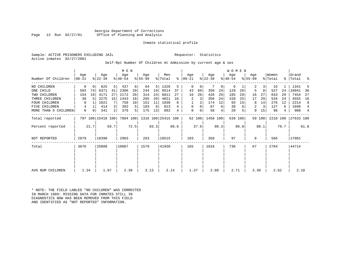Georgia Department of Corrections Office of Planning and Analysis

#### Inmate statistical profile

Sample: ACTIVE PRISONERS EXCLUDING JAIL **Requestor:** Statistics Active inmates 02/27/2001

Self-Rpt Number Of Children At Admission by current age & sex

|                      |             | M E N       |                   |                |           |      |           |      |                    |      |               |        |           |      | <b>WOMEN</b> |         |             |        |          |      |           |      |
|----------------------|-------------|-------------|-------------------|----------------|-----------|------|-----------|------|--------------------|------|---------------|--------|-----------|------|--------------|---------|-------------|--------|----------|------|-----------|------|
|                      | Age         |             | Age               |                | Age       |      | Age       |      | Men                |      | Age           |        | Age       |      | Age          |         | Age         |        | Women    |      | Grand     |      |
| Number Of Children   | $ 00-21 $   |             | $ 22-39 $         |                | $ 40-54 $ |      | $8 55-99$ |      | % Total            |      | $8   00 - 21$ |        | $ 22-39 $ |      | $ 40-54$     |         | $8155 - 99$ |        | % Total  |      | %   Total | ႜ    |
| NO CHILDREN          | $\mathbf 0$ | $\mathbf 0$ | 825               | 5 <sup>1</sup> | 437       | 6    | 64        | 5    | 1326               | 5    | $\Omega$      | 0      |           | 0    | 6            |         | 2           | 3      | 15       |      | 1341      | .5   |
| ONE CHILD            | 593         | 74          | 6371              | 41             | 2306      | 29   | 244       | 19   | 9514               | 37   | 43            | 69     | 350       | 24   | 129          | 20      | 5           | 8      | 527      | 24   | 10041     | - 36 |
| TWO CHILDREN         | 154         | 19          | 4171              | 27             | 2172      | 28   | 314       | 24   | 6811               | 27   | 16            | 26     | 426       | 29   | 185          | 29      | 16          | 27     | 643      | 29   | 7454      | 27   |
| THREE CHILDREN       | 38          | 5           | 2275              | 15             | 1443      | 18   | 265       | 20   | 4021               | 16   | 2             | 3      | 356       | 24   | 159          | 25      | 17          | 29     | 534      | 24   | 4555      | 16   |
| <b>FOUR CHILDREN</b> | 8           |             | 1021              | 7              | 758       | 10   | 151       | 11   | 1938               | 8    |               | 2      | 174       | 12   | 93           | 15      | 8           | 14     | 276      | 12   | 2214      | 8    |
| FIVE CHILDREN        | 4           |             | 414               | 3              | 392       | 5    | 103       | 8    | 913                |      | 0             | 0      | 87        | 6    | 38           |         | 2           | 3      | 127      | 6    | 1040      | 4    |
| MORE THAN 5 CHILDREN | $\mathbf 0$ | $\mathbf 0$ | 341               | 2 <sub>1</sub> | 376       | 5    | 175       | 13   | 892                | 4    | 0             | 0      | 58        |      | 29           |         | 9           | 15     | 96       | 4    | 988       | 4    |
| Total reported       |             |             | 797 100 15418 100 |                | 7884 100  |      |           |      | 1316 100 25415 100 |      |               | 62 100 | 1458 100  |      |              | 639 100 |             | 59 100 | 2218 100 |      | 27633 100 |      |
| Percent reported     |             | 21.7        |                   | 59.7           |           | 72.5 |           | 83.3 |                    | 60.6 |               | 37.6   |           | 80.3 |              | 86.8    |             | 88.1   |          | 79.7 |           | 61.8 |
| NOT REPORTED         | 2879        |             | 10390             |                | 2983      |      | 263       |      | 16515              |      | 103           |        | 358       |      | 97           |         | 8           |        | 566      |      | 17081     |      |
| Total                | 3676        |             | 25808             |                | 10867     |      | 1579      |      | 41930              |      | 165           |        | 1816      |      | 736          |         | 67          |        | 2784     |      | 44714     |      |
|                      |             |             |                   |                |           |      |           |      |                    |      |               |        |           |      |              |         |             |        |          |      |           |      |
|                      |             |             |                   |                |           |      |           |      |                    |      |               |        |           |      |              |         |             |        |          |      |           |      |
| AVG NUM CHILDREN     | 1.34        |             | 1.97              |                | 2.39      |      | 3.13      |      | 2.14               |      | 1.37          |        | 2.60      |      | 2.71         |         | 3.39        |        | 2.62     |      | 2.18      |      |

\* NOTE: THE FIELD LABLED "NO CHILDREN" WAS CORRECTED IN MARCH 1989: MISSING DATA FOR INMATES STILL IN DIAGNOSTICS NOW HAS BEEN REMOVED FROM THIS FIELD AND IDENTIFIED AS "NOT REPORTED" INFORMATION.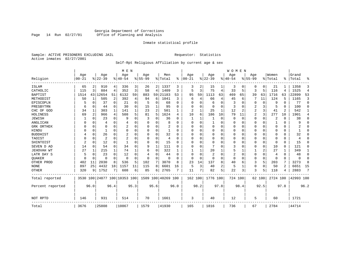#### Georgia Department of Corrections Page 14 Run 02/27/01 Office of Planning and Analysis

#### Inmate statistical profile

Sample: ACTIVE PRISONERS EXCLUDING JAIL **Requestor:** Statistics Active inmates 02/27/2001

### Self-Rpt Religious Affiliation by current age & sex

|                  |                |             |                              |              | M E N          |                |             |          |               |          |            |              |                |      | WOMEN    |                |                |          |          |          |              |             |
|------------------|----------------|-------------|------------------------------|--------------|----------------|----------------|-------------|----------|---------------|----------|------------|--------------|----------------|------|----------|----------------|----------------|----------|----------|----------|--------------|-------------|
|                  | Age            |             | Age                          |              | Age            |                | Age         |          | Men           |          | Age        |              | Age            |      | Age      |                | Age            |          | Women    |          | Grand        |             |
| Religion         | $00 - 21$      |             | $8 22-39$                    |              | $8 40-54$      |                | $8155 - 99$ |          | % Total       | ွေ       | $ 00 - 21$ |              | $8 22-39$      |      | $ 40-54$ |                | $8155 - 99$    |          | % Total  | ႜ        | Total        | ిక          |
| <b>ISLAM</b>     | 65             | 2           | 910                          | 4            | 336            | 3              | 26          |          | 2   1337      | 3        | 3          | 2            | 15             |      | 3        | 0              | 0              | 0        | 21       |          | 1358         | 3           |
| CATHOLIC         | 115            | 3           | 884                          | 4            | 352            | 3              | 58          | 4        | 1409          | 3        | 5          | 3            | 75             | 4    | 33       | 5              | 3              | 5        | 116      | 4        | 1525         | 4           |
| <b>BAPTIST</b>   | 1514           | 43          | 12654                        | 51           | 6132           | 59             | 883         | 59       | 21183         | 53       | 95         | 59           | 1113           | 63   | 469      | 65             | 39             | 63       | 1716     | 63       | 22899        | 53          |
| METHODIST        | 50             | 1           | 505                          | 2            | 392            | $\overline{4}$ | 94          | 6        | 1041          | 3        | 6          | 4            | 66             | 4    | 45       | 6              |                | 11       | 124      | 5        | 1165         | 3           |
| EPISCOPLN        | 5              | 0           | 37                           | $\mathbf 0$  | 21             | $\Omega$       | 5           | 0        | 68            | $\Omega$ | U          | U            | 6              | 0    | 3        | 0              | 0              | 0        | 9        | $\Omega$ | 77           | $\mathbf 0$ |
| PRESBYTRN        | 6              | 0           | 44                           | $\Omega$     | 30             | $\Omega$       | 15          | 1        | 95            | O        | U          | $\Omega$     | $\overline{0}$ | O    | 3        | 0              | 2              | 3        | 5        | $\Omega$ | 100          | $\Omega$    |
| CHC OF GOD       | 34             | 1           | 303                          | $\mathbf{1}$ | 141            |                | 23          | 2        | 501           |          | 2          | 1            | 25             | 1    | 12       | $\overline{2}$ | $\overline{2}$ | 3        | 41       | 2        | 542          | 1           |
| HOLINESS         | 69             | 2           | 966                          | 4            | 508            | 5              | 81          | 5        | 1624          | 4        | 10         | 6            | 186            | 10   | 79       | 11             | 2              | 3        | 277      | 10       | 1901         | 4           |
| <b>JEWISH</b>    |                | $\Omega$    | 23                           | $\Omega$     | 9              | O              | 3           | 0        | 36            | U        | 1          |              |                | 0    | $\Omega$ | 0              | 0              | 0        | 2        | $\Omega$ | 38           | $\Omega$    |
| ANGLICAN         | O              | 0           | 4                            | $\Omega$     |                | O              | O           | 0        | 8             | U        | $\Omega$   | <sup>0</sup> | 1              | 0    | O        | 0              | 0              | 0        |          | 0        | 9            | $\Omega$    |
| GRK ORTHDX       |                | $\Omega$    | O                            | $\Omega$     | $\overline{2}$ | $\Omega$       | n           | 0        | 2             | $\Omega$ | $\Omega$   | $\cap$       | $\Omega$       | O    | $\Omega$ | $\Omega$       | 0              | $\Omega$ | $\Omega$ | $\Omega$ | 2            | $\Omega$    |
| HINDU            |                | $\Omega$    |                              | $\Omega$     | $\Omega$       | $\Omega$       |             | 0        | 1             | U        | $\Omega$   | U            | $\Omega$       | 0    | $\Omega$ | $\Omega$       | 0              | $\Omega$ | $\Omega$ | $\Omega$ | $\mathbf{1}$ | $\Omega$    |
| <b>BUDDHIST</b>  |                | $\mathbf 0$ | 26                           | $\Omega$     | $\overline{c}$ | $\Omega$       | U           | 0        | 32            | O        | $\Omega$   | $\Omega$     | $\Omega$       | O    | $\Omega$ | $\Omega$       | 0              | $\Omega$ | $\Omega$ | $\Omega$ | 32           | $\Omega$    |
| TAOIST           |                | 0           | $\overline{2}$               | $\Omega$     | $\overline{c}$ |                | O           | $\Omega$ | 4             | $\Omega$ | $\Omega$   | $\Omega$     | $\Omega$       | O    | $\Omega$ | $\Omega$       | 0              | $\Omega$ | $\Omega$ | $\Omega$ | 4            | $\Omega$    |
| SHINTOIST        | $\overline{c}$ | $\Omega$    | 12                           | $\Omega$     |                | $\Omega$       | O           | $\Omega$ | 15            | U        | U          | $\cap$       | $\Omega$       | 0    | $\Omega$ | $\Omega$       | 0              | $\Omega$ | $\Omega$ | $\Omega$ | 15           | $\Omega$    |
| SEVEN D AD       | 14             | $\Omega$    | 54                           | $\Omega$     | 34             | $\Omega$       | 9           | 1        | 111           | $\cap$   | $\Omega$   | $\Omega$     | 7              | O    | 3        | $\Omega$       | 0              | $\Omega$ | 10       | $\Omega$ | 121          | 0           |
| JEHOVAH WT       | 27             | 1           | 215                          | 1            | 74             |                | 6           | 0        | 322           |          |            |              | 20             |      | 5        | 1              |                | 2        | 27       |          | 349          | 1           |
| LATR DAY S       | .5             | $\Omega$    | 23                           | $\Omega$     | 12             | $\Omega$       | 4           | 0        | 44            | O        | $\Omega$   | O            | 2              | 0    | 2        | 0              | 0              | 0        | 4        | $\Omega$ | 48           | 0           |
| QUAKER           | $\Omega$       | $\Omega$    | $\Omega$                     | $\Omega$     | $\Omega$       | $\Omega$       | $\Omega$    | $\Omega$ | $\Omega$      | $\Omega$ | $\Omega$   | $\Omega$     | $\Omega$       | 0    | $\Omega$ | $\Omega$       | 0              | 0        | $\Omega$ | $\Omega$ | $\Omega$     | 0           |
| OTHER PROD       | 402            | 11          | 2030                         | 8            | 536            | 5              | 102         | 7        | 3070          | R        | 23         | 14           | 137            | 8    | 40       | 6              | 3              | 5        | 203      | 7        | 3273         | 8           |
| <b>NONE</b>      | 897            | 25          | 4432                         | 18           | 1157           | 11             | 115         | 8        | 6601          | 16       | 5          | 3            | 40             | 2    | 5        | 1              | 0              | $\Omega$ | 50       | 2        | 6651         | 15          |
| <b>OTHER</b>     | 320            | 9           | 1752                         | 7            | 608            | 6              | 85          | б        | 2765          |          | 11         | 7            | 82             | 5    | 22       | 3              | 3              | 5        | 118      | 4        | 2883         | 7           |
| Total reported   |                |             | 3530 100 24877 100 10353 100 |              |                |                | 1509        |          | 100 40269 100 |          | 162 100    |              | 1776 100       |      | 724 100  |                |                | 62 100   | 2724 100 |          | 42993 100    |             |
| Percent reported |                | 96.0        |                              | 96.4         |                | 95.3           |             | 95.6     |               | 96.0     |            | 98.2         |                | 97.8 |          | 98.4           |                | 92.5     |          | 97.8     |              | 96.2        |
| NOT RPTD         | 146            |             | 931                          |              | 514            |                | 70          |          | 1661          |          | 3          |              | 40             |      | 12       |                | 5              |          | 60       |          | 1721         |             |
| Total            | 3676           |             | 25808                        |              | 10867          |                | 1579        |          | 41930         |          | 165        |              | 1816           |      | 736      |                | 67             |          | 2784     |          | 44714        |             |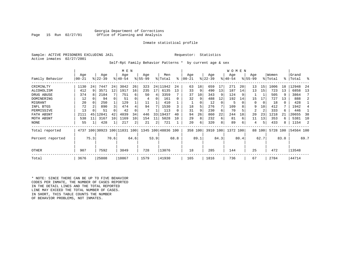#### Georgia Department of Corrections Office of Planning and Analysis

#### Inmate statistical profile

Sample: ACTIVE PRISONERS EXCLUDING JAIL **Requestor:** Statistics Active inmates 02/27/2001

#### Self-Rpt Family Behavior Patterns \* by current age & sex

|                  |          |      |                              |      | M E N     |      |          |      |                    |      |           |      |           |      | W O M E N |      |             |          |          |      |           |      |
|------------------|----------|------|------------------------------|------|-----------|------|----------|------|--------------------|------|-----------|------|-----------|------|-----------|------|-------------|----------|----------|------|-----------|------|
|                  | Age      |      | Age                          |      | Age       |      | Age      |      | Men                |      | Age       |      | Age       |      | Age       |      | Age         |          | Women    |      | Grand     |      |
| Family Behavior  | $ 00-21$ |      | $ 22-39 $                    |      | $8 40-54$ |      | $ 55-99$ |      | % Total            | ፠    | $00 - 21$ |      | $ 22-39 $ |      | $ 40-54$  |      | $8155 - 99$ |          | % Total  |      | %   Total | ႜ    |
| CRIMINLTY        | 1130     | 24   | 7447                         | 24   | 3042      | 26   | 323      | 24   | 11942              | 24   | 63        | 18   | 659       | 17   | 271       | 20   | 13          | 15       | 1006     | 18   | 12948     | 24   |
| ALCOHOLISM       | 412      | 9    | 3571                         | 12   | 1917      | 16   | 235      | 17   | 6135               | 13   | 33        | 9    | 490       | 13   | 187       | 14   | 13          | 15       | 723      | 13   | 6858      | 13   |
| DRUG ABUSE       | 374      | 8    | 2184                         |      | 751       |      | 50       | 4    | 3359               |      | 37        | 10   | 343       | 9    | 124       | q    |             |          | 505      | 9    | 3864      | 7    |
| DOMINERING       | 12       |      | 94                           |      | 51        |      | 4        |      | 161                |      | 32        | 9    | 488       | 12   | 192       | 14   | 15          | 17       | 727      | 13   | 888       | 2    |
| MIGRANT          | 20       | 0    | 250                          |      | 129       |      | 11       |      | 410                |      |           |      | 12        | 0    | 5         |      | $\Omega$    | $\Omega$ | 18       | 0    | 428       |      |
| INFL BTGS        | 72       |      | 890                          | 3    | 474       |      | 94       | 7    | 1530               |      | 18        |      | 276       | 7    | 109       |      | 9           | 10       | 412      |      | 1942      |      |
| PERMISSIVE       | 13       |      | 51                           |      | 42        |      |          |      | 113                |      | 31        | 9    | 230       | 6    | 70        |      | 2           | 2        | 333      | 6    | 446       |      |
| FATH ABSNT       | 2111     | 45   | 12841                        | 42   | 4039      | 34   | 446      | 33   | 19437              | 40   | 94        | 26   | 860       | 22   | 244       | 18   | 20          | 23       | 1218     | 21   | 20655     | 38   |
| MOTH ABSNT       | 538      | 11   | 3167                         | 10   | 1169      | 10   | 154      | 11   | 5028               | 10   | 29        | 8    | 232       | 6    | 81        | 6    | 11          | 13       | 353      | 6    | 5381      | 10   |
| NONE             | 55       |      | 428                          |      | 217       | 2    | 21       | 2    | 721                |      | 20        | б.   | 320       | 8    | 89        | 6    | 4           |          | 433      | 8    | 1154      | -2   |
| Total reported   |          |      | 4737 100 30923 100 11831 100 |      |           |      |          |      | 1345 100 48836 100 |      | 358 100   |      | 3910 100  |      | 1372 100  |      |             | 88 100   | 5728 100 |      | 54564 100 |      |
| Percent reported |          | 75.3 |                              | 70.6 |           | 64.6 |          | 53.9 |                    | 68.8 |           | 89.1 |           | 84.3 |           | 80.4 |             | 62.7     |          | 83.0 |           | 69.7 |
| <b>OTHER</b>     | 907      |      | 7592                         |      | 3849      |      | 728      |      | 13076              |      | 18        |      | 285       |      | 144       |      | 25          |          | 472      |      | 13548     |      |
| Total            | 3676     |      | 25808                        |      | 10867     |      | 1579     |      | 41930              |      | 165       |      | 1816      |      | 736       |      | 67          |          | 2784     |      | 44714     |      |

\* NOTE: SINCE THERE CAN BE UP TO FIVE BEHAVIOR CODES PER INMATE, THE NUMBER OF CASES REPORTED IN THE DETAIL LINES AND THE TOTAL REPORTED LINE MAY EXCEED THE TOTAL NUMBER OF CASES. IN SHORT, THIS TABLE COUNTS THE NUMBER OF BEHAVIOR PROBLEMS, NOT INMATES.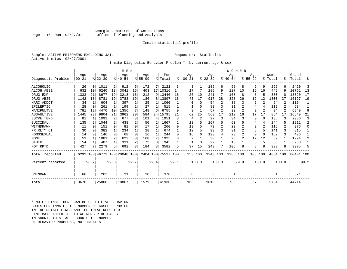#### Georgia Department of Corrections Office of Planning and Analysis

#### Inmate statistical profile

Sample: ACTIVE PRISONERS EXCLUDING JAIL **Requestor:** Statistics Active inmates 02/27/2001

#### Inmate Diagnostic Behavior Problem \* by current age & sex

|                    |           |              |           |              | M E N                        |      |           |      |            |          |           |                |           |       | WOMEN    |                |                |                |          |       |           |                |
|--------------------|-----------|--------------|-----------|--------------|------------------------------|------|-----------|------|------------|----------|-----------|----------------|-----------|-------|----------|----------------|----------------|----------------|----------|-------|-----------|----------------|
|                    | Age       |              | Age       |              | Age                          |      | Age       |      | Men        |          | Age       |                | Age       |       | Age      |                | Age            |                | Women    |       | Grand     |                |
| Diagnostic Problem | $00 - 21$ |              | $ 22-39 $ |              | $ 40-54$                     |      | $8 55-99$ |      | % Total    | ి        | $00 - 21$ |                | $8 22-39$ |       | $ 40-54$ |                | $8 55-99$      |                | % Total  | ⊱     | Total     | ႜ              |
| <b>ALCOHOLIC</b>   | 26        | 0            | 1011      | 2            | 912                          | 5.   | 172       | 7    | 2121       | 3        | 3         | 1              | 189       | 6     | 98       | 8              | 9              | 9              | 299      | 6     | 2420      | 3              |
| ALCOH ABSE         | 632       | 10           | 6240      | 13           | 3041                         | 15   | 403       |      | 17   10316 | 14       | 17        | 7              | 285       | 9     | 127      | 10             | 16             | 16             | 445      | 9     | 10761     | 13             |
| DRUG EXP           | 1333      | 21           | 8677      | 19           | 3218                         | 16   | 212       |      | 9 13440    | 18       | 26        | 10             | 241       |       | 108      | 8              |                | 5              | 380      |       | 13820     | 17             |
| DRUG ABSE          | 1142      | 18           | 8781      | 19           | 3788                         | 19   | 186       | 81   | 13897      | 18       | 43        | 17             | 917       | 28    | 328      | 26             | 12             | 12             | 1300     | 27    | 15197     | 19             |
| NARC ADDCT         | 34        | 1            | 604       |              | 397                          | 2    | 25        |      | 1060       |          |           | 0              | 54        | 2     | 38       | 3              | 2              | 2              | 94       |       | 1154      |                |
| EPILEPTIC          | 28        | 0            | 261       | $\mathbf{1}$ | 199                          |      | 27        |      | 515        |          |           | U              | 83        |       | 31       |                |                | 4              | 119      | 2     | 634       |                |
| MANIPULTVE         | 781       | 12           | 4470      | 10           | 1356                         |      | 148       | 6    | 6755       | 9        | 3         |                | 57        | 2     | 32       | 2              | $\overline{2}$ | 2              | 94       |       | 6849      | 9              |
| ASSAULTIVE         | 1445      | 23           | 9804      | 21           | 3962                         | 20   | 584       | 24   | 15795      | 21       | 62        | 25             | 563       | 17    | 212      | 16             | 17             | 17             | 854      | 17    | 16649     | 21             |
| ESCPE TEND         | 81        |              | 1092      | 2            | 677                          |      | 101       | 4    | 1951       | ζ        | 4         | $\overline{a}$ | 97        | 3     | 34       | 3              |                | 0              | 135      | 3     | 2086      | 3              |
| SUICIDAL           | 135       | 2            | 1044      | 2            | 438                          |      | 50        | 2    | 1667       | 2        | 13        | 5              | 167       |       | 60       | 5              |                | 4              | 244      | 5     | 1911      | $\overline{a}$ |
| WITHDRAWN          | 11        | <sup>0</sup> | 151       | $\Omega$     | 81                           |      | 17        |      | 260        | 0        | 13        |                | 79        |       | 22       |                | 2              | $\overline{2}$ | 116      | 2     | 376       | $\Omega$       |
| PR RLTY CT         | 30        | 0            | 382       | $\mathbf{1}$ | 234                          |      | 28        |      | 674        |          | 12        |                | 93        |       | 31       | 2              |                | 5              | 141      | ς     | 815       |                |
| HOMOSEXUAL         | 14        | $\Omega$     | 146       | $\Omega$     | 68                           | 0    | 16        |      | 244        | $\Omega$ | 16        | 6              | 123       |       | 23       | $\overline{a}$ |                | $\Omega$       | 162      | ς     | 406       |                |
| <b>NONE</b>        | 53        |              | 1081      | 2            | 623                          |      | 168       | 7    | 1925       |          |           |                | 30        |       | 25       | $\overline{a}$ | 12             | 12             | 69       |       | 1994      | 2              |
| OTHER              | 54        |              | 487       | $\mathbf{1}$ | 331                          |      | 73        | 3    | 945        |          |           |                | 22        |       | 10       |                | 5              | 5              | 38       |       | 983       |                |
| NOT RPTD           | 427       |              | 2279      | 5            | 692                          | 3    | 184       | 8    | 3582       | 5        | 37        | 15             | 243       |       | 105      | 8              | 8              | 8              | 393      |       | 3975      | 5              |
| Total reported     |           |              |           |              | 6292 100 46773 100 20048 100 |      | 2404 100  |      | 75517 100  |          | 253 100   |                | 3243 100  |       | 1285     | 100            | 103            | 100            | 4884 100 |       | 80401 100 |                |
| Percent reported   |           | 98.2         |           | 99.0         |                              | 99.7 |           | 99.4 |            | 99.1     |           | 100.0          |           | 100.0 |          | 99.9           |                | 100.0          |          | 100.0 |           | 99.2           |
| UNKNOWN            | 66        |              | 263       |              | 31                           |      | 10        |      | 370        |          | 0         |                | $\Omega$  |       |          |                | $\Omega$       |                |          |       | 371       |                |
| Total              | 3676      |              | 25808     |              | 10867                        |      | 1579      |      | 41930      |          | 165       |                | 1816      |       | 736      |                | 67             |                | 2784     |       | 44714     |                |

\* NOTE: SINCE THERE CAN BE UP TO FIVE BEHAVIOR CODES PER INMATE, THE NUMBER OF CASES REPORTED IN THE DETAIL LINES AND THE TOTAL REPORTED LINE MAY EXCEED THE TOTAL NUMBER OF CASES.IN SHORT, THIS TABLE COUNTS THE NUMBER OF BEHAVIOR PROBLEMS, NOT INMATES.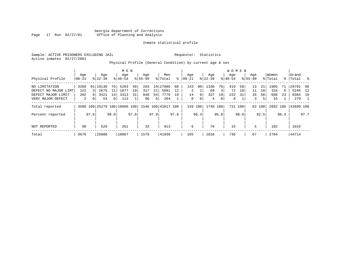Georgia Department of Corrections Page 17 Run 02/27/01 Office of Planning and Analysis

#### Inmate statistical profile

Sample: ACTIVE PRISONERS EXCLUDING JAIL **Requestor:** Statistics Active inmates 02/27/2001

Physical Profile (General Condition) by current age & sex

|                      |       |                |                              |                | M E N       |      |             |      |                    |      |                |      |             |             | W O M E N |                 |             |        |          |      |           |      |
|----------------------|-------|----------------|------------------------------|----------------|-------------|------|-------------|------|--------------------|------|----------------|------|-------------|-------------|-----------|-----------------|-------------|--------|----------|------|-----------|------|
|                      | Age   |                | Age                          |                | Age         |      | Age         |      | Men                |      | Age            |      | Age         |             | Age       |                 | Age         |        | Women    |      | Grand     |      |
| Physical Profile     | 00-21 |                | $8 22-39$                    |                | $8140 - 54$ |      | $8155 - 99$ |      | % Total            | ∻    | $ 00 - 21 $    |      | $8$   22-39 |             | $8 40-54$ |                 | $8155 - 99$ |        | % Total  | ွေ   | Total     | ိ    |
| NO LIMITATION        | 3260  |                | 91   19130                   | 76             | 5203        | 49   | 293         |      | 19 27886           | 68   | 143            | 90   | 1330        | 76          | 419       | 58              | 13          | 21     | 1905     | 71   | 29791 68  |      |
| DEFECT NO MAJOR LIMT | 122   |                | 2675                         | 11             | 1977        | 19   | 317         | 21   | 5091               | 12   | $\overline{a}$ |      | 69          | 4           | 72        | 10 <sup>°</sup> | 11          | 18     | 154      | 6    | 5245 12   |      |
| DEFECT MAJOR LIMIT   | 202   | 6 I            | 3421                         | 14             | 3313        | 31   | 840         | 54   | 7776               | 19   | 14             | 9    | 337         | 19          | 222       | 31              | 35          | 56     | 608      | 23   | 8384 19   |      |
| VERY MAJOR DEFECT    | 2     | 0 <sup>1</sup> | 53                           | 0 <sup>1</sup> | 113         |      | 96          | 6    | 264                |      | 0              | 0    | 4           | $\mathbf 0$ | 8         |                 | 3           | 51     | 15       |      | 279       |      |
| Total reported       |       |                | 3586 100 25279 100 10606 100 |                |             |      |             |      | 1546 100 41017 100 |      | 159 100        |      | 1740 100    |             | 721 100   |                 |             | 62 100 | 2682 100 |      | 43699 100 |      |
| Percent reported     |       | 97.6           |                              | 98.0           |             | 97.6 |             | 97.9 |                    | 97.8 |                | 96.4 |             | 95.8        |           | 98.0            |             | 92.5   |          | 96.3 |           | 97.7 |
| NOT REPORTED         | 90    |                | 529                          |                | 261         |      | 33          |      | 913                |      | 6              |      | 76          |             | 15        |                 | 5           |        | 102      |      | 1015      |      |
| Total                | 3676  |                | 25808                        |                | 10867       |      | 1579        |      | 41930              |      | 165            |      | 1816        |             | 736       |                 | 67          |        | 2784     |      | 44714     |      |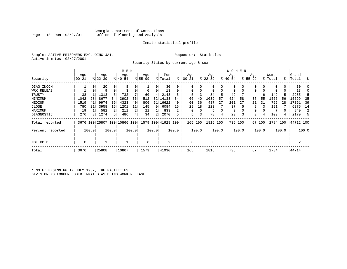#### Georgia Department of Corrections Office of Planning and Analysis

#### Inmate statistical profile

Sample: ACTIVE PRISONERS EXCLUDING JAIL **Requestor:** Statistics Active inmates 02/27/2001

Security Status by current age & sex

|                  |          |       |           |          | M E N     |       |          |       |                                                 |       |           |       |           |       | W O M E N   |       |             |        |             |       |           |       |
|------------------|----------|-------|-----------|----------|-----------|-------|----------|-------|-------------------------------------------------|-------|-----------|-------|-----------|-------|-------------|-------|-------------|--------|-------------|-------|-----------|-------|
|                  | Age      |       | Age       |          | Age       |       | Age      |       | Men                                             |       | Age       |       | Age       |       | Age         |       | Age         |        | Women       |       | Grand     |       |
| Security         | $ 00-21$ |       | $ 22-39 $ |          | $8 40-54$ |       | $ 55-99$ |       | % Total                                         | ႜ     | $00 - 21$ |       | $ 22-39 $ |       | $ 40-54$    |       | $8155 - 99$ |        | % Total     |       | %   Total | း     |
| DIAG INCOM       |          | 0     | 20        | 0        | 8         |       |          | 0     | 30                                              |       | O         |       | 0         | 0     |             |       |             | 0      | 0           | 0     | 30        |       |
| WRK RELEAS       |          |       | 9         | $\Omega$ |           |       | 0        | 0     | 13                                              | 0     | $\Omega$  |       | 0         | 0     | 0           |       | 0           |        | 0           | 0     | 13        |       |
| TRUSTY           | 38       |       | 1313      | 5        | 732       |       | 60       | 4     | 2143                                            |       | 5         |       | 84        | 5     | 49          |       | 4           | 6      | 142         |       | 2285      |       |
| MINIMUM          | 1042     | 28    | 8677      | 34       | 3902      | 36    | 512      | 32    | 14133                                           | 34    | 66        | 40    | 1039      | 57    | 424         | 58    | 37          | 55     | 1566        | 56    | 15699     | 35    |
| MEDIUM           | 1519     | 41    | 9974      | 39       | 4323      | 40    | 806      | 51    | 16622                                           | 40    | 60        | 36    | 487       | 27    | 201         | 27    | 21          | 31     | 769         | 28    | 17391     | 39    |
| CLOSE            | 780      | 21    | 3958      | 15       | 1201      | 11    | 145      | 9     | 6084                                            | 15    | 29        | 18    | 123       |       | 37          |       | 2           |        | 191         |       | 6275      | 14    |
| MAXIMUM          | 19       |       | 582       |          | 211       | 2     | 21       |       | 833                                             | 2     | $\Omega$  |       | 5         | 0     | 2           |       | 0           |        |             |       | 840       | 2     |
| DIAGNOSTIC       | 276      | 8     | 1274      | 5        | 486       |       | 34       | 2     | 2070                                            | 5     | 5         |       | 78        | 4     | 23          | 3     | 3           | 4      | 109         | 4     | 2179      | 5     |
| Total reported   |          |       |           |          |           |       |          |       | 3676 100 25807 100 10866 100 1579 100 41928 100 |       | 165       | 100   | 1816 100  |       | 736 100     |       |             | 67 100 | 2784 100    |       | 44712 100 |       |
| Percent reported |          | 100.0 |           | 100.0    |           | 100.0 |          | 100.0 |                                                 | 100.0 |           | 100.0 |           | 100.0 |             | 100.0 |             | 100.0  |             | 100.0 |           | 100.0 |
| NOT RPTD         | 0        |       |           |          |           |       | 0        |       | 2                                               |       | $\Omega$  |       | $\Omega$  |       | $\mathbf 0$ |       |             |        | $\mathbf 0$ |       |           |       |
| Total            | 3676     |       | 25808     |          | 10867     |       | 1579     |       | 41930                                           |       | 165       |       | 1816      |       | 736         |       | 67          |        | 2784        |       | 44714     |       |

\* NOTE: BEGINNING IN JULY 1987, THE FACILITIES DIVISION NO LONGER CODED INMATES AS BEING WORK RELEASE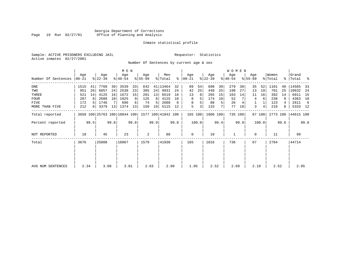#### Georgia Department of Corrections Page 19 Run 02/27/01 Office of Planning and Analysis

#### Inmate statistical profile

Sample: ACTIVE PRISONERS EXCLUDING JAIL **Requestor:** Statistics Active inmates 02/27/2001

Number Of Sentences by current age & sex

|                     |           |      |           |      | M E N                        |      |           |      |                    |      |               |       |           |      | W O M E N    |         |             |        |          |      |           |      |
|---------------------|-----------|------|-----------|------|------------------------------|------|-----------|------|--------------------|------|---------------|-------|-----------|------|--------------|---------|-------------|--------|----------|------|-----------|------|
|                     | Age       |      | Age       |      | Age                          |      | Age       |      | Men                |      | Age           |       | Age       |      | Age          |         | Age         |        | Women    |      | Grand     |      |
| Number Of Sentences | $00 - 21$ |      | $ 22-39 $ |      | $ 40-54 $                    |      | $8 55-99$ |      | % Total            |      | $8   00 - 21$ |       | $ 22-39 $ |      | $ 40-54 $    |         | $8155 - 99$ |        | % Total  |      | %   Total | ႜ    |
| $_{\rm ONE}$        | 1515      | 41   | 7768      | 30   | 3539                         | 33   | 642       | 41   | 13464              | 32   | 89            | 54    | 698       | 39   | 279          | 38      | 35          | 52     | 1101     | 40   | 14565     | 33   |
| TWO                 | 951       | 26   | 6057      | 24   | 2538                         | 23   | 385       | 24   | 9931               | 24   | 42            | 25    | 448       | 25   | 198          | 27      | 13          | 19     | 701      | 25   | 10632     | -24  |
| THREE               | 521       | 14   | 4125      | 16   | 1672                         | 15   | 201       | 13   | 6519               | 16   | 13            | 8     | 265       | 15   | 103          | 14      | 11          | 16     | 392      | 14   | 6911      | 15   |
| <b>FOUR</b>         | 287       | 8    | 2688      | 10   | 1025                         | 9    | 125       | 8    | 4125               | 10   | 8             | 5     | 174       | 10   | 52           |         | 4           | 6      | 238      | 9    | 4363      | 10   |
| <b>FIVE</b>         | 172       |      | 1746      |      | 696                          | 6    | 74        | 5    | 2688               | 6    | 8             |       | 88        | 5    | 26           |         |             |        | 123      | 4    | 2811      | -6   |
| MORE THAN FIVE      | 212       | 6    | 3379      | 13   | 1374                         | 13   | 150       | 10   | 5115               | 12   | 5             | 3     | 133       | 7    | 77           | 10      | 3           | 4      | 218      | 8    | 5333 12   |      |
| Total reported      |           |      |           |      | 3658 100 25763 100 10844 100 |      |           |      | 1577 100 41842 100 |      | 165 100       |       | 1806 100  |      |              | 735 100 |             | 67 100 | 2773 100 |      | 44615 100 |      |
| Percent reported    |           | 99.5 |           | 99.8 |                              | 99.8 |           | 99.9 |                    | 99.8 |               | 100.0 |           | 99.4 |              | 99.9    |             | 100.0  |          | 99.6 |           | 99.8 |
| NOT REPORTED        | 18        |      | 45        |      | 23                           |      | 2         |      | 88                 |      | $\mathbf 0$   |       | 10        |      | $\mathbf{1}$ |         | $\Omega$    |        | 11       |      | 99        |      |
| Total               | 3676      |      | 25808     |      | 10867                        |      | 1579      |      | 41930              |      | 165           |       | 1816      |      | 736          |         | 67          |        | 2784     |      | 44714     |      |
|                     |           |      |           |      |                              |      |           |      |                    |      |               |       |           |      |              |         |             |        |          |      |           |      |
| AVG NUM SENTENCES   | 2.34      |      | 3.08      |      | 3.01                         |      | 2.63      |      | 2.98               |      | 1.95          |       | 2.52      |      | 2.69         |         | 2.19        |        | 2.52     |      | 2.95      |      |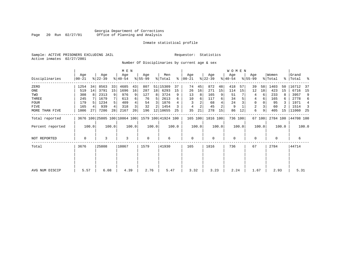#### Georgia Department of Corrections Page 20 Run 02/27/01 Office of Planning and Analysis

#### Inmate statistical profile

Sample: ACTIVE PRISONERS EXCLUDING JAIL **Requestor:** Statistics Active inmates 02/27/2001

Number Of Disciplinaries by current age & sex

|                  |                |       |                  |       | M E N                        |       |                  |       |                    |       |                 |       |                  |       | W O M E N        |       |                  |        |                  |       |                      |       |
|------------------|----------------|-------|------------------|-------|------------------------------|-------|------------------|-------|--------------------|-------|-----------------|-------|------------------|-------|------------------|-------|------------------|--------|------------------|-------|----------------------|-------|
| Disciplinaries   | Age<br>  00-21 |       | Age<br>$ 22-39 $ |       | Age<br>$ 40-54 $             |       | Age<br>$ 55-99 $ |       | Men<br>% Total     | ႜ     | Age<br>$ 00-21$ |       | Age<br>$ 22-39 $ |       | Age<br>$ 40-54 $ |       | Age<br>$8 55-99$ |        | Women<br>% Total |       | Grand<br>%   Total % |       |
| ZERO             | 1254           | 34    | 8563             | 33    | 4685                         | 43    | 807              |       | 51   15309         | 37    | 74              | 45    | 872              | 48    | 418              | 57    | 39               | 58     | 1403             | 50    | 16712                | -37   |
| ONE              | 519            | 14    | 3791             | 15    | 1696                         | 16    | 287              | 18    | 6293               | 15    | 26              | 16    | 271              | 15    | 114              | 15    | 12               | 18     | 423              | 15    | 6716                 | -15   |
| TWO              | 308            | 8     | 2313             | 9     | 976                          | 9     | 127              | 8     | 3724               | 9     | 13              | 8     | 165              | 9     | 51               |       | 4                | 6      | 233              |       | 3957                 | 9     |
| THREE            | 245            |       | 1679             |       | 613                          |       | 76               | 5     | 2613               |       | 10              | 6     | 117              | 6     | 34               |       | 4                | 6      | 165              | 6.    | 2778                 | 6     |
| <b>FOUR</b>      | 179            | .5.   | 1234             | 5     | 409                          |       | 54               | 3     | 1876               |       |                 |       | 68               |       | 24               |       | 0                |        | 95               |       | 1971                 | 4     |
| FIVE             | 165            | 4     | 939              | 4     | 318                          |       | 32               | 2     | 1454               |       | 4               |       | 45               | 2     | 9                |       | 2                |        | 60               |       | 1514                 | 3     |
| MORE THAN FIVE   | 1006           | 27    | 7286             | 28    | 2167                         | 20    | 196              | 12    | 10655              | 25    | 35              | 21    | 278              | 15    | 86               | 12    | 6                | 9      | 405              | 15    | 11060 25             |       |
| Total reported   |                |       |                  |       | 3676 100 25805 100 10864 100 |       |                  |       | 1579 100 41924 100 |       | 165 100         |       | 1816 100         |       | 736 100          |       |                  | 67 100 | 2784 100         |       | 44708 100            |       |
| Percent reported |                | 100.0 |                  | 100.0 |                              | 100.0 |                  | 100.0 |                    | 100.0 |                 | 100.0 |                  | 100.0 |                  | 100.0 |                  | 100.0  |                  | 100.0 |                      | 100.0 |
| NOT REPORTED     | 0              |       |                  |       | 3                            |       | 0                |       | 6                  |       | 0               |       | 0                |       | $\mathbf 0$      |       | 0                |        | 0                |       | 6                    |       |
| Total            | 3676           |       | 25808            |       | 10867                        |       | 1579             |       | 41930              |       | 165             |       | 1816             |       | 736              |       | 67               |        | 2784             |       | 44714                |       |
|                  |                |       |                  |       |                              |       |                  |       |                    |       |                 |       |                  |       |                  |       |                  |        |                  |       |                      |       |
|                  |                |       |                  |       |                              |       |                  |       |                    |       |                 |       |                  |       |                  |       |                  |        |                  |       |                      |       |
| AVG NUM DISCIP   | 5.57           |       | 6.08             |       | 4.39                         |       | 2.76             |       | 5.47               |       | 3.32            |       | 3.23             |       | 2.24             |       | 1.67             |        | 2.93             |       | 5.31                 |       |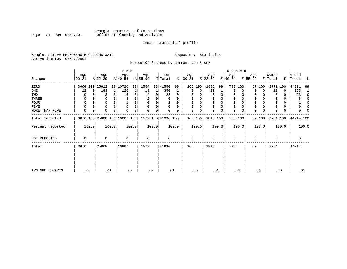#### Georgia Department of Corrections Page 21 Run 02/27/01 Office of Planning and Analysis

#### Inmate statistical profile

Sample: ACTIVE PRISONERS EXCLUDING JAIL **Requestor:** Statistics Active inmates 02/27/2001

Number Of Escapes by current age & sex

|                  |                  |          |                  |          | M E N                        |       |                 |          |                    |          |                   |       |                  |          | W O M E N        |             |                  |        |                  |       |                    |              |
|------------------|------------------|----------|------------------|----------|------------------------------|-------|-----------------|----------|--------------------|----------|-------------------|-------|------------------|----------|------------------|-------------|------------------|--------|------------------|-------|--------------------|--------------|
| Escapes          | Age<br>$00 - 21$ |          | Age<br>$ 22-39 $ |          | Age<br>$ 40-54 $             |       | Age<br>$ 55-99$ |          | Men<br>% Total     | ႜႂ       | Age<br>$ 00 - 21$ |       | Age<br>$ 22-39 $ |          | Age<br>$ 40-54 $ |             | Age<br>$8 55-99$ |        | Women<br>% Total |       | Grand<br>%   Total | ಿ            |
| ZERO             |                  |          | 3664 100 25612   |          | 99 10720                     | 99    | 1554            |          | 98 41550           | 99       | 165               | 100   | 1806             | 99       |                  | 733 100     | 67               | 100    | 2771             | 100   | 44321              | 99           |
| ONE              | 12               | $\Omega$ | 193              | $1\vert$ | 126                          |       | 19              | 1        | 350                |          | $\mathbf 0$       | 0     | 10               | 1        | 3                | 0           | $\Omega$         | 0      | 13               | 0     | 363                | 1            |
| TWO              |                  |          | 3                | 0        | 16                           | 0     | 4               | 0        | 23                 | $\Omega$ | $\Omega$          |       | 0                | 0        | 0                | $\Omega$    | 0                |        | 0                | 0     | 23                 | $\Omega$     |
| THREE            | 0                |          |                  |          |                              |       |                 |          | 6                  | 0        | $\Omega$          |       | 0                | 0        | $\mathbf 0$      |             | 0                |        |                  | 0     | 6                  | <sup>0</sup> |
| FOUR             | $\Omega$         |          |                  | $\Omega$ |                              |       | $\Omega$        | $\Omega$ |                    | 0        | $\Omega$          |       | $\Omega$         | $\Omega$ | $\Omega$         | O           | $\Omega$         |        |                  | 0     |                    | <sup>0</sup> |
| FIVE             | $\Omega$         |          | 0                |          | $\Omega$                     |       | $\Omega$        | 0        | $\Omega$           | $\Omega$ | $\Omega$          | 0     | 0                | 0        | $\mathbf 0$      | $\Omega$    | 0                |        |                  | 0     |                    | n            |
| MORE THAN FIVE   | 0                | 0        |                  | $\Omega$ |                              | 0     | $\Omega$        | 0        |                    |          | $\Omega$          | 0     | $\Omega$         | 0        | $\mathbf 0$      | $\mathbf 0$ | $\mathbf 0$      |        |                  | 0     |                    |              |
| Total reported   |                  |          |                  |          | 3676 100 25808 100 10867 100 |       |                 |          | 1579 100 41930 100 |          | 165 100           |       | 1816 100         |          |                  | 736 100     |                  | 67 100 | 2784 100         |       | 44714 100          |              |
| Percent reported |                  | 100.0    |                  | 100.0    |                              | 100.0 |                 | 100.0    |                    | 100.0    |                   | 100.0 |                  | 100.0    |                  | 100.0       |                  | 100.0  |                  | 100.0 |                    | 100.0        |
| NOT REPORTED     | 0                |          | 0                |          | $\mathbf 0$                  |       | $\mathbf 0$     |          | 0                  |          | $\mathbf 0$       |       | 0                |          | $\mathbf 0$      |             | 0                |        | 0                |       | 0                  |              |
| Total            | 3676             |          | 25808            |          | 10867                        |       | 1579            |          | 41930              |          | 165               |       | 1816             |          | 736              |             | 67               |        | 2784             |       | 44714              |              |
|                  |                  |          |                  |          |                              |       |                 |          |                    |          |                   |       |                  |          |                  |             |                  |        |                  |       |                    |              |
| AVG NUM ESCAPES  | .00              |          | .01              |          | .02                          |       | .02             |          | .01                |          | .00               |       | .01              |          | .00              |             |                  | .00    | .00              |       | .01                |              |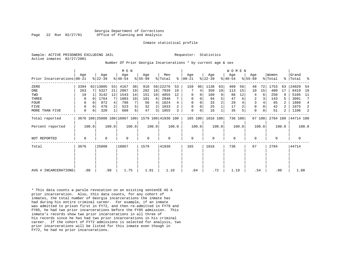Sample: ACTIVE PRISONERS EXCLUDING JAIL **Requestor:** Statistics Active inmates 02/27/2001

Number Of Prior Georgia Incarcerations \* by current age & sex

|                            |          |       |                  |       | M E N                                           |          |                  |       |                |       |                  |       |                  |       | WOMEN            |       |                  |        |                  |       |                |       |
|----------------------------|----------|-------|------------------|-------|-------------------------------------------------|----------|------------------|-------|----------------|-------|------------------|-------|------------------|-------|------------------|-------|------------------|--------|------------------|-------|----------------|-------|
| Prior Incarcerations 00-21 | Aqe      |       | Age<br>$ 22-39 $ |       | Age<br>$ 40-54 $                                |          | Age<br>$8 55-99$ |       | Men<br>% Total | ႜ     | Age<br>$ 00-21 $ |       | Age<br>$ 22-39 $ |       | Age<br>$8 40-54$ |       | Age<br>$8 55-99$ |        | Women<br>% Total | ႜ     | Grand<br>Total | ್ಠಿ   |
| ZERO                       | 3394     |       | 92 13805         | 53    | 4167                                            | 38       | 910              |       | 58 22276       | 53    | 158              | 96    | 1138             | 63    | 409              | 56    | 48               | 72     | 1753             | 63    | 24029          | 54    |
| ONE                        | 263      |       | 5327             | 21    | 2067                                            | 19       | 282              | 18    | 7939           | 19    |                  | 4     | 350              | 19    | 113              | 15    | 10               | 15     | 480              | 17    | 8419           | 19    |
| TWO                        | 19       |       | 3142             | 12    | 1543                                            | 14       | 151              | 10    | 4855           | 12    | 0                | 0     | 160              | 9     | 86               | 12    | 4                | 6      | 250              | 9     | 5105           | 11    |
| THREE                      | 0        | 0     | 1764             |       | 1083                                            | 10       | 101              | 6     | 2948           |       | $\mathbf 0$      | 0     | 94               | 5     | 47               | 6     | 2                | 3      | 143              | 5     | 3091           | 7     |
| <b>FOUR</b>                | $\Omega$ |       | 972              |       | 796                                             | 7        | 56               | 4     | 1824           |       | 0                |       | 33               | 2     | 29               |       | 3                |        | 65               |       | 1889           | 4     |
| <b>FIVE</b>                | 0        |       | 478              |       | 523                                             | 5        | 32               | 2     | 1033           |       | $\Omega$         | 0     | 25               |       | 17               |       | $\mathbf 0$      | 0      | 42               |       | 1075           | 2     |
| MORE THAN FIVE             | 0        | 0     | 320              |       | 688                                             | $6 \mid$ | 47               | 3     | 1055           | 3     | $\mathbf 0$      | 0     | 16               |       | 35               |       | $\mathbf{0}$     | 0      | 51               | 2     | 1106           | 2     |
| Total reported             |          |       |                  |       | 3676 100 25808 100 10867 100 1579 100 41930 100 |          |                  |       |                |       | 165 100          |       | 1816 100         |       | 736 100          |       |                  | 67 100 | 2784 100         |       | 44714 100      |       |
| Percent reported           |          | 100.0 |                  | 100.0 |                                                 | 100.0    |                  | 100.0 |                | 100.0 |                  | 100.0 |                  | 100.0 |                  | 100.0 |                  | 100.0  |                  | 100.0 |                | 100.0 |
| NOT REPORTED               | $\Omega$ |       |                  |       | $\Omega$                                        |          | $\mathbf 0$      |       | $\Omega$       |       | 0                |       | $\Omega$         |       | $\mathbf 0$      |       | $\mathbf 0$      |        | $\Omega$         |       | 0              |       |
| Total                      | 3676     |       | 25808            |       | 10867                                           |          | 1579             |       | 41930          |       | 165              |       | 1816             |       | 736              |       | 67               |        | 2784             |       | 44714          |       |
|                            |          |       |                  |       |                                                 |          |                  |       |                |       |                  |       |                  |       |                  |       |                  |        |                  |       |                |       |
|                            |          |       |                  |       |                                                 |          |                  |       |                |       |                  |       |                  |       |                  |       |                  |        |                  |       |                |       |
| AVG # INCARCERATIONS       |          | .08   |                  | .98   | 1.75                                            |          | 1.01             |       | 1.10           |       | .04              |       | .72              |       | 1.19             |       | .54              |        | .80              |       | 1.08           |       |

\* This data counts a parole revocation on an existing sentenCE AS A prior incarceration. Also, this data counts, for any cohort of inmates, the total number of Georgia incarcerations the inmate has had during his entire criminal career. For example, if an inmate was admitted to prison first in FY72, and then re-admitted in FY79 and FY85, he had two prior incarcerations before the FY85 admission. This inmate's records show two prior incarcerations in all three of his records since he has had two prior incarcerations in his criminal career. If the cohort of FY72 admissions is selected for analysis, two prior incarcerations will be listed for this inmate even though in FY72, he had no prior incarcerations.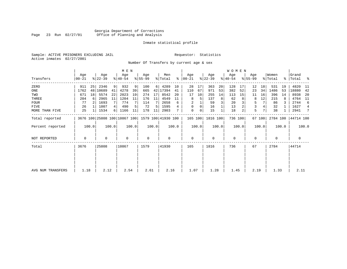#### Georgia Department of Corrections Page 23 Run 02/27/01 Office of Planning and Analysis

#### Inmate statistical profile

Sample: ACTIVE PRISONERS EXCLUDING JAIL **Requestor:** Statistics Active inmates 02/27/2001

Number Of Transfers by current age & sex

|                   |                |       |                  |       | M E N            |       |                  |       |                                                 |       |                  |       |                  |       | W O M E N        |         |                  |        |                  |       |                      |                |
|-------------------|----------------|-------|------------------|-------|------------------|-------|------------------|-------|-------------------------------------------------|-------|------------------|-------|------------------|-------|------------------|---------|------------------|--------|------------------|-------|----------------------|----------------|
| Transfers         | Age<br>  00-21 |       | Age<br>$ 22-39 $ |       | Age<br>$8 40-54$ |       | Age<br>$8 55-99$ |       | Men<br>% Total                                  | ႜ     | Aqe<br>$ 00-21 $ |       | Age<br>$ 22-39 $ |       | Age<br>$ 40-54 $ |         | Age<br>$8 55-99$ |        | Women<br>% Total |       | Grand<br>%   Total % |                |
| ZERO              | 911            | 25    | 2346             | 9     | 932              | 9     | 100              | 6     | 4289                                            | 10    | 28               | 17    | 363              | 20    | 128              | 17      | 12               | 18     | 531              | 19    | 4820                 | - 11           |
| ONE               | 1762           |       | 48 10689         | 41    | 4278             | 39    | 665              | 42    | 17394                                           | 41    | 110              | 67    | 971              | 53    | 382              | 52      | 23               | 34     | 1486             | 53    | 18880                | 42             |
| TWO               | 671            | 18    | 5574             | 22    | 2023             | 19    | 274              | 17    | 8542                                            | 20    | 17               | 10    | 255              | 14    | 113              | 15      | 11               | 16     | 396              | 14    | 8938                 | 20             |
| THREE             | 204            | 6     | 2965             | 11    | 1204             | 11    | 176              | 11    | 4549                                            | 11    | 8                | 5     | 137              | 8     | 62               |         | 8                | 12     | 215              |       | 4764                 | - 11           |
| <b>FOUR</b>       | 77             |       | 1693             | 7     | 774              |       | 114              |       | 2658                                            | 6     | 2                |       | 59               |       | 20               |         | 5                |        | 86               |       | 2744                 | -6             |
| FIVE              | 26             |       | 1007             | 4     | 490              |       | 72               | 5.    | 1595                                            |       | $\Omega$         | 0     | 16               |       | 13               |         | 3                |        | 32               |       | 1627                 | $\overline{4}$ |
| MORE THAN FIVE    | 25             |       | 1534             | 6     | 1166             | 11    | 178              | 11    | 2903                                            |       | 0                | 0     | 15               |       | 18               |         | 5                |        | 38               |       | 2941                 | 7              |
| Total reported    |                |       |                  |       |                  |       |                  |       | 3676 100 25808 100 10867 100 1579 100 41930 100 |       | 165 100          |       | 1816 100         |       |                  | 736 100 |                  | 67 100 | 2784 100         |       | 44714 100            |                |
| Percent reported  |                | 100.0 |                  | 100.0 |                  | 100.0 |                  | 100.0 |                                                 | 100.0 |                  | 100.0 |                  | 100.0 |                  | 100.0   |                  | 100.0  |                  | 100.0 |                      | 100.0          |
| NOT REPORTED      | 0              |       | $\Omega$         |       | $\Omega$         |       | $\mathbf 0$      |       | $\mathbf 0$                                     |       | 0                |       | $\mathbf 0$      |       | $\mathbf{0}$     |         | 0                |        | 0                |       | 0                    |                |
| Total             | 3676           |       | 25808            |       | 10867            |       | 1579             |       | 41930                                           |       | 165              |       | 1816             |       | 736              |         | 67               |        | 2784             |       | 44714                |                |
|                   |                |       |                  |       |                  |       |                  |       |                                                 |       |                  |       |                  |       |                  |         |                  |        |                  |       |                      |                |
|                   |                |       |                  |       |                  |       |                  |       |                                                 |       |                  |       |                  |       |                  |         |                  |        |                  |       |                      |                |
| AVG NUM TRANSFERS | 1.18           |       | 2.12             |       | 2.54             |       | 2.61             |       | 2.16                                            |       | 1.07             |       | 1.28             |       | 1.45             |         | 2.19             |        | 1.33             |       | 2.11                 |                |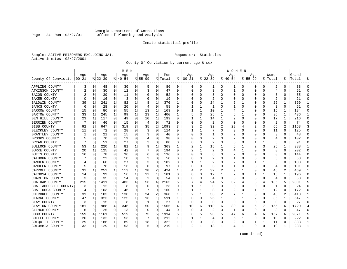#### Georgia Department of Corrections Page 24 Run 02/27/01 Office of Planning and Analysis

#### Inmate statistical profile

Sample: ACTIVE PRISONERS EXCLUDING JAIL **Requestor:** Statistics Active inmates 02/27/2001

County Of Conviction by current age & sex

|                            |                |             |          |              | M E N     |                |             |              |         |              |          |          |          |          | W O M E N    |          |             |                |                |              |       |              |
|----------------------------|----------------|-------------|----------|--------------|-----------|----------------|-------------|--------------|---------|--------------|----------|----------|----------|----------|--------------|----------|-------------|----------------|----------------|--------------|-------|--------------|
|                            | Age            |             | Age      |              | Age       |                | Age         |              | Men     |              | Age      |          | Age      |          | Age          |          | Aqe         |                | Women          |              | Grand |              |
| County Of Conviction 00-21 |                |             | $ 22-39$ |              | $8 40-54$ |                | $8155 - 99$ |              | % Total | နွ           | $ 00-21$ |          | $ 22-39$ |          | $ 40-54$     |          | $8155 - 99$ |                | % Total        | ႜ            | Total |              |
| APPLING COUNTY             | 3              | 0           | 48       | 0            | 30        | 0              | 5           | 0            | 86      | 0            | 0        | 0        | 1        | 0        | ı            | 0        | 0           | $\overline{0}$ | 2              | 0            | 88    | $\Omega$     |
| ATKINSON COUNTY            | $\overline{a}$ | $\mathbf 0$ | 30       | 0            | 12        | $\mathbf 0$    |             | 0            | 47      | $\Omega$     | $\Omega$ | $\Omega$ | 3        | $\Omega$ | $\mathbf{1}$ | 0        | 0           | 0              | 4              | $\Omega$     | 51    | $\Omega$     |
| <b>BACON COUNTY</b>        |                | 0           | 39       | 0            | 11        | 0              |             | 0            | 52      | 0            |          | 0        | 3        | U        | O            | 0        | U           | 0              | 3              | O            | 55    | $\Omega$     |
| BAKER COUNTY               |                | 0           | 16       | 0            | 3         | 0              | O           | 0            | 19      | 0            |          |          | 2        | U        |              | 0        |             | U              | $\overline{2}$ | 0            | 21    | $\Omega$     |
| BALDWIN COUNTY             | 39             | 1           | 241      | 1            | 82        | 1              | 8           | 1            | 370     |              |          | U        | 24       | 1        |              | -1       |             | U              | 29             | 1            | 399   | 1            |
| <b>BANKS COUNTY</b>        | 6              | 0           | 28       | 0            | 20        | 0              | 4           | 0            | 58      | 0            |          | 1        | -1       | U        |              | $\Omega$ | U           | 0              | 3              | 0            | 61    | $\Omega$     |
| <b>BARROW COUNTY</b>       | 15             | 0           | 86       | 0            | 55        | 1              | 13          | 1            | 169     | 0            |          | 1        | 10       | 1        |              |          |             | 0              | 15             | 1            | 184   | $\Omega$     |
| <b>BARTOW COUNTY</b>       | 33             | 1           | 245      | $\mathbf{1}$ | 99        | $\mathbf{1}$   | 23          | $\mathbf{1}$ | 400     | $\mathbf{1}$ | 5        | 3        | 25       | 1        | 6            | 1        | U           | 0              | 36             | $\mathbf{1}$ | 436   | 1            |
| BEN HILL COUNTY            | 23             | 1           | 117      | $\Omega$     | 49        | $\Omega$       | 10          | $\mathbf{1}$ | 199     | $\Omega$     |          | 1        | 14       | 1        |              | $\Omega$ | 0           | 0              | 17             | 1            | 216   | $\Omega$     |
| BERRIEN COUNTY             |                | 0           | 46       | 0            | 15        | 0              | 4           | $\mathbf 0$  | 72      | 0            |          | 0        | 2        | 0        |              | 0        | 0           | 0              | $\overline{2}$ | $\Omega$     | 74    | $\Omega$     |
| <b>BIBB COUNTY</b>         | 92             | 3           | 647      | 3            | 319       | 3              | 35          | 2            | 1093    | 3            |          | 2        | 32       | 2        | 28           | 4        |             | 3              | 65             | 2            | 1158  | ζ            |
| BLECKLEY COUNTY            | 11             | 0           | 72       | 0            | 28        | 0              | 3           | 0            | 114     | 0            |          |          |          | U        | 3            | $\Omega$ | 0           | 0              | 11             | 0            | 125   | $\Omega$     |
| BRANTLEY COUNTY            |                | 0           | 21       | 0            | 15        | 0              |             | 0            | 40      | O            |          | $\Omega$ | -1       | U        | 2            | 0        | 0           | 0              | 3              | $\Omega$     | 43    | $\Omega$     |
| BROOKS COUNTY              |                | $\Omega$    | 70       | $\Omega$     | 19        | 0              |             | 0            | 98      | $\Omega$     |          | O        | 2        | U        |              | O        | U           | U              | 4              | 0            | 102   | $\Omega$     |
| BRYAN COUNTY               |                | 0           | 51       | 0            | 27        | 0              |             | 0            | 88      | 0            |          | O        | 2        | U        |              | 0        |             | 1              | 3              | 0            | 91    | $\Omega$     |
| BULLOCH COUNTY             | 53             | 1           | 220      | 1            | 81        | 1              | 9           | 1            | 363     |              |          |          | 15       |          |              |          | 2           | 3              | 25             |              | 388   | $\mathbf{1}$ |
| <b>BURKE COUNTY</b>        | 20             | 1           | 125      | $\Omega$     | 42        | $\Omega$       |             | $\Omega$     | 194     | $\Omega$     |          |          | 2        | 0        |              | 1        | U           | 0              | 8              | $\Omega$     | 202   | $\Omega$     |
| BUTTS COUNTY               | 16             | 0           | 78       | $\Omega$     | 36        | 0              | 6           | 0            | 136     | 0            |          | 0        | 6        | U        | 2            | $\Omega$ | 0           | 0              | 8              | 0            | 144   | $\Omega$     |
| CALHOUN COUNTY             |                | 0           | 22       | 0            | 18        | $\Omega$       |             | 0            | 50      | $\Omega$     |          | O        | 2        | O        |              | $\Omega$ |             | 0              | 3              | O            | 53    | $\Omega$     |
| CAMDEN COUNTY              |                | 0           | 68       | $\Omega$     | 27        | $\Omega$       |             | 0            | 102     | $\Omega$     |          | 1        | 2        | U        | 2            | $\Omega$ |             | 1              | 6              | 0            | 108   | $\Omega$     |
| CANDLER COUNTY             |                | 0           | 76       | 0            | 16        | 0              | $\Omega$    | 0            | 97      | 0            |          | 0        | 3        | U        |              | $\Omega$ | U           | U              | 4              | O            | 101   | $\Omega$     |
| CARROLL COUNTY             | 31             | 1           | 252      | 1            | 113       | 1              | 28          | 2            | 424     |              |          | 2        | 32       | 2        | 9            |          |             | 0              | 45             | 2            | 469   |              |
| CATOOSA COUNTY             | 14             | 0           | 99       | 0            | 56        | 1              | 12          | 1            | 181     | O            |          | $\Omega$ | 12       | 1        | 2            | $\Omega$ |             | 1              | 15             | 1            | 196   | $\Omega$     |
| CHARLTON COUNTY            | 3              | 0           | 35       | 0            | 14        | $\mathbf{0}$ . | 2           | 0            | 54      | 0            | 0        | $\Omega$ | 4        | 0        | 0            | $\Omega$ | 0           | 0              | 4              | 0            | 58    | $\Omega$     |
| CHATHAM COUNTY             | 215            | 6           | 1411     | 5            | 483       | 4              | 56          | 4            | 2165    | 5            |          | 4        | 94       | 5        | 32           | 4        | 3           | 4              | 136            | 5            | 2301  | 5            |
| CHATTAHOOCHEE COUNTY       | 3              | 0           | 12       | $\Omega$     | 8         | $\Omega$       | 0           | 0            | 23      | 0            | 1        | 1        | O        | 0        | O            | $\Omega$ | 0           | 0              | 1              | $\Omega$     | 24    | $\Omega$     |
| CHATTOOGA COUNTY           | 4              | 0           | 103      | 0            | 46        | 0              |             | $\Omega$     | 160     | 0            |          | 1        | 8        | 0        | 2            | 0        |             | 1              | 12             | 0            | 172   | $\Omega$     |
| CHEROKEE COUNTY            | 31             | 1           | 183      | 1            | 130       | 1              | 24          | 2            | 368     |              |          |          | 36       | 2        |              |          | 0           | 0              | 45             | 2            | 413   | 1            |
| CLARKE COUNTY              | 47             | 1           | 323      | 1            | 125       | 1              | 16          | 1            | 511     | 1            | U        | O        | 26       | 1        | 8            | -1       | 2           | 3              | 36             | 1            | 547   | 1            |
| CLAY COUNTY                | 3              | 0           | 15       | 0            | 8         | 0              | 1           | 0            | 27      | 0            | $\Omega$ | 0        | $\Omega$ | O        | O            | $\Omega$ | 0           | 0              | $\Omega$       | 0            | 27    | $\Omega$     |
| CLAYTON COUNTY             | 181            | 5           | 988      | 4            | 346       | 3              | 50          | 3            | 1565    | 4            | 10       | 6        | 110      | 6        | 30           | 4        | 5           | 7              | 155            | 6            | 1720  | 4            |
| CLINCH COUNTY              | 6              | $\mathbf 0$ | 25       | 0            | 13        | 0              | 0           | 0            | 44      | 0            | $\Omega$ | 0        | 2        | 0        | $\mathbf{1}$ | 0        | 0           | 0              | 3              | $\Omega$     | 47    | $\Omega$     |
| COBB COUNTY                | 159            | 4           | 1161     | 5            | 519       | 5              | 75          | 5            | 1914    | 5            |          | 5        | 98       | 5        | 47           | 6        | 4           | 6              | 157            | 6            | 2071  | 5            |
| COFFEE COUNTY              | 20             | 1           | 132      | 1            | 53        | 0              |             | 0            | 212     |              |          |          | 4        | 0        |              | 1        | 0           | 0              | 10             | 0            | 222   | $\Omega$     |
| COLQUITT COUNTY            | 29             | 1           | 186      | 1            | 89        | 1              | 18          | 1            | 322     | 1            | O        | 0        | 8        | 0        | 2            | 0        |             | 1              | 11             | 0            | 333   | 1            |
| COLUMBIA COUNTY            | 32             | 1           | 129      | 1            | 53        | 0              | 5           | 0            | 219     | 1            | 2        | 1        | 13       | 1        | 4            | 1        | O           | 0              | 19             | 1            | 238   | 1            |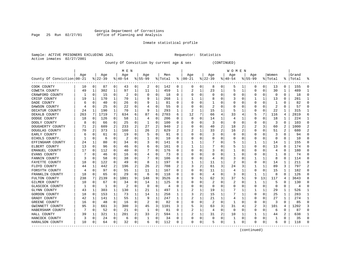#### Georgia Department of Corrections Page 25 Run 02/27/01 Office of Planning and Analysis

#### Inmate statistical profile

| Sample: ACTIVE PRISONERS EXCLUDING JAIL | Requestor: Statistics |  |
|-----------------------------------------|-----------------------|--|
| Active inmates 02/27/2001               |                       |  |

County Of Conviction by current age & sex (CONTINUED)

|                            |     |             |           |              | M E N          |          |          |                |         |                |              |              |                |   | <b>WOMEN</b>   |                |             |          |                         |          |                |               |
|----------------------------|-----|-------------|-----------|--------------|----------------|----------|----------|----------------|---------|----------------|--------------|--------------|----------------|---|----------------|----------------|-------------|----------|-------------------------|----------|----------------|---------------|
|                            | Age |             | Age       |              | Age            |          | Age      |                | Men     |                | Age          |              | Age            |   | Aqe            |                | Age         |          | Women                   |          | Grand          |               |
| County Of Conviction 00-21 |     |             | $8 22-39$ |              | $8 40-54$      |          | $ 55-99$ |                | % Total | ႜ              | $ 00-21$     |              | $ 22-39$       |   | $8140 - 54$    |                | $8155 - 99$ |          | % Total                 |          | %   Total      |               |
| COOK COUNTY                | 10  | 0           | 87        | 0            | 43             | 0        | 2        | 0              | 142     | 0              | 0            | 0            | 8              | 0 | 5              | 1              | 0           | 0        | 13                      | 0        | 155            | $\Omega$      |
| COWETA COUNTY              | 49  | 1           | 302       | 1            | 97             | 1        | 11       | 1              | 459     |                |              |              | 23             | 1 | 5              | 1              | 0           | 0        | 30                      | 1        | 489            | 1             |
| CRAWFORD COUNTY            | -1  | $\mathbf 0$ | 15        | $\Omega$     | 2              | $\Omega$ | $\Omega$ | 0              | 18      | 0              | $\Omega$     | $\Omega$     | $\Omega$       | O |                | $\mathbf 0$    | $\Omega$    | $\Omega$ | $\Omega$                | $\Omega$ | 18             | $\Omega$      |
| CRISP COUNTY               | 19  | 1           | 170       | $\mathbf{1}$ | 70             | 1        |          | 1              | 268     | 1              |              | 1            |                | U |                | $\Omega$       |             | 1        | 13                      | $\Omega$ | 281            |               |
| DADE COUNTY                | 6   | $\Omega$    | 40        | $\Omega$     | 26             | $\Omega$ |          | 1              | 81      | 0              |              | 0            |                | 0 |                | $\Omega$       | 0           | O        | -1                      | O        | 82             | ∩             |
| DAWSON COUNTY              |     | 0           | 25        | 0            | 22             | 0        |          | 0              | 55      | 0              |              | 0            | 2              | 0 |                | 0              | 0           | 0        | $\overline{\mathbf{c}}$ | 0        | 57             | $\Omega$      |
| DECATUR COUNTY             | 24  | 1           | 190       | $\mathbf{1}$ | 70             | 1        | 9        | 1              | 293     | 1              |              | 1            | 15             | 1 |                | 1              | 0           | 0        | 22                      | 1        | 315            | -1            |
| DEKALB COUNTY              | 263 | 7           | 1719      | 7            | 634            | 6        | 87       | 6              | 2703    | б              | 12           | 7            | 66             | 4 | 33             | 4              | 5           | 7        | 116                     | 4        | 2819           | 6             |
| DODGE COUNTY               | 18  | 0           | 126       | $\Omega$     | 58             | 1        | 4        | 0              | 206     | O              | $\Omega$     | $\Omega$     | 14             | 1 | 4              | 1              | 0           | $\Omega$ | 18                      | 1        | 224            | -1            |
| DOOLY COUNTY               | 8   | 0           | 66        | $\Omega$     | 25             | 0        | 1        | 0              | 100     | 0              |              | O            | 3              | O | C              | 0              | 0           | O        | 3                       | $\Omega$ | 103            | $\Omega$      |
| DOUGHERTY COUNTY           | 71  | 2           | 609       | 2            | 233            | 2        | 27       | 2              | 940     |                |              |              | 40             | 2 | 18             | 2              |             | 3        | 60                      | 2        | 1000           | $\mathcal{D}$ |
| DOUGLAS COUNTY             | 70  | 2           | 373       | $\mathbf{1}$ | 160            | 1        | 26       | 2              | 629     | $\mathfrak{D}$ |              |              | 33             | 2 | 16             | $\overline{2}$ | $\Omega$    | $\Omega$ | 51                      | 2        | 680            |               |
| EARLY COUNTY               | 6   | $\Omega$    | 61        | $\Omega$     | 19             | 0        | 5        | 0              | 91      | O              |              | 0            | 3              | 0 | 0              | $\Omega$       | 0           | 0        | 3                       | 0        | 94             | ∩             |
| ECHOLS COUNTY.             |     | 0           | 6         | 0            | -2             | 0        |          | 0              | 10      | 0              |              | 0            | $\Omega$       | 0 |                | 0              | 0           | $\Omega$ | $\Omega$                | 0        | 10             |               |
| EFFINGHAM COUNTY           | 24  | 1           | 80        | 0            | 34             | 0        |          | 0              | 141     | 0              |              |              |                | 0 |                | 1              |             | 1        | 14                      | 1        | 155            | ∩             |
| ELBERT COUNTY              | 13  | $\mathbf 0$ | 96        | O            | 46             | $\Omega$ | 6        | 0              | 161     | O              |              | $\mathbf{1}$ |                | U | 5              | 1              | $\Omega$    | $\Omega$ | 13                      | $\Omega$ | 174            | $\Omega$      |
| EMANUEL COUNTY             | 17  | 0           | 112       | $\Omega$     | 40             | 0        |          | 0              | 176     | O              |              | 0            | 3              | U |                | 0              | U           | O        | 4                       | $\Omega$ | 180            | $\Omega$      |
| EVANS COUNTY               |     | 0           | 46        | 0            | 16             | 0        | 4        | 0              | 73      | O              |              | O            | O              | U |                | 0              | U           | O        | 1                       | $\Omega$ | 74             | $\Omega$      |
| FANNIN COUNTY              |     | 0           | 58        | U            | 38             | 0        |          | 0              | 106     | O              |              | U            | 4              | 0 | 3              | 0              |             | 1        | 8                       | $\Omega$ | 114            |               |
| FAYETTE COUNTY             | 18  | 0           | 122       | O            | 49             | $\Omega$ | 8        | 1              | 197     | O              |              |              | 11             | 1 | 2              | $\Omega$       | $\Omega$    | $\Omega$ | 14                      | 1        | 211            | $\Omega$      |
| FLOYD COUNTY               | 44  | 1           | 442       | 2            | 196            | 2        | 26       | $\overline{2}$ | 708     | 2              | 3            | 2            | 61             | 3 | 24             | 3              |             | 1        | 89                      | 3.       | 797            | 2             |
| FORSYTH COUNTY             |     | $\Omega$    | 97        | 0            | 55             | 1        | 11       | 1              | 167     | O              |              | $\Omega$     | 11             | 1 | 4              | -1             | O           | $\Omega$ | 15                      | 1        | 182            | ∩             |
| FRANKLIN COUNTY            | 18  | 0           | 65        | 0            | 29             | $\Omega$ | 6        | 0              | 118     | 0              |              | O            | 4              | O | 3              | $\mathbf 0$    | 1           | 1        | 8                       | $\Omega$ | 126            |               |
| FULTON COUNTY              | 238 | 7           | 2139      | 8            | 1001           | 9        | 148      | 9              | 3526    | 8              |              | 5            | 62             | 3 | 37             | 5              | 9           | 13       | 117                     | 4        | 3643           |               |
| GILMER COUNTY              | 10  | $\mathbf 0$ | 67        | O            | 34             | $\Omega$ | 14       | 1              | 125     | O              |              | O            | 2              | O | $\overline{2}$ | 0              | 1           | 1        | 5                       | $\Omega$ | 130            | ∩             |
| GLASCOCK COUNTY            | -1  | $\mathbf 0$ | -1        | $\Omega$     | $\overline{2}$ | 0        | $\Omega$ | 0              | 4       | O              | <sup>0</sup> | $\Omega$     | $\Omega$       | O | C              | 0              | 0           | $\Omega$ | 0                       | 0        | $\overline{4}$ | $\Omega$      |
| GLYNN COUNTY               | 43  | 1           | 303       | 1            | 130            | 1        | 21       | 1              | 497     | 1              | 2            |              | 19             | 1 |                | 1              |             | 1        | 29                      | 1        | 526            | -1            |
| GORDON COUNTY              | 18  | 0           | 153       | 1            | 73             | 1        | 14       | 1              | 258     | 1              |              | 2            | 15             | 1 |                |                | 0           | O        | 25                      | 1        | 283            |               |
| GRADY COUNTY               | 42  | 1           | 141       | $\mathbf 1$  | 55             | 1        | 9        | 1              | 247     |                |              |              | 21             | 1 | 4              | 1              | 0           | O        | 27                      | 1        | 274            | $\mathbf{1}$  |
| GREENE COUNTY              | 16  | 0           | 48        | 0            | 16             | 0        | 2        | 0              | 82      | O              | <sup>0</sup> | 0            | $\overline{2}$ | O |                | 0              | O           | O        | 3                       | $\Omega$ | 85             | $\Omega$      |
| GWINNETT COUNTY            | 95  | 3           | 661       | 3            | 300            | 3        | 45       | 3              | 1101    | 3              | 5            | 3            | 63             | 3 | 31             | 4              |             | 3        | 101                     | 4        | 1202           | 3             |
| HABERSHAM COUNTY           |     | 0           | 52        | 0            | 21             | 0        | 1        | 0              | 81      | 0              | 2            | 1            | 4              | 0 | $\mathbf 0$    | $\mathbf 0$    | $\Omega$    | 0        | 6                       | $\Omega$ | 87             |               |
| HALL COUNTY                | 39  | 1           | 321       | $\mathbf{1}$ | 201            | 2        | 33       | $\overline{a}$ | 594     |                |              | 1            | 31             | 2 | 10             | 1              |             | 1        | 44                      | 2        | 638            |               |
| HANCOCK COUNTY             | 3   | $\mathbf 0$ | 24        | 0            | 6              | 0        |          | $\mathbf 0$    | 34      | 0              | <sup>0</sup> | 0            | $\Omega$       | 0 |                | 0              | $\Omega$    | 0        |                         | $\Omega$ | 35             | $\Omega$      |
| HARALSON COUNTY            | 10  | 0           | 64        | 0            | 32             | 0        | 6        | 0              | 112     | 0              | $\Omega$     | 0            | 5              | 0 |                | 0              | O           | 0        | 6                       | 0        | 118            |               |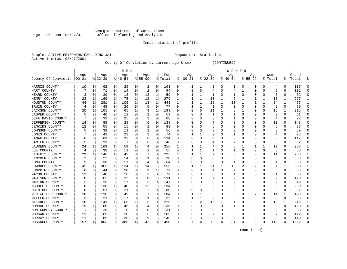#### Georgia Department of Corrections Page 26 Run 02/27/01 Office of Planning and Analysis

#### Inmate statistical profile

|                           | Sample: ACTIVE PRISONERS EXCLUDING JAIL | Requestor: Statistics |  |
|---------------------------|-----------------------------------------|-----------------------|--|
| Active inmates 02/27/2001 |                                         |                       |  |
|                           |                                         |                       |  |

County Of Conviction by current age & sex (CONTINUED)

|                            |                |             |           |              | M E N     |              |          |             |         |          |          |              |              |   | W O M E N |             |             |              |                         |          |           |          |
|----------------------------|----------------|-------------|-----------|--------------|-----------|--------------|----------|-------------|---------|----------|----------|--------------|--------------|---|-----------|-------------|-------------|--------------|-------------------------|----------|-----------|----------|
|                            | Age            |             | Age       |              | Age       |              | Age      |             | Men     |          | Age      |              | Age          |   | Aqe       |             | Age         |              | Women                   |          | Grand     |          |
| County Of Conviction 00-21 |                |             | $8 22-39$ |              | $8 40-54$ |              | $ 55-99$ |             | % Total | ႜ        | $ 00-21$ |              | $ 22-39$     |   | $ 40-54$  |             | $8155 - 99$ |              | % Total                 |          | %   Total |          |
| HARRIS COUNTY              | 10             | 0           | 62        | 0            | 29        | 0            | 2        | 0           | 103     | 0        |          | 1            | 3            | 0 | 0         | 0           | 0           | 0            | 4                       | 0        | 107       | $\Omega$ |
| HART COUNTY                |                | 0           | 71        | 0            | 14        | 0            | 2        | 0           | 94      | 0        | $\Omega$ | 0            | 4            | 0 | 4         | 1           | 0           | 0            | 8                       | 0        | 102       | ∩        |
| HEARD COUNTY               | 3              | $\mathbf 0$ | 30        | $\Omega$     | 13        | $\Omega$     | 13       | 1           | 59      | 0        |          | 1            | $\mathbf{1}$ | O |           | $\mathbf 0$ | U           | $\Omega$     | 3                       | $\Omega$ | 62        |          |
| HENRY COUNTY               | 23             | 1           | 169       | $\mathbf{1}$ | 75        | $\mathbf{1}$ | 12       | 1           | 279     | 1        |          | 1            | 10           | 1 | 6         | 1           |             | $\mathbf{1}$ | 18                      | 1        | 297       | -1       |
| HOUSTON COUNTY             | 44             | 1           | 281       | 1            | 105       | 1            | 13       | 1           | 443     | 1        | 1        | 1            | 22           | 1 | 10        | 1           |             | 1            | 34                      | 1        | 477       | -1       |
| IRWIN COUNTY               |                | 0           | 48        | 0            | 20        | $\Omega$     |          | $\mathbf 0$ | 77      | $\Omega$ |          | 1            | $\mathbf{1}$ | 0 |           | 0           | 0           | $\Omega$     | $\overline{c}$          | $\Omega$ | 79        | $\Omega$ |
| <b>JACKSON COUNTY</b>      | 20             | 1           | 105       | 0            | 65        | 1            | 9        | 1           | 199     | O        | 0        | $\Omega$     | 11           | 1 | 5         | 1           | 0           | 0            | 16                      | 1        | 215       | $\Omega$ |
| <b>JASPER COUNTY</b>       |                | $\mathbf 0$ | 40        | 0            | 13        | $\Omega$     |          | 0           | 59      | $\Omega$ |          | 0            | -1           | O |           | 0           | U           | O            | 2                       | $\Omega$ | 61        | $\Omega$ |
| JEFF DAVIS COUNTY          |                | 0           | 33        | $\Omega$     | 25        | 0            |          | 0           | 68      | 0        |          | 0            |              | U |           | 0           | U           | $\Omega$     | 4                       | $\Omega$ | 72        | $\Omega$ |
| JEFFERSON COUNTY           | 14             | 0           | 89        | 0            | 29        | 0            | 6        | 0           | 138     | 0        |          |              |              | U | 3         | 0           | U           | O            | 10                      | O        | 148       | $\Omega$ |
| <b>JENKINS COUNTY</b>      | 12             | 0           | 55        | 0            | 15        | 0            |          | 0           | 83      | O        |          |              | 5            | U |           | $\Omega$    | U           | O            | 5                       | N        | 88        |          |
| JOHNSON COUNTY             |                | $\Omega$    | 39        | O            | 11        | $\Omega$     |          | $\Omega$    | 56      | $\Omega$ |          | U            | 3            | U |           | $\Omega$    | U           | O            | Р                       | $\Omega$ | 59        |          |
| JONES COUNTY               |                | $\Omega$    | 42        | $\Omega$     | 22        | 0            |          | 0           | 74      | $\Omega$ |          |              | 2            | 0 |           | $\Omega$    | 0           | O            | 4                       | 0        | 78        |          |
| LAMAR COUNTY               |                | 0           | 69        | $\Omega$     | 33        | 0            | 6        | 0           | 114     | 0        |          | $\Omega$     | 0            | 0 | 3         | 0           | 0           | 0            | 3                       | 0        | 117       |          |
| LANIER COUNTY              | 2              | 0           | 31        | 0            | 7         | 0            | 6        | 0           | 46      | 0        |          | 0            |              | 0 | 2         | 0           | 0           | 0            | 6                       | 0        | 52        | ∩        |
| LAURENS COUNTY             | 24             | 1           | 169       | 1            | 59        | 1            |          | 0           | 256     | 1        |          | 1            |              | O | 6         | 1           | 1           | 1            | 12                      | $\Omega$ | 268       | -1       |
| LEE COUNTY                 | $\overline{4}$ | $\mathbf 0$ | 38        | $\Omega$     | 11        | 0            |          | 0           | 55      | $\Omega$ |          | 1            |              | U |           | 0           | U           | $\Omega$     | 3                       | $\Omega$ | 58        | $\Omega$ |
| LIBERTY COUNTY             | 29             | 1           | 146       | 1            | 43        | 0            |          | 0           | 225     | ı        |          | ı            |              | O | 3         | 0           | U           | $\Omega$     | 11                      | O        | 236       | -1       |
| LINCOLN COUNTY             |                | 0           | 22        | 0            | 14        | 0            |          | 0           | 38      | O        |          | U            | <sup>0</sup> | U |           | 0           | U           | O            | 0                       |          | 38        | $\Omega$ |
| LONG COUNTY                | 5              | $\Omega$    | 38        | $\Omega$     | 17        | $\Omega$     | 4        | 0           | 64      | O        |          | O            | २            | O |           | $\Omega$    | U           | $\Omega$     | 4                       | $\Omega$ | 68        |          |
| LOWNDES COUNTY             | 42             | 1           | 363       | 1            | 134       | 1            | 14       | 1           | 553     | 1        |          | 1            | 21           | 1 | 13        | 2           | 2           | 3            | 37                      | 1        | 590       |          |
| LUMPKIN COUNTY             | 6              | 0           | 44        | $\Omega$     | 20        | 0            | 9        | 1           | 79      | $\Omega$ |          | $\Omega$     | 4            | 0 | 2         | 0           | O           | O            | 6                       | 0        | 85        | ∩        |
| MACON COUNTY               | 11             | 0           | 48        | 0            | 18        | 0            |          | 0           | 79      | $\Omega$ |          | O            | U            | O |           | 0           | U           | 0            | -1                      | $\Omega$ | 80        |          |
| MADISON COUNTY             |                | $\mathbf 0$ | 62        | 0            | 33        | 0            | 8        | 1           | 111     | O        |          | O            |              | 0 | 2         | 0           | U           | O            | g                       | $\Omega$ | 120       |          |
| MARION COUNTY              |                | $\mathbf 0$ | 26        | $\Omega$     | 17        | $\Omega$     | 2        | 0           | 47      | $\Omega$ |          | U            |              | U | 2         | 0           | U           | O            | 2                       | $\Omega$ | 49        | $\Omega$ |
| MCDUFFIE COUNTY            |                | $\mathbf 0$ | 136       | 1            | 40        | 0            | 12       | 1           | 194     | 0        |          | 1            | 5            | 0 |           | 0           | U           | O            | 9                       | $\Omega$ | 203       | $\Omega$ |
| MCINTOSH COUNTY            | 6              | 0           | 51        | $\Omega$     | 21        | 0            | 2        | 0           | 80      | O        |          | $\Omega$     | 2            | 0 | C         | 0           | U           | $\Omega$     | $\overline{\mathbf{c}}$ | O        | 82        | $\Omega$ |
| MERIWETHER COUNTY          | 18             | 0           | 110       | 0            | 49        | $\Omega$     |          | 0           | 184     | O        |          |              | 8            | 0 | 3         | 0           | 2           | 3            | 14                      | 1        | 198       |          |
| MILLER COUNTY              | 3              | 0           | 21        | 0            |           | 0            |          | 0           | 32      | O        |          |              |              | U |           | $\Omega$    | $\Omega$    | O            | 3                       | $\Omega$ | 35        | ∩        |
| MITCHELL COUNTY            | 16             | 0           | 141       | $\mathbf{1}$ | 66        | 1            |          | 0           | 226     | 1        |          | 2            | 15           | 1 |           | 0           | U           | O            | 19                      | 1        | 245       |          |
| MONROE COUNTY              | 19             | 1           | 68        | 0            | 45        | 0            |          | 0           | 136     | 0        |          | <sup>0</sup> |              | O |           | 0           | U           | 0            | 3                       | 0        | 139       | $\Omega$ |
| MONTGOMERY COUNTY          |                | 0           | 20        | 0            | 10        | 0            |          | 0           | 31      | O        |          | $\Omega$     |              | 0 | 2         | 0           | U           | $\Omega$     | 2                       | 0        | 33        | $\Omega$ |
| MORGAN COUNTY              | 11             | 0           | 69        | 0            | 20        | 0            |          | 0           | 105     | 0        |          | 0            |              | 0 |           | 0           | C           | 0            |                         | 0        | 112       |          |
| MURRAY COUNTY              | 11             | $\mathbf 0$ | 85        | 0            | 38        | 0            | 9        | $\mathbf 1$ | 143     | 0        |          | 0            | 3            | 0 | 2         | 0           | U           | $\Omega$     | 5                       | 0        | 148       | $\Omega$ |
| MUSCOGEE COUNTY            | 157            | 4           | 863       | 3            | 388       | 4            | 42       | 3           | 1450    | 3        | 7        | 4            | 72           | 4 | 31        | 4           | 2           | 3            | 112                     | 4        | 1562      |          |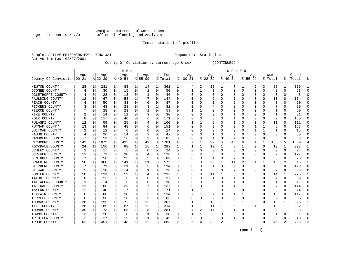#### Georgia Department of Corrections Page 27 Run 02/27/01 Office of Planning and Analysis

#### Inmate statistical profile

|                |            | Sample: ACTIVE PRISONERS EXCLUDING JAI |  |
|----------------|------------|----------------------------------------|--|
| Active inmates | 02/27/2001 |                                        |  |

IL Requestor: Statistics

County Of Conviction by current age & sex (CONTINUED)

|                            |     |             |           |             | M E N     |          |           |          |         |          |              |          |              |   | W O M E N |             |             |              |          |          |           |               |
|----------------------------|-----|-------------|-----------|-------------|-----------|----------|-----------|----------|---------|----------|--------------|----------|--------------|---|-----------|-------------|-------------|--------------|----------|----------|-----------|---------------|
|                            | Age |             | Age       |             | Age       |          | Age       |          | Men     |          | Age          |          | Age          |   | Age       |             | Age         |              | Women    |          | Grand     |               |
| County Of Conviction 00-21 |     |             | $8 22-39$ |             | $8 40-54$ |          | $8 55-99$ |          | % Total | ៖        | $ 00-21$     |          | $ 22-39$     |   | $ 40-54$  |             | $8155 - 99$ |              | % Total  |          | %   Total |               |
| NEWTON COUNTY              | 28  | 1           | 231       | 1           | 88        | 1        | 14        | 1        | 361     | 1        | 4            | 2        | 15           | 1 | 7         | 1           | 2           | 3            | 28       | 1        | 389       |               |
| OCONEE COUNTY              | 4   | 0           | 30        | 0           | 15        | 0        | 1         | 0        | 50      | 0        |              | 1        | 2            | 0 | $\Omega$  | 0           | $\Omega$    | 0            | 3        | 0        | 53        | $\Omega$      |
| OGLETHORPE COUNTY          | 4   | $\Omega$    | 28        | $\Omega$    | 13        | $\Omega$ |           | $\Omega$ | 46      | $\Omega$ |              | U        | $\Omega$     | 0 | $\Omega$  | 0           | 0           | 0            | $\Omega$ | 0        | 46        |               |
| PAULDING COUNTY            | 12  | $\Omega$    | 67        | $\Omega$    | 58        | 1        |           | 0        | 144     | 0        |              | 0        | 9            | 0 |           | $\Omega$    | 0           | 0            | 10       | 0        | 154       |               |
| PEACH COUNTY               |     | $\Omega$    | 50        | 0           | 33        | $\Omega$ | 0         | 0        | 87      | 0        |              | U        |              | 0 | 2         | 0           | 0           | 0            | 3        | 0        | 90        |               |
| PICKENS COUNTY             |     | 0           | 43        | 0           | 28        | 0        |           | 1        | 82      | 0        |              | 0        | 4            | 0 |           | 0           | 0           | 0            |          | 0        | 89        |               |
| PIERCE COUNTY              |     | 0           | 28        | $\Omega$    | 23        | $\Omega$ |           | 0        | 59      | $\Omega$ |              | 1        |              | 0 |           | 0           | 0           | 0            | -1       | 0        | 60        | ∩             |
| PIKE COUNTY                |     | 0           | 14        | $\Omega$    | 11        | 0        |           | 0        | 30      | $\Omega$ | ∩            | $\Omega$ |              | 0 |           | 0           | 0           | O            |          | $\Omega$ | 31        | ∩             |
| POLK COUNTY                | 8   | 0           | 117       | $\Omega$    | 40        | 0        | 6         | 0        | 171     | 0        |              | 0        | 8            | 0 |           | 0           | 0           | $\Omega$     | 9        | $\Omega$ | 180       | $\Omega$      |
| PULASKI COUNTY             | 12  | 0           | 59        | 0           | 25        | 0        |           | 0        | 100     | 0        |              |          | 9            | U |           | 0           | 0           | O            | 11       | O        | 111       | $\Omega$      |
| PUTNAM COUNTY              | 13  | $\Omega$    | 84        | O           | 48        | 0        | 6         | 0        | 151     | O        |              | U        |              | U | 2         | 0           | 1           | $\mathbf{1}$ | 6        | $\Omega$ | 157       | $\Omega$      |
| QUITMAN COUNTY             | 2   | $\Omega$    | 12        | $\Omega$    | $\Omega$  | $\Omega$ |           | 0        | 14      | O        |              | 0        | <sup>0</sup> | U | U         | 0           | 1           | $\mathbf{1}$ |          | $\Omega$ | 15        | ∩             |
| RABUN COUNTY               |     | $\Omega$    | 26        | $\Omega$    | 14        | 0        |           | $\Omega$ | 47      | O        |              | $\Omega$ | -1           | O | 2         | $\Omega$    | $\Omega$    | $\Omega$     | 3        | O        | 50        |               |
| RANDOLPH COUNTY            |     | $\Omega$    | 59        | 0           | 16        | 0        | 3         | 0        | 85      | U        |              | $\Omega$ | 1            | 0 | 2         | $\mathbf 0$ | 0           | 0            | 3        | O        | 88        |               |
| RICHMOND COUNTY            | 141 | 4           | 1079      | 4           | 432       | 4        | 49        | 3        | 1701    | 4        |              | 1        | 92           | 5 | 43        | 6           | 1           | 1            | 138      | 5        | 1839      |               |
| ROCKDALE COUNTY            | 24  | 1           | 156       | $\mathbf 1$ | 88        | 1        | 15        | 1        | 283     | 1        |              | 1        | 10           | 1 | 8         | 1           | 0           | 0            | 19       | 1        | 302       | -1            |
| SCHLEY COUNTY              | 2   | 0           | 17        | $\Omega$    | -5        | 0        | 0         | 0        | 24      | $\Omega$ | ∩            | 0        | O            | U | 0         | 0           | 0           | 0            | 0        | 0        | 24        | $\Omega$      |
| SCREVEN COUNTY             | 11  | 0           | 73        | 0           | 30        | 0        | 4         | 0        | 118     | 0        | 3            | 2        | 6            | U | 0         | 0           | 0           | O            | 9        | 0        | 127       | ∩             |
| SEMINOLE COUNTY            |     | 0           | 56        | 0           | 23        | 0        |           | 0        | 89      | 0        |              |          | 4            | 0 | 2         | 0           | 0           | 0            | 6        | 0        | 95        |               |
| SPALDING COUNTY            | 50  | 1           | 360       | 1           | 141       | 1        | 21        | 1        | 572     | 1        |              | 3        | 23           | 1 | 14        | 2           |             | $\mathbf{1}$ | 43       | 2        | 615       | -1            |
| STEPHENS COUNTY            |     | 0           | 71        | $\Omega$    | 31        | 0        |           | 0        | 114     | 0        |              | U        | 4            | 0 | 2         | 0           | 0           | $\Omega$     | 6        | 0        | 120       | ∩             |
| STEWART COUNTY             |     | 0           | 18        | 0           | 4         | 0        |           | 0        | 28      | 0        |              | 0        | 0            | 0 | 2         | 0           | 0           | 0            | 2        | 0        | 30        | ∩             |
| SUMTER COUNTY              | 18  | 0           | 131       | $\mathbf 1$ | 59        | 1        |           | 0        | 212     | 1        |              | 0        | 11           | 1 | 3         | 0           | 0           | 0            | 14       | 1        | 226       |               |
| TALBOT COUNTY              |     | $\mathbf 0$ | 23        | 0           | 6         | 0        |           | 0        | 37      | 0        |              | 0        | -1           | 0 |           | 0           | 0           | 0            | 2        | 0        | 39        | $\cap$        |
| TALIAFERRO COUNTY          |     | 0           | 4         | 0           | 5         | 0        | O         | 0        | 10      | $\Omega$ |              | U        | 0            | U |           | 0           | 0           | O            | 1        | $\Omega$ | 11        | $\cap$        |
| TATTNALL COUNTY            | 11  | 0           | 86        | 0           | 33        | 0        |           | 0        | 137     | 0        | O            | 0        | 3            | 0 | 4         | 1           | 0           | 0            | 7        | 0        | 144       | ∩             |
| TAYLOR COUNTY              | 12  | 0           | 40        | 0           | 17        | 0        | 2         | 0        | 71      | 0        |              |          | 2            | 0 |           | 0           | 0           | 0            | 3        | O        | 74        | $\Omega$      |
| TELFAIR COUNTY             | 6   | 0           | 88        | 0           | 38        | 0        | 2         | 0        | 134     | 0        |              |          |              | 0 |           |             | 0           | 0            | 13       | 0        | 147       |               |
| TERRELL COUNTY             | 6   | 0           | 56        | 0           | 18        | $\Omega$ | 3         | 0        | 83      | 0        | <sup>0</sup> | 0        | 2            | 0 |           | $\Omega$    | 0           | 0            | 2        | 0        | 85        | ∩             |
| THOMAS COUNTY              | 28  | 1           | 195       | 1           | 72        | 1        | 12        | 1        | 307     | 1        |              | 1        | 13           | 1 |           | 1           | 0           | $\Omega$     | 19       | 1        | 326       |               |
| TIFT COUNTY                | 26  | 1           | 189       | $\mathbf 1$ | 87        | 1        | 12        | 1        | 314     | 1        |              | 1        | 11           | 1 | 5         | 1           | 1           | 1            | 18       | 1        | 332       | $\mathbf{1}$  |
| TOOMBS COUNTY              | 35  | 1           | 173       | 1           | 65        | 1        | 8         | 1        | 281     | 1        |              | 2        | 17           | 1 |           | 0           | 0           | 0            | 22       | 1        | 303       | $\mathbf{1}$  |
| TOWNS COUNTY               |     | 0           | 18        | 0           | 8         | 0        |           | 0        | 30      | O        |              | 1        | $\Omega$     | 0 |           | 0           | 0           | $\Omega$     |          | $\Omega$ | 31        | $\Omega$      |
| TREUTLEN COUNTY            | 2   | $\mathbf 0$ | 27        | 0           | 15        | 0        |           | 0        | 45      | 0        |              | 0        | 2            | 0 |           | 0           | U           | O            | 3        | $\Omega$ | 48        | $\Omega$      |
| TROUP COUNTY               | 62  | 2           | 451       | 2           | 148       | 1        | 22        | 1        | 683     | 2        | 6            | 4        | 30           | 2 | 9         | 1           | O           | 0            | 45       | 2        | 728       | $\mathcal{D}$ |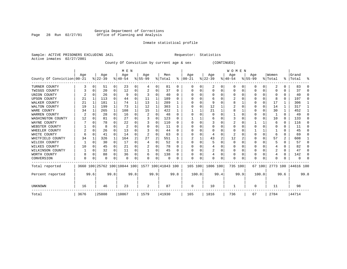#### Georgia Department of Corrections Page 28 Run 02/27/01 Office of Planning and Analysis

#### Inmate statistical profile

Sample: ACTIVE PRISONERS EXCLUDING JAIL **Requestor:** Statistics Active inmates 02/27/2001

County Of Conviction by current age & sex (CONTINUED)

|                            |      |          |          |              | M E N                        |          |                    |          |         | <b>WOMEN</b> |              |       |          |      |          |      |           |              |          |               |           |          |
|----------------------------|------|----------|----------|--------------|------------------------------|----------|--------------------|----------|---------|--------------|--------------|-------|----------|------|----------|------|-----------|--------------|----------|---------------|-----------|----------|
|                            | Age  |          | Age      |              | Age                          |          | Age                |          | Men     |              | Age          |       | Age      |      | Age      |      | Age       |              | Women    |               | Grand     |          |
| County Of Conviction 00-21 |      |          | $ 22-39$ |              | $8140 - 54$                  |          | $8 55-99$          |          | % Total | ႜ            | $ 00-21$     |       | $ 22-39$ |      | $ 40-54$ |      | $8 55-99$ |              | % Total  | $\frac{1}{6}$ | Total     | ႜ        |
| TURNER COUNTY              |      | 0        | 51       | 0            | 23                           | 0        | 4                  | 0        | 81      | 0            | O            |       | 2        | 0    | $\Omega$ | 0    | 0         | 0            | 2        |               | 83        | ∩        |
| TWIGGS COUNTY              |      | 0        | 20       | 0            | 12                           | 0        |                    | 0        | 37      | $\Omega$     |              |       | $\Omega$ | U    |          | O    |           | $\Omega$     |          |               | 37        | $\Omega$ |
| UNION COUNTY               |      | U        | 26       | $\Omega$     | q                            | $\Omega$ |                    | U        | 40      | $\Omega$     |              |       | n        |      |          |      |           | 0            | n        | U             | 40        | $\Omega$ |
| <b>UPSON COUNTY</b>        | 21   |          | 113      | 0            | 44                           | 0        | 11                 | 1        | 189     | <sup>0</sup> |              |       | 6        |      |          |      |           | U            |          | 0             | 197       | $\Omega$ |
| WALKER COUNTY              | 21   |          | 181      | 1            | 74                           |          | 13                 | 1        | 289     |              |              | O     | 9        | U    |          |      |           | 0            | 17       |               | 306       |          |
| WALTON COUNTY              | 19   | 1        | 199      | $\mathbf{1}$ | 73                           |          | 12                 | 1        | 303     |              |              |       | 12       |      |          |      |           | 0            | 14       |               | 317       |          |
| WARE COUNTY                | 34   |          | 265      | 1            | 108                          |          | 15                 | 1        | 422     |              |              |       | 21       |      |          |      |           | 0            | 30       |               | 452       |          |
| WARREN COUNTY              | 2    |          | 28       | $\Omega$     | 16                           | $\Omega$ |                    | $\Omega$ | 48      | $\Omega$     |              |       | n        |      |          |      |           | 0            |          | 0             | 49        | $\Omega$ |
| WASHINGTON COUNTY          | 12   |          | 81       | $\Omega$     | 27                           | $\Omega$ |                    | O        | 123     | <sup>0</sup> |              |       | 6        |      |          |      |           | 0            | 10       | 0             | 133       | $\Omega$ |
| WAYNE COUNTY               |      |          | 78       | 0            | 22                           |          |                    | 0        | 110     | $\Omega$     |              |       |          |      |          |      |           |              | 6        | U             | 116       | $\Omega$ |
| WEBSTER COUNTY             |      |          | 8        | 0            | 2                            | $\Omega$ |                    | 0        | 11      | $\Omega$     |              |       | 0        | U    |          |      |           | 0            |          | O             | 11        | $\Omega$ |
| WHEELER COUNTY             | 2    | O        | 26       | $\Omega$     | 13                           | U        |                    | U        | 44      | $\Omega$     |              |       | O        |      |          |      |           |              |          |               | 45        | $\Omega$ |
| WHITE COUNTY               |      | $\Omega$ | 41       | $\Omega$     | 14                           | 0        |                    | 0        | 63      | O            |              |       |          | U    | 2        |      |           | <sup>0</sup> |          | U             | 69        | $\Omega$ |
| WHITFIELD COUNTY           | 34   | 1        | 326      | 1            | 164                          | 2        | 27                 | 2        | 551     | 1            |              |       | 43       | 2    | 12       |      |           | 0            | 57       | 2             | 608       |          |
| WILCOX COUNTY              |      | O        | 30       | 0            | 17                           | 0        |                    | O        | 52      | $\Omega$     |              |       | 5        | U    | $\Omega$ |      |           | U            |          |               | 57        | $\Omega$ |
| WILKES COUNTY              | 10   |          | 45       | 0            | 21                           | 0        |                    | 0        | 78      | 0            |              |       |          | U    |          |      |           | U            |          |               | 82        | O        |
| WILKINSON COUNTY           |      | 0        | 32       | 0            | 11                           | 0        |                    | 0        | 45      | 0            |              |       | 2        | 0    |          |      |           | 0            | 2        | 0             | 47        | $\Omega$ |
| WORTH COUNTY               | 8    | 0        | 88       | 0            | 36                           | 0        | 6                  | $\Omega$ | 138     | 0            |              |       |          | U    |          |      |           | U            |          | 0             | 142       | $\Omega$ |
| CONVERSION                 | O    |          | U        | 0            | $\Omega$                     | 0        | O                  | 0        | O       |              | ∩            |       |          | 0    | U        |      | U         | 0            |          |               |           |          |
| Total reported             |      |          |          |              | 3660 100 25762 100 10844 100 |          | 1577 100 41843 100 |          |         |              | 165 100      |       | 1806 100 |      | 735 100  |      |           | 67 100       | 2773 100 |               | 44616 100 |          |
| Percent reported           |      | 99.6     |          | 99.8         |                              | 99.8     |                    | 99.9     |         | 99.8         |              | 100.0 |          | 99.4 |          | 99.9 |           | 100.0        |          | 99.6          |           | 99.8     |
| <b>UNKNOWN</b>             | 16   |          | 46       |              | 23                           |          | 2                  |          | 87      |              | <sup>0</sup> |       | 10       |      |          |      | O         |              | 11       |               | 98        |          |
| Total                      | 3676 |          | 25808    |              | 10867                        |          | 1579               |          | 41930   |              | 165          |       | 1816     |      | 736      |      | 67        |              | 2784     |               | 44714     |          |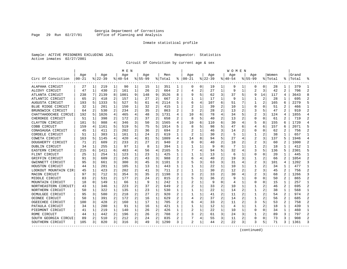#### Georgia Department of Corrections Page 29 Run 02/27/01 Office of Planning and Analysis

#### Inmate statistical profile

Sample: ACTIVE PRISONERS EXCLUDING JAIL **Requestor:** Statistics Active inmates 02/27/2001

Circuit Of Conviction by current age & sex

|                      |           |             |           |              | M E N     |   |             |                |         | W O M E N    |                |   |          |                |          |   |                |          |         |                |           |                |
|----------------------|-----------|-------------|-----------|--------------|-----------|---|-------------|----------------|---------|--------------|----------------|---|----------|----------------|----------|---|----------------|----------|---------|----------------|-----------|----------------|
|                      | Age       |             | Age       |              | Age       |   | Aqe         |                | Men     |              | Age            |   | Aqe      |                | Aqe      |   | Aqe            |          | Women   |                | Grand     |                |
| Circ Of Conviction   | $00 - 21$ |             | $8 22-39$ |              | $8 40-54$ |   | $8155 - 99$ |                | % Total | ి            | $ 00-21$       |   | $ 22-39$ |                | $ 40-54$ |   | $8155 - 99$    |          | % Total |                | %   Total |                |
| ALAPAHA CIRCUIT      | 27        | 1           | 219       | 1            | 90        | 1 | 15          | 1              | 351     | 1            | 0              | 0 | 19       | 1              | 9        | 1 | 0              | 0        | 28      | 1              | 379       |                |
| ALCOVY CIRCUIT       | 47        | 1           | 430       | 2            | 161       | 1 | 26          | $\overline{2}$ | 664     | 2            |                | 2 | 27       | 1              | 9        | 1 | $\overline{a}$ | 3        | 42      | 2              | 706       | $\overline{2}$ |
| ATLANTA CIRCUIT      | 238       | 7           | 2139      | 8            | 1001      | 9 | 148         | 9              | 3526    | 8            |                | 5 | 62       | 3              | 37       | 5 | 9              | 14       | 117     | 4              | 3643      |                |
| ATLANTIC CIRCUIT     | 65        | 2           | 418       | 2            | 157       |   | 27          | 2              | 667     | 2            |                | 1 | 17       | 1              | g        | 1 |                | 2        | 28      |                | 695       |                |
| AUGUSTA CIRCUIT      | 193       | 5           | 1333      | 5            | 527       | 5 | 61          | 4              | 2114    | 5            |                | 4 | 107      | 6              | 51       | 7 | 1              | 2        | 165     | 6              | 2279      |                |
| BLUE RIDGE CIRCUIT   | 32        | 1           | 201       | 1            | 150       | 1 | 32          | 2              | 415     | 1            |                | 1 | 39       | 2              | 10       | 1 | $\Omega$       | $\Omega$ | 51      | 2              | 466       | $\mathbf{1}$   |
| BRUNSWICK CIRCUIT    | 64        | 2           | 530       | 2            | 234       | 2 | 35          | 2              | 863     | $\mathbf{2}$ | 3              | 2 | 28       | $\overline{2}$ | 13       | 2 | 3              | 5        | 47      | $\mathbf{2}$   | 910       | $\mathcal{D}$  |
| CHATTAHOOCHEE CIRCUI | 192       | 5           | 1026      | 4            | 465       | 4 | 48          | 3              | 1731    | 4            | 10             | 6 | 78       | 4              | 34       | 5 | $\overline{2}$ | 3        | 124     | 4              | 1855      | $\overline{4}$ |
| CHEROKEE CIRCUIT     | 51        | 1           | 398       | 2            | 172       | 2 | 37          | $\overline{a}$ | 658     | 2            | 8              | 5 | 40       | 2              | 13       | 2 | $\Omega$       | O        | 61      | 2              | 719       | 2              |
| CLAYTON CIRCUIT      | 181       | 5           | 988       | 4            | 346       | 3 | 50          | 3              | 1565    | 4            | 10             | 6 | 110      | 6              | 30       | 4 | 5              | 8        | 155     | 6              | 1720      |                |
| COBB CIRCUIT         | 159       | 4           | 1161      | 5            | 519       | 5 | 75          | 5              | 1914    |              |                | 5 | 98       | 5              | 47       | 6 | 4              | 6        | 157     | 6              | 2071      |                |
| CONASAUGA CIRCUIT    | 45        | 1           | 411       | 2            | 202       | 2 | 36          | 2              | 694     | 2            |                | 1 | 46       | 3              | 14       | 2 | O              | O        | 62      | 2              | 756       | $\mathcal{D}$  |
| CORDELE CIRCUIT      | 51        | 1           | 383       | 1            | 161       | 1 | 24          | $\overline{2}$ | 619     | 1            | 2              | 1 | 30       | $\overline{2}$ | 5        | 1 | 1              | 2        | 38      |                | 657       |                |
| COWETA CIRCUIT       | 163       | 5           | 1145      | 4            | 420       | 4 | 81          | 5              | 1809    | 4            | 14             | 8 | 94       | 5              | 27       | 4 | $\overline{2}$ | 3        | 137     | 5              | 1946      |                |
| DOUGHERTY CIRCUIT    | 71        | 2           | 609       | 2            | 233       | 2 | 27          | 2              | 940     |              | <sup>0</sup>   | 0 | 40       | 2              | 18       | 2 | 2              | 3        | 60      | $\overline{a}$ | 1000      | 2              |
| DUBLIN CIRCUIT       | 34        | 1           | 255       | 1            | 97        | 1 | 8           | 1              | 394     | 1            |                | 1 | 9        | U              | 7        | 1 | 1              | 2        | 18      | 1              | 412       | -1             |
| EASTERN CIRCUIT      | 215       | 6           | 1411      | 6            | 483       | 4 | 56          | 4              | 2165    | 5            |                | 4 | 94       | 5              | 32       | 4 | 3              | 5        | 136     | 5              | 2301      | 5              |
| FLINT CIRCUIT        | 25        | 1           | 254       | $\mathbf{1}$ | 123       | 1 | 23          | 1              | 425     | 1            |                |   | 13       | 1              | 6        | 1 | 0              | O        | 20      |                | 445       | 1              |
| GRIFFIN CIRCUIT      | 91        | 3           | 609       | 2            | 245       | 2 | 43          | 3              | 988     |              |                | 4 | 40       | 2              | 19       | 3 | 1              |          | 66      |                | 1054      | 2              |
| GWINNETT CIRCUIT     | 95        | 3           | 661       | 3            | 300       | 3 | 45          | 3              | 1101    | 3            |                | 3 | 63       | 3              | 31       | 4 | 2              | 3        | 101     | 4              | 1202      | 3              |
| HOUSTON CIRCUIT      | 44        | 1           | 281       | 1            | 105       | 1 | 13          | 1              | 443     | 1            |                | 1 | 22       | $\mathbf{1}$   | 10       | 1 | 1              |          | 34      | 1              | 477       | -1             |
| LOOKOUT MOUNTAIN CIR | 45        | 1           | 423       | 2            | 202       | 2 | 41          | 3              | 711     | 2            |                |   | 30       | 2              | 12       | 2 | 2              | 3        | 45      | 2              | 756       | 2              |
| MACON CIRCUIT        | 97        | 3           | 712       | 3            | 354       | 3 | 35          | 2              | 1198    | 3            | 3              | 2 | 33       | 2              | 30       | 4 | 2              | 3        | 68      | 2              | 1266      | 3              |
| MIDDLE CIRCUIT       | 83        | 2           | 531       | 2            | 177       | 2 | 24          | 2              | 815     |              |                | 3 | 36       | 2              | g        | 1 | $\Omega$       | $\Omega$ | 50      | 2              | 865       | $\overline{2}$ |
| MOUNTAIN CIRCUIT     | 18        | 0           | 149       | 1            | 66        | 1 | 9           | $\mathbf{1}$   | 242     | 1            |                | 1 | 9        | $\Omega$       | 4        | 1 | U              | O        | 15      | 1              | 257       | -1             |
| NORTHEASTERN CIRCUIT | 43        | 1           | 346       | 1            | 223       | 2 | 37          | 2              | 649     | 2            |                | 1 | 33       | 2              | 10       | 1 | 1              |          | 46      | 2              | 695       | 2              |
| NORTHERN CIRCUIT     | 50        | 1           | 322       | 1            | 135       | 1 | 23          | 1              | 530     | 1            |                |   | 22       | 1              | 14       | 2 | 1              |          | 38      | 1              | 568       | -1             |
| OCMULGEE CIRCUIT     | 95        | 3           | 580       | 2            | 218       | 2 | 27          | 2              | 920     | 2            |                |   | 41       | 2              | 11       | 2 |                |          | 54      | 2              | 974       | $\overline{2}$ |
| OCONEE CIRCUIT       | 50        | 1           | 391       | 2            | 172       | 2 | 16          | 1              | 629     |              |                | 2 | 37       | $\overline{2}$ | 14       |   | 1              |          | 56      | 2              | 685       |                |
| OGEECHEE CIRCUIT     | 100       | 3           | 428       | 2            | 160       | 1 | 17          | 1              | 705     | 2            |                | 4 | 33       | $\overline{a}$ | 11       | 2 | 3              |          | 53      | 2.             | 758       | $\mathcal{D}$  |
| PATAULA CIRCUIT      | 34        | 1           | 280       | $\mathbf 1$  | 91        | 1 | 16          | 1              | 421     | 1            |                | 1 | 12       | 1              | 4        | 1 | 1              | 2        | 18      | 1              | 439       | -1             |
| PIEDMONT CIRCUIT     | 41        | 1           | 219       | $\mathbf{1}$ | 140       | 1 | 26          | 2              | 426     | 1            | 2              | 1 | 22       | $\mathbf{1}$   | 10       | 1 | 0              | 0        | 34      | 1              | 460       | 1              |
| ROME CIRCUIT         | 44        | $\mathbf 1$ | 442       | 2            | 196       | 2 | 26          | 2              | 708     |              |                | 2 | 61       | 3              | 24       | 3 |                |          | 89      | 3              | 797       | 2              |
| SOUTH GEORGIA CIRCUI | 89        | 2           | 510       | 2            | 212       | 2 | 24          | 2              | 835     |              |                | 4 | 55       | 3              | 11       | 2 | $\Omega$       | $\Omega$ | 73      | 3              | 908       | $\mathcal{D}$  |
| SOUTHERN CIRCUIT     | 105       | 3           | 820       | 3            | 316       | 3 | 49          | 3              | 1290    |              | $\mathfrak{D}$ | 1 | 44       | 2              | 22       | 3 |                | 5        | 71      | 3              | 1361      | 3              |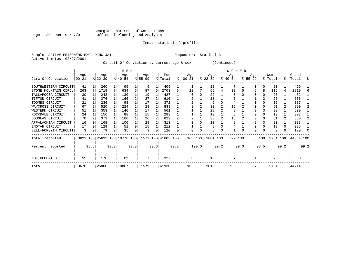#### Georgia Department of Corrections Page 30 Run 02/27/01 Office of Planning and Analysis

#### Inmate statistical profile

Sample: ACTIVE PRISONERS EXCLUDING JAIL **Requestor:** Statistics Active inmates 02/27/2001

Circuit Of Conviction by current age & sex (Continued)

|                      |            |      |           |          | M E N     |      |          |      |                                                 |          |          |       |           |      | W O M E N |      |             |        |          |      |           |      |
|----------------------|------------|------|-----------|----------|-----------|------|----------|------|-------------------------------------------------|----------|----------|-------|-----------|------|-----------|------|-------------|--------|----------|------|-----------|------|
|                      | Age        |      | Age       |          | Age       |      | Age      |      | Men                                             |          | Age      |       | Age       |      | Age       |      | Aqe         |        | Women    |      | Grand     |      |
| Circ Of Conviction   | $ 00 - 21$ |      | $ 22-39 $ |          | $8 40-54$ |      | $ 55-99$ |      | % Total                                         | °≈       | $ 00-21$ |       | $ 22-39 $ |      | $ 40-54 $ |      | $8155 - 99$ |        | % Total  |      | %   Total | ႜ    |
| SOUTHWESTERN CIRCUIT | 41         |      | 260       |          | 99        |      | 9        |      | 409                                             |          |          |       | 12        |      |           |      | 0           | 0      | 20       |      | 429       |      |
| STONE MOUNTAIN CIRCU | 263        |      | 1719      | 7        | 634       | 6    | 87       | 6    | 2703                                            | 6        | 12       |       | 66        | 4    | 33        |      | 5           | 8      | 116      | 4    | 2819      |      |
| TALLAPOOSA CIRCUIT   | 30         |      | 248       |          | 130       |      | 19       |      | 427                                             |          |          |       | 22        |      |           |      |             |        | 25       |      | 452       |      |
| TIFTON CIRCUIT       | 41         |      | 376       |          | 166       |      | 27       |      | 610                                             |          |          |       | 18        |      |           |      |             |        | 26       |      | 636       |      |
| TOOMBS CIRCUIT       | 21         |      | 236       |          | 98        |      | 17       |      | 372                                             |          |          |       | 9         |      |           |      |             |        | 15       |      | 387       |      |
| WAYCROSS CIRCUIT     | 67         |      | 520       |          | 224       |      | 28       |      | 839                                             |          |          |       | 33        |      | 15        |      |             |        | 51       | 2    | 890       |      |
| WESTERN CIRCUIT      | 51         |      | 353       |          | 140       |      | 17       |      | 561                                             |          |          |       | 28        |      | 8         |      |             |        | 39       |      | 600       |      |
| ROCKDALE CIRCUIT     | 24         |      | 156       |          | 88        |      | 15       |      | 283                                             |          |          |       | 10        |      | 8         |      |             |        | 19       |      | 302       |      |
| DOUGLAS CIRCUIT      | 70         |      | 373       |          | 160       |      | 26       |      | 629                                             |          |          |       | 33        |      | 16        |      |             |        | 51       | 2    | 680       |      |
| APPALACHIAN CIRCUIT  | 16         |      | 168       |          | 100       |      | 29       |      | 313                                             |          |          |       | 10        |      | 8         |      |             |        | 20       |      | 333       |      |
| ENOTAH CIRCUIT       | 17         | O    | 129       |          | 51        |      | 15       |      | 212                                             |          |          |       | 8         |      | 4         |      | $\Omega$    |        | 13       | 0    | 225       |      |
| BELL-FORSYTH CIRCUIT | 3          | 0    | 79        | $\Omega$ | 35        |      | 3        | 0    | 120                                             | $\Omega$ | $\Omega$ | 0     | 8         | 0    |           | 0    | $\Omega$    |        | 9        | 0    | 129       | n    |
| Total reported       |            |      |           |          |           |      |          |      | 3621 100 25632 100 10778 100 1572 100 41603 100 |          | 165 100  |       | 1801 100  |      | 729 100   |      |             | 66 100 | 2761 100 |      | 44364 100 |      |
| Percent reported     |            | 98.5 |           | 99.3     |           | 99.2 |          | 99.6 |                                                 | 99.2     |          | 100.0 |           | 99.2 |           | 99.0 |             | 98.5   |          | 99.2 |           | 99.2 |
| NOT REPORTED         | 55         |      | 176       |          | 89        |      | 7        |      | 327                                             |          | $\Omega$ |       | 15        |      |           |      |             |        | 23       |      | 350       |      |
| Total                | 3676       |      | 25808     |          | 10867     |      | 1579     |      | 41930                                           |          | 165      |       | 1816      |      | 736       |      | 67          |        | 2784     |      | 44714     |      |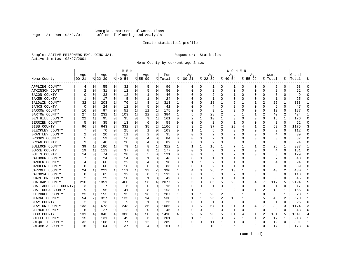#### Georgia Department of Corrections Page 31 Run 02/27/01 Office of Planning and Analysis

#### Inmate statistical profile

Sample: ACTIVE PRISONERS EXCLUDING JAIL **Requestor:** Statistics Active inmates 02/27/2001

Home County by current age & sex

|                      |            |              |          |             | M E N       |   |             |              |         |          |            |          |              |                | W O M E N    |             |             |                |                |          |           |          |
|----------------------|------------|--------------|----------|-------------|-------------|---|-------------|--------------|---------|----------|------------|----------|--------------|----------------|--------------|-------------|-------------|----------------|----------------|----------|-----------|----------|
|                      | Age        |              | Age      |             | Age         |   | Age         |              | Men     |          | Age        |          | Age          |                | Age          |             | Aqe         |                | Women          |          | Grand     |          |
| Home County          | $ 00 - 21$ |              | $ 22-39$ |             | $8140 - 54$ |   | $8155 - 99$ |              | % Total | နွ       | $ 00 - 21$ |          | $ 22-39$     |                | $8140 - 54$  |             | $8155 - 99$ |                | % Total        |          | %   Total |          |
| APPLING COUNTY       | 4          | 0            | 55       | 0           | 32          | 0 | 5           | 0            | 96      | 0        | 0          | 0        | 1            | 0              | ı            | 0           | 0           | 0              | 2              | 0        | 98        | $\Omega$ |
| ATKINSON COUNTY      |            | 0            | 31       | 0           | 12          | 0 | 5           | 0            | 50      | $\Omega$ | $\Omega$   | $\Omega$ | 2            | $\Omega$       | $\Omega$     | 0           | $\Omega$    | 0              | $\overline{2}$ | $\Omega$ | 52        | $\Omega$ |
| BACON COUNTY         |            | 0            | 33       | 0           | 12          | 0 | 1           | 0            | 46      | 0        |            | O        | 2            | 0              |              | 0           | 0           | 0              | 3              | 0        | 49        | ∩        |
| BAKER COUNTY         |            | 0            | 17       | 0           | 5           | 0 | -1          | 0            | 24      | 0        |            |          | -1           | U              |              | 0           | 0           | 0              | -1             | $\Omega$ | 25        | $\Omega$ |
| BALDWIN COUNTY       | 32         | $\mathbf{1}$ | 203      | 1           | 70          | 1 | 8           | $\mathbf{1}$ | 313     | 1        |            |          | 18           | 1              | 6            | 1           |             | $\overline{a}$ | 25             | 1        | 338       | -1       |
| BANKS COUNTY         | n          | $\Omega$     | 24       | $\Omega$    | 12          | 0 | 5           | $\mathbf 0$  | 41      | $\Omega$ |            |          | 4            | 0              | 2            | $\Omega$    | 0           | $\Omega$       | 6              | 0        | 47        | $\Omega$ |
| BARROW COUNTY        | 16         | 0            | 97       | 0           | 51          | 1 | 11          | 1            | 175     | $\Omega$ |            | O        | 9            | 1              | 3            | 0           | 0           | 0              | 12             | $\Omega$ | 187       | $\Omega$ |
| BARTOW COUNTY        | 27         | 1            | 232      | 1           | 103         | 1 | 22          | 2            | 384     | 1        |            | 3        | 28           |                | 6            | 1           |             | 2              | 40             | 2        | 424       | -1       |
| BEN HILL COUNTY      | 22         | 1            | 95       | 0           | 35          | 0 | 9           | 1            | 161     | 0        | 2          | 1        | 10           | 1              | 3            | 0           | $\Omega$    | 0              | 15             | 1        | 176       | $\Omega$ |
| BERRIEN COUNTY       |            | 0            | 35       | 0           | 13          | 0 | 6           | $\mathbf 0$  | 59      | $\Omega$ |            | 0        | 2            | 0              |              | $\Omega$    | 0           | 0              | 3              | $\Omega$ | 62        | $\Omega$ |
| BIBB COUNTY          | 96         | 3            | 643      | 3           | 332         | 3 | 35          | 2            | 1106    | 3        |            |          | 37           | $\overline{2}$ | 28           | 4           | 1           | 2              | 69             | 3        | 1175      | 3        |
| BLECKLEY COUNTY      |            | $\Omega$     | 70       | 0           | 25          | 0 | -1          | 0            | 103     | $\Omega$ |            | ı.       | 5            | U              | 3            | $\Omega$    | O           | U              | 9              | $\Omega$ | 112       | $\Omega$ |
| BRANTLEY COUNTY      |            | 0            | 20       | 0           | 11          | 0 | 2           | $\mathbf 0$  | 35      | $\Omega$ |            | O        | 2            | U              | 2            | 0           | U           | 0              | 4              | O        | 39        |          |
| BROOKS COUNTY        |            | $\Omega$     | 59       | 0           | 16          | 0 | 4           | 0            | 84      | $\Omega$ |            | O        | 2            | U              |              | 0           | U           | U              | 3              | 0        | 87        | $\Omega$ |
| BRYAN COUNTY         |            | 0            | 48       | 0           | 28          | 0 | 4           | 0            | 89      | 0        |            | O        | 2            | 0              | 3            | 0           | 0           | 0              | 5              | 0        | 94        | $\Omega$ |
| BULLOCH COUNTY       | 39         | 1            | 186      | $\mathbf 1$ | 79          | 1 | 8           | 1            | 312     | 1        |            |          | 16           | 1              |              |             |             | 2              | 25             | 1        | 337       | 1        |
| <b>BURKE COUNTY</b>  | 19         | 1            | 113      | $\Omega$    | 37          | 0 | 8           | 1            | 177     | $\Omega$ |            |          |              | U              | 2            | $\Omega$    | $\Omega$    | U              | 4              | $\Omega$ | 181       | $\Omega$ |
| BUTTS COUNTY         | 14         | 0            | 74       | 0           | 28          | 0 | 5           | 0            | 121     | 0        |            | U        | 6            | U              | 2            | $\Omega$    | U           | O              | 8              | $\Omega$ | 129       | ∩        |
| CALHOUN COUNTY       |            | $\Omega$     | 24       | 0           | 14          | 0 | 1           | 0            | 46      | $\Omega$ |            |          | 1            | U              |              | 0           | U           | 0              | 2              | O        | 48        |          |
| CAMDEN COUNTY        |            | $\Omega$     | 60       | 0           | 22          | 0 | 4           | 0            | 90      | $\Omega$ |            |          | 2            | U              |              | $\Omega$    | U           | U              | 4              | 0        | 94        | ∩        |
| CANDLER COUNTY       |            | 0            | 60       | 0           | 18          | 0 | $\Omega$    | 0            | 86      | 0        |            | O        | 2            | 0              | 1            | 0           | 0           | 0              | 3              | 0        | 89        | $\Omega$ |
| CARROLL COUNTY       | 24         | 1            | 222      | 1           | 111         | 1 | 33          | 2            | 390     | 1        |            | 3        | 26           | 2              | 10           | 1           | U           | U              | 40             | 2        | 430       | -1       |
| CATOOSA COUNTY       |            | $\Omega$     | 65       | 0           | 32          | 0 | 8           | 1            | 113     | O        |            |          | 3            | U              | 2            | $\Omega$    | U           | U              | 5              | O        | 118       | ∩        |
| CHARLTON COUNTY      | 2          | $\Omega$     | 29       | 0           | 10          | 0 | -1          | 0            | 42      | 0        | O          | U        | 2            | U              | -1           | $\Omega$    | U           | $\Omega$       | 3              | $\Omega$ | 45        | ∩        |
| CHATHAM COUNTY       | 210        | 6            | 1351     | 6           | 460         | 5 | 56          | 4            | 2077    | 5        |            | 3        | 85           | 5.             | 23           | 3           | 4           | 7              | 117            | 5        | 2194      |          |
| CHATTAHOOCHEE COUNTY | 3          | 0            | 7        | 0           | 6           | 0 | $\Omega$    | 0            | 16      | $\Omega$ |            | $\Omega$ | $\mathbf{1}$ | O              | $\Omega$     | $\Omega$    | $\Omega$    | 0              | 1              | $\Omega$ | 17        | $\Omega$ |
| CHATTOOGA COUNTY     | q          | 0            | 95       | 0           | 41          | 0 | 8           | 1            | 153     | 0        |            | 1        | 9            | 1              | 2            | 0           | 1           | 2              | 13             | 1        | 166       | $\Omega$ |
| CHEROKEE COUNTY      | 23         | 1            | 153      | 1           | 95          | 1 | 16          | 1            | 287     | 1        |            |          | 26           | 2              | 6            | -1          | 0           | U              | 33             | 1        | 320       | 1        |
| CLARKE COUNTY        | 54         | 2            | 327      | 1           | 135         | 1 | 14          | 1            | 530     | 1        |            |          | 26           | 2              | 10           | 1           | 3           | 5              | 40             |          | 570       | -1       |
| CLAY COUNTY          |            | $\Omega$     | 13       | 0           | q           | 0 | -1          | 0            | 25      | $\Omega$ | $\Omega$   | O        | -1           | 0              | $\Omega$     | 0           | U           | U              | 1              | 0        | 26        | ∩        |
| CLAYTON COUNTY       | 133        | 4            | 673      | 3           | 243         | 2 | 36          | 3            | 1085    | 3        |            | 5        | 57           | 3              | 21           | 3           | 4           | 7              | 89             | 3        | 1174      |          |
| CLINCH COUNTY        | 6          | 0            | 27       | 0           | 12          | 0 | 0           | 0            | 45      | $\Omega$ |            | O        | 2            | 0              | $\mathbf{1}$ | $\mathbf 0$ | $\Omega$    | 0              | 3              | $\Omega$ | 48        | $\cap$   |
| COBB COUNTY          | 131        | 4            | 843      | 4           | 386         | 4 | 50          | 3            | 1410    | 4        |            | 6        | 90           | 5              | 31           | 4           | 1           | 2              | 131            | 5        | 1541      |          |
| COFFEE COUNTY        | 15         | 0            | 131      | 1           | 49          | 0 | 6           | 0            | 201     | 1        |            |          | 8            | 0              |              | -1          | 1           | 2              | 17             | 1        | 218       | 1        |
| COLQUITT COUNTY      | 32         | 1            | 168      | 1           | 77          | 1 | 12          | 1            | 289     | 1        |            | 0        | 11           | 1              |              | 0           | 0           | 0              | 12             | 0        | 301       | -1       |
| COLUMBIA COUNTY      | 16         | 0            | 104      | 0           | 37          | 0 | 4           | 0            | 161     | 0        | 2          | 1        | 10           | 1              | 5            | 1           | 0           | 0              | 17             | 1        | 178       | ∩        |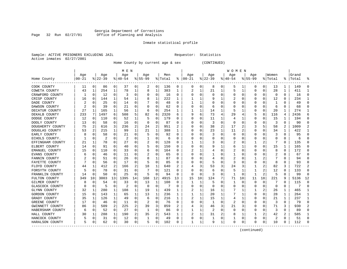#### Georgia Department of Corrections Page 32 Run 02/27/01 Office of Planning and Analysis

### Inmate statistical profile

|  |                           | Sample: ACTIVE PRISONERS EXCLUDING JAIL |  |
|--|---------------------------|-----------------------------------------|--|
|  | Active inmates 02/27/2001 |                                         |  |

L Bample: Active Prequestor: Statistics

Home County by current age & sex (CONTINUED)

|                        |            |              |           |          | M E N     |                |             |          |         |              |               |              |          |                | W O M E N |    |             |          |          |   |       |              |
|------------------------|------------|--------------|-----------|----------|-----------|----------------|-------------|----------|---------|--------------|---------------|--------------|----------|----------------|-----------|----|-------------|----------|----------|---|-------|--------------|
|                        | Age        |              | Age       |          | Age       |                | Age         |          | Men     |              | Age           |              | Age      |                | Age       |    | Age         |          | Women    |   | Grand |              |
| Home County            | $ 00 - 21$ |              | $8 22-39$ |          | $8 40-54$ |                | $8155 - 99$ |          | % Total |              | $8   00 - 21$ |              | $ 22-39$ |                | $ 40-54$  |    | $8155 - 99$ |          | % Total  | ະ | Total |              |
| COOK COUNTY            | 11         | 0            | 86        | 0        | 37        | 0              | 2           | 0        | 136     | 0            | 0             | 0            | 8        | 0              | 5         | 1  | 0           | 0        | 13       | 1 | 149   | <sup>0</sup> |
| COWETA COUNTY          | 43         | 1            | 254       | 1        | 78        | 1              | 8           | 1        | 383     | 1            | 2             | $\mathbf{1}$ | 21       | 1              | 5         | -1 | $\Omega$    | $\Omega$ | 28       | 1 | 411   |              |
| CRAWFORD COUNTY        |            | 0            | 12        | $\Omega$ | 3         | 0              |             | $\Omega$ | 16      | 0            | C             | 0            | O        | $\Omega$       | 0         | 0  |             | 0        | $\Omega$ | 0 | 16    | <sup>0</sup> |
| CRISP COUNTY           | 16         | 0            | 144       |          | 54        | 1              |             | 1        | 222     | 1            |               |              |          |                | 2         | O  |             | $\Omega$ | 12       | 0 | 234   |              |
| DADE COUNTY            |            | 0            | 25        | 0        | 14        | 0              |             | $\Omega$ | 48      | O            |               |              |          |                | C         |    |             |          | -1       | O | 49    | ſ            |
| DAWSON COUNTY          |            | 0            | 39        | $\Omega$ | 21        | 0              |             | 0        | 62      | U            |               | 0            | 6        |                | ი         |    |             | O        | 6        | 0 | 68    | n            |
| DECATUR COUNTY         | 27         | -1           | 165       | 1        | 56        | 1              | 6           | $\Omega$ | 254     | 1            |               |              | 14       |                | 5         |    |             | O        | 20       | 1 | 274   |              |
| DEKALB COUNTY          | 233        | 7            | 1497      | 6        | 508       | 5              | 82          | 6        | 2320    | 6            | q             | 6            | 73       | $\overline{4}$ | 29        |    | 5           | 8        | 116      | 4 | 2436  | б            |
| DODGE COUNTY           | 12         | 0            | 110       | 0        | 52        | 1              | 5           | $\Omega$ | 179     | U            | 0             | 0            | 11       |                | 4         |    |             | 0        | 15       | 1 | 194   | O            |
| DOOLY COUNTY           | 13         | 0            | 58        | 0        | 16        | 0              |             | 0        | 87      | U            | ſ             | 0            |          | $\Omega$       | 0         |    |             |          | 3        | 0 | 90    | ſ            |
| DOUGHERTY COUNTY       | 75         |              | 616       | 3        | 236       | 2              | 24          | 2        | 951     |              | C             | 0            | 38       | 2              | 17        |    |             | 5        | 58       | 2 | 1009  |              |
| DOUGLAS COUNTY         | 53         | 2            | 215       |          | 99        | 1              | 21          | 1        | 388     | 1            |               | 0            | 23       |                | 11        |    | n           | O        | 34       | 1 | 422   |              |
| EARLY COUNTY           | 8          | 0            | 58        | $\Omega$ | 21        | 0              | 5           | $\Omega$ | 92      | U            |               | 0            | 3        | $\Omega$       | 0         | O  |             | O        | 3        | 0 | 95    | n            |
| ECHOLS COUNTY.         |            | $\Omega$     | 2         | $\Omega$ | 2         | 0              |             | 0        | 6       | U            |               | 0            |          | O              | 0         | O  |             | O        | Ω        | 0 | 6     |              |
| EFFINGHAM COUNTY       | 21         | 1            | 78        | 0        | 27        | 0              |             | 0        | 128     | U            |               | 1            |          |                | 2         |    |             | 2        |          | 0 | 135   | C            |
| ELBERT COUNTY          | 14         | $\Omega$     | 91        | $\Omega$ | 40        | 0              |             | 0        | 150     | U            |               | 0            |          |                | 6         |    |             | 0        | 15       | 1 | 165   | <sup>0</sup> |
| EMANUEL COUNTY         | 15         | $\Omega$     | 110       | $\Omega$ | 33        | 0              |             | 0        | 164     | U            |               |              |          | $\Omega$       | 2         | C  |             | O        | 8        | 0 | 172   | $\Omega$     |
| EVANS COUNTY           | 6          | 0            | 46        | 0        | 11        | 0              |             | 0        | 65      | U            | U             | 0            |          | O              |           | C  |             | O        | 2        | 0 | 67    | ∩            |
| FANNIN COUNTY          |            | 0            | 51        | 0        | 26        | 0              |             |          | 87      | O            | Ω             | 0            |          |                | 2         |    |             | 2        |          | 0 | 94    | O            |
| FAYETTE COUNTY         |            | 0            | 56        | 0        | 17        | 0              |             | 0        | 85      | U            |               | 0            |          | 0              | 3         |    |             | O        | 8        | 0 | 93    |              |
| FLOYD COUNTY           | 44         |              | 412       | 2        | 166       | 2              | 18          | 1        | 640     |              |               | 3            | 53       | 3              | 24        |    |             | 2        | 82       | 3 | 722   |              |
| FORSYTH COUNTY         | 5          | $\Omega$     | 78        | $\Omega$ | 31        | 0              |             | $\Omega$ | 121     | U            |               | U            | h        | $\Omega$       | 5         |    |             | 2        | 12       | U | 133   |              |
| FRANKLIN COUNTY        | 14         | <sup>0</sup> | 50        | $\Omega$ | 25        | $\Omega$       | 5           | $\Omega$ | 94      | 0            | O             | 0            |          | $\Omega$       | -1        | C  | -1          | 2        | 5        | U | 99    | ſ            |
| FULTON COUNTY          | 349        | 10           | 3003      | 13       | 1395      | 14             | 168         | 12       | 4915    | 13           | 15            | 10           | 124      | 7              | 71        | 10 | 11          | 18       | 221      | 9 | 5136  | 12           |
| GILMER COUNTY          | 8          | $\Omega$     | 54        | $\Omega$ | 33        | $\Omega$       | 13          | 1        | 108     | 0            |               | 1            |          | $\Omega$       |           | 0  | $\Omega$    | $\Omega$ |          | 0 | 115   | C            |
| <b>GLASCOCK COUNTY</b> | O          | $\Omega$     | 5         | 0        | 2         | 0              | $\Omega$    | $\Omega$ | 7       | $\Omega$     |               | 0            | $\Omega$ | $\Omega$       | ი         |    |             | $\Omega$ | $\Omega$ | 0 | 7     | $\Omega$     |
| GLYNN COUNTY           | 32         | 1            | 280       | 1        | 108       | 1              | 19          | 1        | 439     | 1            |               |              | 16       |                | 7         |    |             | 2        | 26       | 1 | 465   |              |
| GORDON COUNTY          | 15         | $\Omega$     | 143       | 1        | 65        | 1              | 13          | 1        | 236     | $\mathbf{1}$ |               | 1            | 20       | 1              | 7         | -1 | $\Omega$    | O        | 28       | 1 | 264   | -1           |
| GRADY COUNTY           | 35         | -1           | 126       | 1        | 49        | 0              | 6           | 0        | 216     | 1            |               | 1            | 15       |                | 4         |    | n           | O        | 21       | 1 | 237   | -1           |
| GREENE COUNTY          | 17         | 0            | 46        | 0        | 11        | 0              | 2           | 0        | 76      | U            | Ω             | 0            |          | $\Omega$       | 2         |    |             |          | 3        | 0 | 79    | $\Omega$     |
| GWINNETT COUNTY        | 86         | 3            | 509       | 2        | 225       | 2              | 39          | 3        | 859     |              |               | 3            | 46       | 3              | 21        |    |             |          | 71       | 3 | 930   |              |
| HABERSHAM COUNTY       | 6          | $\Omega$     | 52        | 0        | 27        | 0              | 1           | $\Omega$ | 86      | U            |               |              |          | $\Omega$       | 0         |    |             | O        | 3        | 0 | 89    |              |
| HALL COUNTY            | 30         |              | 288       | 1        | 190       | $\overline{a}$ | 35          | 2        | 543     | 1            |               |              | 31       |                | 8         |    |             | 2        | 42       | 2 | 585   |              |
| HANCOCK COUNTY         |            | <sup>0</sup> | 31        | 0        | 12        | 0              |             | $\Omega$ | 49      | 0            |               | 0            |          | $\Omega$       |           | C  | O           | 0        | 2        | 0 | 51    | ſ            |
| HARALSON COUNTY        | 5          | 0            | 62        | 0        | 30        | 0              | 5           | 0        | 102     | U            |               | 1            | 9        |                | $\Omega$  | O  |             | 0        | 10       | O | 112   |              |

------------------------------------------------------------------------------------------------------------------------------------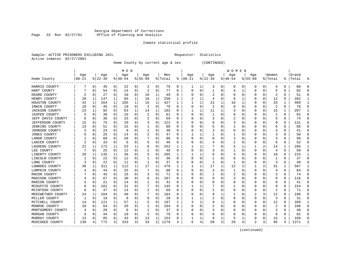#### Georgia Department of Corrections Page 33 Run 02/27/01 Office of Planning and Analysis

### Inmate statistical profile

|                | Sample: ACTIVE PRISONERS EXCLUDING JAII |  |
|----------------|-----------------------------------------|--|
| Active inmates | 02/27/2001                              |  |

L Bample: Active Prequestor: Statistics

Home County by current age & sex (CONTINUED)

|                       |                |          |          |          | M E N     |          |           |             |         |              |          |          |             |          | W O M E N      |                  |                |                |         |          |       |   |
|-----------------------|----------------|----------|----------|----------|-----------|----------|-----------|-------------|---------|--------------|----------|----------|-------------|----------|----------------|------------------|----------------|----------------|---------|----------|-------|---|
|                       | Age            |          | Age      |          | Age       |          | Age       |             | Men     |              | Age      |          | Age         |          | Age            |                  | Age            |                | Women   |          | Grand |   |
| Home County           | $00 - 21$      |          | $ 22-39$ |          | $8 40-54$ |          | $8 55-99$ |             | % Total | ႜ            | $ 00-21$ |          | $8$   22-39 |          | $ 40-54$       |                  | $8155 - 99$    |                | % Total | ႜ        | Total |   |
| HARRIS COUNTY         |                | 0        | 45       | 0        | 22        | 0        | 2         | 0           | 76      | 0            |          | 1        | 3           | 0        | 0              | 0                | 0              | 0              | 4       | 0        | 80    |   |
| HART COUNTY           |                | 0        | 54       | 0        | 14        | 0        | 2         | 0           | 77      | U            | 0        | $\Omega$ |             | O        | 4              | 1                | O              | $\mathbf 0$    | 5       | 0        | 82    |   |
| HEARD COUNTY          | 2              | 0        | 27       | 0        | 10        | 0        | 10        | 1           | 49      | U            |          | 0        | 2           | O        |                | U                | O              | 0              | 2       | $\Omega$ | 51    |   |
| HENRY COUNTY          | 28             | 1        | 147      | 1        | 65        | 1        | 10        | 1           | 250     | 1            |          | 1        |             | $\Omega$ | 6              |                  |                | 0              | 12      | 0        | 262   |   |
| HOUSTON COUNTY        | 43             | 1        | 264      | 1        | 105       | 1        | 15        | 1           | 427     | $\mathbf{1}$ |          | 1        | 22          |          | 10             |                  |                | 0              | 33      | 1        | 460   |   |
| IRWIN COUNTY          | 10             | 0        | 45       | 0        | 19        | 0        | 2         | 0           | 76      | U            |          | 0        | 2           | $\Omega$ | $\Omega$       |                  | 0              | 0              | 2       | 0        | 78    | U |
| <b>JACKSON COUNTY</b> | 23             |          | 92       | 0        | 63        | 1        | 14        | 1           | 192     | U            |          | 1        | 11          | -1       | 3              |                  | 0              | 0              | 15      | 1        | 207   |   |
| <b>JASPER COUNTY</b>  | 5              | 0        | 38       | $\Omega$ | 16        | 0        | 2         | $\mathbf 0$ | 61      | U            | $\Box$   | 0        |             |          | 0              |                  | 0              | 0              | 1       | 0        | 62    | O |
| JEFF DAVIS COUNTY     |                | 0        | 36       | 0        | 25        | 0        | 2         | 0           | 69      | U            |          | N        |             |          | 2              |                  |                | 0              | 5       | $\Omega$ | 74    |   |
| JEFFERSON COUNTY      | 15             | 0        | 75       | $\Omega$ | 29        | 0        | 3         | $\mathbf 0$ | 122     | U            |          | N        | 6           |          | 3              |                  |                | $\Omega$       |         | 0        | 131   |   |
| <b>JENKINS COUNTY</b> | 13             | n        | 51       | 0        | 15        | 0        |           | 0           | 80      | U            |          | U        |             |          |                |                  |                | 0              | 6       | 0        | 86    |   |
| JOHNSON COUNTY        | 3              | 0        | 24       | 0        | 9         | 0        | 2         | 0           | 38      | U            |          | 0        |             |          |                |                  |                | 0              |         | 0        | 41    |   |
| JONES COUNTY          |                | 0        | 25       | 0        | 14        | 0        | 2         | 0           | 47      | 0            |          |          |             |          |                |                  |                | 0              |         | 0        | 50    |   |
| LAMAR COUNTY          |                | n        | 60       | $\Omega$ | 28        | 0        |           | 0           | 96      | U            |          | 0        |             |          | 3              |                  |                | U              |         | O        | 99    |   |
| LANIER COUNTY         | $\mathfrak{D}$ | $\Omega$ | 33       | 0        | 6         | U        |           | 0           | 46      | U            |          | 0        |             |          | 2              |                  | C              | 0              | 6       | $\Omega$ | 52    | ∩ |
| LAURENS COUNTY        | 21             | 1        | 172      | 1        | 53        | 1        |           | 0           | 252     | 1            |          | 1        |             |          | 5              |                  |                | $\overline{a}$ | 14      | 1        | 266   |   |
| LEE COUNTY            |                | 0        | 25       | 0        | 12        | 0        | 2         | 0           | 46      | U            |          | 0        | 3           |          |                | U                | 0              | 0              | 4       | 0        | 50    | U |
| LIBERTY COUNTY        | 29             |          | 135      |          | 36        | 0        |           | 0           | 205     | 1            |          |          |             |          | 3              |                  |                | 0              | 10      | $\Omega$ | 215   |   |
| LINCOLN COUNTY        |                | $\Omega$ | 22       | $\Omega$ | 12        | 0        |           | 0           | 36      | U            |          | 0        |             |          | U              |                  |                | U              | 1       | O        | 37    |   |
| LONG COUNTY           | 3              | $\Omega$ | 22       | $\Omega$ | 11        | 0        |           | 0           | 37      | U            |          | 0        |             | O        |                | U                |                | $\Omega$       | 3       | $\Omega$ | 40    |   |
| LOWNDES COUNTY        | 36             |          | 311      | 1        | 112       | 1        | 17        | 1           | 476     | 1            |          | 1        | 17          | ı        | 12             |                  |                | 2              | 31      | 1        | 507   |   |
| LUMPKIN COUNTY        |                | 0        | 44       | $\Omega$ | 25        | $\Omega$ |           | $\Omega$    | 80      | U            | O        | 0        | 3           | O        |                | U                | 0              | $\Omega$       | 4       | $\Omega$ | 84    |   |
| MACON COUNTY          |                | 0        | 45       | 0        | 16        | $\Omega$ | 3         | 0           | 71      | 0            |          | 0        |             |          | $\overline{2}$ |                  |                | 0              | 3       | $\Omega$ | 74    |   |
| MADISON COUNTY        |                | 0        | 67       | 0        | 30        | 0        | 6         | $\mathbf 0$ | 107     | O            |          | $\Omega$ | 6           |          | 3              |                  |                | $\Omega$       | 9       | 0        | 116   |   |
| MARION COUNTY         |                | 0        | 21       | 0        | 14        | 0        |           | 0           | 41      | U            |          | 0        |             |          |                |                  | C              | 0              | 0       | 0        | 41    | ∩ |
| MCDUFFIE COUNTY       | 6              | 0        | 101      | 0        | 31        | 0        |           | 0           | 145     | U            |          |          |             |          |                | $\left( \right)$ | 0              | 0              | 9       | 0        | 154   | U |
| MCINTOSH COUNTY       | 6              | 0        | 47       | 0        | 14        | 0        | 2         | 0           | 69      | U            |          | 0        | 2           |          | 0              |                  | O              | 0              | 2       | $\Omega$ | 71    | n |
| MERIWETHER COUNTY     | 24             | 1        | 104      | 0        | 49        | 0        |           | 0           | 184     | 0            |          | 0        |             |          |                |                  | 2              | 3              | 12      | 0        | 196   |   |
| MILLER COUNTY         | 1              | $\Omega$ | 19       | 0        | 8         | O        | O         | $\mathbf 0$ | 28      | U            |          | 1        |             | O        | O              |                  | C              | 0              | 3       | $\Omega$ | 31    |   |
| MITCHELL COUNTY       | 14             | $\Omega$ | 121      | 1        | 57        | 1        | 5         | 0           | 197     | 1            |          | 2        |             |          |                | U                |                | 0              | 12      | 0        | 209   |   |
| MONROE COUNTY         | 10             | 0        | 64       | 0        | 28        | 0        | 2         | $\mathbf 0$ | 104     | U            |          | 0        |             | O        |                | U                |                | $\Omega$       | 2       | 0        | 106   |   |
| MONTGOMERY COUNTY     |                | 0        | 26       | 0        | 6         | 0        |           | 0           | 37      | U            |          | 0        |             |          |                |                  |                | 0              | 3       | 0        | 40    |   |
| MORGAN COUNTY         | 9              | $\Omega$ | 44       | 0        | 18        | 0        |           | 0           | 76      | U            |          | 0        |             |          |                |                  |                | 0              | 6       | 0        | 82    |   |
| MURRAY COUNTY         | 13             | 0        | 85       | 0        | 43        | 0        | 13        | 1           | 154     | O            |          | 1        |             | 1        | 5              | 1                |                | 0              | 15      | 1        | 169   |   |
| MUSCOGEE COUNTY       | 138            | 4        | 772      | 3        | 333       | 3        | 33        | 2           | 1276    | 3            | 6        | 4        | 58          | 3        | 29             | 4                | $\mathfrak{D}$ | 3              | 95      | 4        | 1371  |   |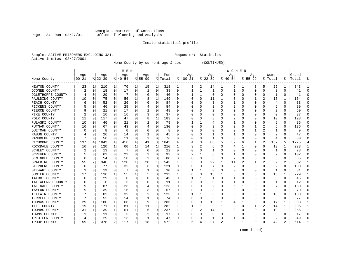#### Georgia Department of Corrections Page 34 Run 02/27/01 Office of Planning and Analysis

### Inmate statistical profile

|                | Sample: ACTIVE PRISONERS EXCLUDING JAII |  |
|----------------|-----------------------------------------|--|
| Active inmates | 02/27/2001                              |  |

L Bample: Active Prequestor: Statistics

Home County by current age & sex (CONTINUED)

|                   |           |             |           |              | M E N    |   |           |          |         |          |               |                |          |          | W O M E N |          |              |          |         |   |       |              |
|-------------------|-----------|-------------|-----------|--------------|----------|---|-----------|----------|---------|----------|---------------|----------------|----------|----------|-----------|----------|--------------|----------|---------|---|-------|--------------|
|                   | Age       |             | Age       |              | Age      |   | Age       |          | Men     |          | Age           |                | Age      |          | Age       |          | Age          |          | Women   |   | Grand |              |
| Home County       | $00 - 21$ |             | $ 22-39 $ |              | $ 40-54$ |   | $8 55-99$ |          | % Total |          | $8   00 - 21$ |                | $ 22-39$ |          | $ 40-54$  |          | $8 55-99$    |          | % Total | ႜ | Total |              |
| NEWTON COUNTY     | 23        | 1           | 210       | 1            | 70       | 1 | 15        | 1        | 318     | ı        | 3             | 2              | 14       | ı        | 5         | 1        | 3            | 5        | 25      | 1 | 343   |              |
| OCONEE COUNTY     | 2         | 0           | 18        | 0            | 17       | 0 |           | 0        | 38      | 0        | 1             | 1              |          | 0        | 1         | 0        | 0            | 0        | 3       | 0 | 41    | $\Omega$     |
| OGLETHORPE COUNTY |           | 0           | 29        | 0            |          | 0 |           | 0        | 40      | 0        |               | 1              | $\Omega$ | $\Omega$ | 0         | $\Omega$ |              | $\Omega$ |         | U | 41    | <sup>0</sup> |
| PAULDING COUNTY   | 10        | 0           | 75        | 0            | 56       |   |           | 1        | 149     | O        |               | 0              | 11       |          |           | C        |              | 2        | 15      | 1 | 164   |              |
| PEACH COUNTY      |           | 0           | 52        | 0            | 26       | 0 |           | 0        | 84      | O        |               | U              |          | $\Omega$ |           | C        | ∩            | O        | 4       | 0 | 88    | n            |
| PICKENS COUNTY    |           | 0           | 46        | 0            | 29       | 0 |           | 0        | 84      | 0        | C             | 0              |          | O        | 2         | C        |              | O        |         | 0 | 89    | n            |
| PIERCE COUNTY     |           | 0           | 21        | 0            | 17       | 0 |           | 0        | 48      | 0        | O             | 0              |          | 0        | 0         | C        | O            | O        | 2       | 0 | 50    | 0            |
| PIKE COUNTY       |           | 0           | 16        | 0            | 16       | 0 | 3         | 0        | 37      | 0        | C             | U              | O        | O        | 0         | C        |              | O        | O       | 0 | 37    | n            |
| POLK COUNTY       |           | 0           | 117       | 0            | 47       | 0 |           | 1        | 183     | U        |               | U              |          | O        | 2         | ſ        |              | O        | 10      | 0 | 193   | O            |
| PULASKI COUNTY    | 10        | 0           | 46        | 0            | 21       | 0 |           | 0        | 79      | U        |               |                |          | O        |           | C        |              |          | 6       | 0 | 85    |              |
| PUTNAM COUNTY     | 16        | 0           | 67        | 0            | 43       | 0 |           | $\Omega$ | 130     | 0        |               | 0              |          | $\left($ | 2         | C        |              |          | 6       | 0 | 136   |              |
| QUITMAN COUNTY    |           | 0           | 8         | 0            | 0        | 0 |           | 0        | 8       | 0        |               | U              | O        | O        | 0         | C        |              |          |         | 0 | 9     |              |
| RABUN COUNTY      |           | $\Omega$    | 26        | 0            | 14       | 0 |           | 0        | 45      | 0        |               | 0              |          | $\Omega$ |           | C        |              | 0        | 2       | 0 | 47    |              |
| RANDOLPH COUNTY   |           | $\Omega$    | 56        | 0            | 11       | U |           | 0        | 76      | O        |               | U              |          | $\Omega$ | 3         | C        |              | $\Omega$ | 4       | 0 | 80    |              |
| RICHMOND COUNTY   | 137       | 4           | 1049      | 4            | 416      | 4 | 41        | 3        | 1643    |          |               | 3              | 88       | 5        | 39        | 6        |              | 2        | 132     | 5 | 1775  |              |
| ROCKDALE COUNTY   | 16        | 0           | 120       | 1            | 60       | 1 | 14        | 1        | 210     | 1        |               | 2              | 6        | O        | 4         | -1       | 0            | 0        | 13      | 1 | 223   |              |
| SCHLEY COUNTY     |           | 0           | 13        | $\Omega$     |          | 0 | O         | 0        | 22      | 0        | 0             | 0              |          | O        | 0         | C        | 0            | 0        | -1      | 0 | 23    | $\Omega$     |
| SCREVEN COUNTY    |           | C           | 62        | 0            | 23       | 0 |           | $\Omega$ | 93      | 0        |               |                | 6        | $\Omega$ |           | C        |              |          | 9       | 0 | 102   | <sup>0</sup> |
| SEMINOLE COUNTY   | 6         | 0           | 54        | 0            | 18       | 0 |           | $\Omega$ | 80      | O        |               | U              |          | $\Omega$ | 2         | C        |              |          | 5       | 0 | 85    |              |
| SPALDING COUNTY   | 55        | 2           | 340       | 1            | 128      | 1 | 20        | 1        | 543     | 1        |               | 3              | 22       |          | 11        |          |              | 2        | 39      | 2 | 582   |              |
| STEPHENS COUNTY   | 6         | 0           | 77        | 0            | 32       | 0 | 6         | 0        | 121     | 0        | C             | 0              |          | $\Omega$ | 2         | C        | O            | $\Omega$ | 9       | 0 | 130   | n            |
| STEWART COUNTY    | 3         | $\Omega$    | 19        | 0            | 7        | 0 |           | 0        | 30      | 0        |               | 1              | $\Omega$ | O        | 0         | C        |              | $\Omega$ | 1       | 0 | 31    | O            |
| SUMTER COUNTY     |           | 0           | 136       | 1            | 55       | 1 |           | 0        | 213     | 1        | C             | $\Omega$       | 13       |          | 3         | C        |              | 0        | 16      | 1 | 229   |              |
| TALBOT COUNTY     | 6         | $\sqrt{ }$  | 29        | $\Omega$     | 8        | O |           | 0        | 43      | $\Omega$ |               | 1              |          | $\Omega$ |           | C        |              | O        | 3       | 0 | 46    | $\Omega$     |
| TALIAFERRO COUNTY |           | 0           | 8         | 0            | 3        | 0 |           | 0        | 11      | 0        |               | O              | O        | ∩        |           | C        | <sup>0</sup> | O        |         | 0 | 12    | ∩            |
| TATTNALL COUNTY   |           | 0           | 87        | 0            | 23       | 0 |           | 0        | 123     | 0        | O             | 0              |          | O        | 5         |          | 0            | O        |         | 0 | 130   | $\Omega$     |
| TAYLOR COUNTY     |           | 0           | 39        | 0            | 16       | 0 | 3         | 0        | 67      | 0        | C             | 0              |          | 0        | 0         | C        |              | 0        | 3       | 0 | 70    | n            |
| TELFAIR COUNTY    |           | 0           | 82        | 0            | 32       | 0 | 2         | $\Omega$ | 123     | 0        |               |                | b        | 0        | 3         | C        |              | 0        | 10      | 0 | 133   | <sup>0</sup> |
| TERRELL COUNTY    |           | $\Omega$    | 52        | $\Omega$     | 14       | 0 |           | $\Omega$ | 74      | O        | C             | O              |          | O        | Ω         | C        |              | O        | 3       | 0 | 77    | ſ            |
| THOMAS COUNTY     | 29        | 1           | 180       | 1            | 68       | 1 | 9         | 1        | 286     | 1        |               | U              | 13       |          | 4         |          |              | $\Omega$ | 17      | 1 | 303   |              |
| TIFT COUNTY       | 19        | 1           | 171       | 1            | 81       | 1 | 11        | 1        | 282     | 1        |               |                | 9        |          | 3         | C        |              | 2        | 14      | 1 | 296   |              |
| TOOMBS COUNTY     | 31        | 1           | 139       | $\mathbf{1}$ | 61       | 1 | 6         | 0        | 237     | 1        | 3             | $\overline{a}$ | 14       |          | 2         | C        |              | 0        | 19      | 1 | 256   |              |
| TOWNS COUNTY      |           | 0           | 11        | 0            | 3        | 0 | 2         | 0        | 17      | 0        | C             | U              | 0        | $\Omega$ | O         | C        |              | O        | O       | 0 | 17    | <sup>0</sup> |
| TREUTLEN COUNTY   |           | $\mathbf 0$ | 29        | 0            | 13       | 0 |           | 0        | 47      | O        |               | 0              |          | $\Omega$ |           | C        |              | O        |         | 0 | 49    | ſ            |
| TROUP COUNTY      | 59        | 2           | 378       | 2            | 117      | 1 | 18        | 1        | 572     | 1        | 6             | 4              | 27       | 2        | 9         | 1        | $\Omega$     | 0        | 42      | 2 | 614   |              |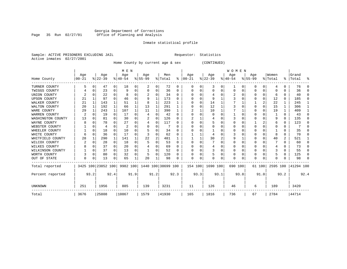#### Georgia Department of Corrections Page 35 Run 02/27/01 Office of Planning and Analysis

#### Inmate statistical profile

Sample: ACTIVE PRISONERS EXCLUDING JAIL **Requestor:** Statistics Active inmates 02/27/2001

Home County by current age & sex (CONTINUED)

|                     |          |          |                    |              | M E N     |          |                                 |          |         |              |          |              |          |      | <b>WOMEN</b> |          |           |          |          |      |           |          |
|---------------------|----------|----------|--------------------|--------------|-----------|----------|---------------------------------|----------|---------|--------------|----------|--------------|----------|------|--------------|----------|-----------|----------|----------|------|-----------|----------|
|                     | Age      |          | Age                |              | Age       |          | Age                             |          | Men     |              | Age      |              | Age      |      | Age          |          | Age       |          | Women    |      | Grand     |          |
| Home County         | $ 00-21$ |          | $ 22-39 $          |              | $ 40-54 $ |          | $8 55-99$                       |          | % Total | ႜ            | $ 00-21$ |              | $ 22-39$ |      | $ 40-54 $    |          | $8 55-99$ |          | % Total  |      | %   Total | ႜ        |
| TURNER COUNTY       | 5        | 0        | 47                 | 0            | 18        | 0        |                                 | 0        | 72      | 0            | 0        | 0            | 3        | 0    |              | 0        | 0         | 0        |          | 0    | 76        | O        |
| TWIGGS COUNTY       |          | 0        | 23                 | 0            | 9         | 0        | 0                               | 0        | 36      | 0            | O        | 0            | 0        | 0    | 0            | $\Omega$ |           | 0        |          |      | 36        | $\Omega$ |
| UNION COUNTY        |          | ∩        | 22                 | $\Omega$     |           |          |                                 | $\Omega$ | 34      | 0            |          |              |          |      |              |          |           | $\Omega$ |          |      | 40        | ∩        |
| <b>UPSON COUNTY</b> | 21       |          | 97                 | 0            | 46        | 0        | q                               | 1        | 173     | O            |          | U            |          |      |              |          |           | $\Omega$ | 12       | 0    | 185       | $\Omega$ |
| WALKER COUNTY       | 21       | 1        | 143                | 1            | 51        |          |                                 | 1        | 223     |              |          | <sup>0</sup> | 14       |      |              |          |           | 2        | 22       |      | 245       | 1        |
| WALTON COUNTY       | 20       | 1        | 192                | $\mathbf{1}$ | 66        | 1        | 13                              | 1        | 291     |              |          |              | 12       |      |              |          |           | $\Omega$ | 15       |      | 306       |          |
| WARE COUNTY         | 29       |          | 243                | 1            | 107       |          | 11                              | 1        | 390     |              | 2        |              | 10       |      |              |          |           | 0        | 19       |      | 409       |          |
| WARREN COUNTY       | 2        | 0        | 19                 | 0            | 17        | 0        |                                 | 0        | 42      | $\Omega$     |          |              |          |      |              |          |           |          |          | U    | 43        | $\Omega$ |
| WASHINGTON COUNTY   | 13       | ∩        | 81                 | $\Omega$     | 30        | 0        |                                 | $\Omega$ | 126     | <sup>0</sup> |          |              |          |      |              |          | U         | 0        | 9        | 0    | 135       | $\Omega$ |
| WAYNE COUNTY        | 8        | ∩        | 78                 | 0            | 27        | 0        |                                 | $\Omega$ | 117     | U            |          |              | 5        |      |              |          |           |          | 6        | 0    | 123       | $\Omega$ |
| WEBSTER COUNTY      |          | 0        | 4                  | 0            | 2         | 0        |                                 | $\Omega$ |         | 0            |          |              | 0        | U    |              |          |           | 0        | 0        | 0    |           | $\Omega$ |
| WHEELER COUNTY      |          | $\Omega$ | 18                 | 0            | 10        | O        |                                 | $\Omega$ | 34      | <sup>0</sup> |          |              |          |      |              |          |           | U        |          |      | 35        | ∩        |
| WHITE COUNTY        |          | $\Omega$ | 36                 | 0            | 17        | 0        |                                 | 0        | 62      | 0            |          |              |          |      |              |          |           | U        |          |      | 70        | $\Omega$ |
| WHITFIELD COUNTY    | 28       |          | 290                | 1            | 141       |          | 22                              | 2        | 481     |              |          |              | 30       | 2    |              |          |           | 0        | 40       | 2    | 521       |          |
| WILCOX COUNTY       |          | ∩        | 28                 | $\Omega$     | 18        | $\Omega$ |                                 | $\Omega$ | 53      | <sup>0</sup> |          |              |          |      | O            |          |           | 0        |          | U    | 60        | ∩        |
| WILKES COUNTY       |          | O        | 37                 | $\Omega$     | 20        | 0        |                                 | 0        | 69      | <sup>0</sup> |          |              |          |      |              |          |           | 0        |          |      | 73        | $\Omega$ |
| WILKINSON COUNTY    |          | $\Omega$ | 37                 | $\Omega$     | 13        | $\Omega$ |                                 | $\Omega$ | 52      | $\Omega$     |          |              |          | O    |              | O        |           | 0        |          |      | 55        | $\Omega$ |
| WORTH COUNTY        |          | $\Omega$ | 80                 | $\Omega$     | 32        | $\Omega$ | 5                               | $\Omega$ | 120     | 0            |          |              |          | U    | O            | O        | 0         | $\Omega$ |          | 0    | 125       | $\Omega$ |
| OUT OF STATE        | 0        | 0        | 13                 | 0            | 65        |          | 20                              |          | 98      | 0            | U        | 0            |          | 0    | U            | O        | O         | 0        |          |      | 98        | $\Omega$ |
| Total reported      |          |          | 3425 100 23852 100 |              |           |          | 9982 100   1440 100   38699 100 |          |         |              |          | 154 100      | 1690 100 |      | 690 100      |          |           | 61 100   | 2595 100 |      | 41294 100 |          |
| Percent reported    |          | 93.2     |                    | 92.4         |           | 91.9     |                                 | 91.2     |         | 92.3         |          | 93.3         |          | 93.1 |              | 93.8     |           | 91.0     |          | 93.2 |           | 92.4     |
| UNKNOWN             | 251      |          | 1956               |              | 885       |          | 139                             |          | 3231    |              | 11       |              | 126      |      | 46           |          | 6         |          | 189      |      | 3420      |          |
| Total               | 3676     |          | 25808              |              | 10867     |          | 1579                            |          | 41930   |              | 165      |              | 1816     |      | 736          |          | 67        |          | 2784     |      | 44714     |          |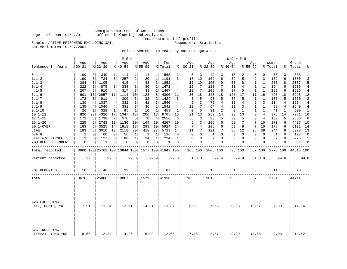Georgia Department of Corrections Page 36 Run 02/27/01 Office of Planning and Analysis

Inmate statistical profile

Sample: ACTIVE PRISONERS EXCLUDING JAIL **Requestor:** Statistics

Active inmates 02/27/2001

Prison Sentence In Years by current age & sex

|                                    |                  |             |                  |                 | M E N              |              |                    |                |                                                     |                |                      |                |                 |             | W O M E N          |          |                    |              |                  |              |                    |              |
|------------------------------------|------------------|-------------|------------------|-----------------|--------------------|--------------|--------------------|----------------|-----------------------------------------------------|----------------|----------------------|----------------|-----------------|-------------|--------------------|----------|--------------------|--------------|------------------|--------------|--------------------|--------------|
| Sentence In Years                  | Age<br>$00 - 21$ |             | Age<br>$ 22-39 $ |                 | Age<br>$8140 - 54$ |              | Age<br>$8155 - 99$ |                | Men<br>% Total                                      |                | Age<br>$8   00 - 21$ |                | Age<br>$ 22-39$ |             | Age<br>$8140 - 54$ |          | Age<br>$8155 - 99$ |              | Women<br>% Total |              | Grand<br>%   Total | $\approx$    |
| $0 - 1$                            | 100              | 3           | 340              | 1               | 111                | $\mathbf{1}$ | 14                 | $1\vert$       | 565                                                 | 1              | 5                    | 3              | 49              | 3           | 16                 |          | 0                  | 0            | 70               | 3            | 635                | 1            |
| $1.1 - 2$                          | 190              | 5           | 724              | 3               | 257                | 2            | 20                 | $\mathbf{1}$   | 1191                                                | 3              | 16                   | 10             | 102             | 6           | 39                 | 5        | 2                  | 3            | 159              | 6            | 1350               | 3            |
| $2.1 - 3$                          | 284              | 8           | 1105             | 4               | 415                | 4            | 48                 | 3              | 1852                                                | $\overline{4}$ | 16                   | 10             | 160             | 9           | 58                 | 8        | $\mathbf{1}$       | 1            | 235              | 8            | 2087               | 5            |
| $3.1 - 4$                          | 222              | 6           | 875              | 3               | 338                | 3            | 36                 | 2              | 1471                                                | 4              | 12                   | 7              | 120             | 7           | 31                 | 4        | 1                  | 1            | 164              | 6            | 1635               | 4            |
| $4.1 - 5$                          | 207              | 6           | 910              | 4               | 317                | 3            | 33                 | 2              | 1467                                                | 4              | 12                   | 7              | 109             | 6           | 37                 | 5        | $\mathbf{1}$       | $\mathbf{1}$ | 159              | 6            | 1626               | 4            |
| $5.1 - 6$                          | 601              | 16          | 2957             | 11              | 1114               | 10           | 128                | 8              | 4800                                                | 11             | 30                   | 18             | 328             | 18          | 127                | 17       | 11                 | 16           | 496              | 18           | 5296               | 12           |
| $6.1 - 7$                          | 172              | 5           | 911              | 4               | 309                | 3            | 32                 | 2              | 1424                                                | 3              | 8                    | 5              | 90              | 5           | 37                 | 5        | 1                  | 1            | 136              | 5            | 1560               | 3            |
| $7.1 - 8$                          | 130              | 4           | 1037             | 4               | 332                | 3            | 41                 | 3              | 1540                                                | 4              | 5                    | 3              | 76              | 4           | 31                 | 4        | 2                  | 3            | 114              | 4            | 1654               | 4            |
| $8.1 - 9$                          | 135              | 4           | 1040             | 4               | 331                | 3            | 36                 | 2              | 1542                                                | 4              | 12                   | 7              | 64              | 4           | 21                 | 3        | $\mathbf{1}$       | $\mathbf 1$  | 98               | 4            | 1640               | 4            |
| $9.1 - 10$                         | 26               | 1           | 328              | 1               | 95                 | $\mathbf 1$  | 10                 | 1              | 459                                                 | 1              | 0                    | 0              | 31              | 2           | 9                  | 1        | $\mathbf{1}$       | 1            | 41               | $\mathbf{1}$ | 500                | 1            |
| $10.1 - 12$                        | 826              | 23          | 4326             | 17 <sup>1</sup> | 1347               | 12           | 206                | 13             | 6705                                                | 16             | 21                   | 13             | 259             | 14          | 93                 | 13       | 3                  | 4            | 376              | 14           | 7081               | 16           |
| $12.1 - 15$                        | 172              | 5           | 1738             | 7               | 576                | 5            | 70                 | $\overline{4}$ | 2556                                                | 6              | 5                    | 3              | 83              | 5           | 39                 | 5        | 3                  | 4            | 130              | 5            | 2686               | 6            |
| $15.1 - 20$                        | 225              | 6           | 2748             | 11              | 1130               | 10           | 164                | 10             | 4267                                                | 10             | 5                    | 3              | 106             | 6           | 52                 | 7        | 7                  | 10           | 170              | 6            | 4437 10            |              |
| 20.1-OVER                          | 183              | 5           | 3525             | 14              | 1918               | 18           | 298                | 19             | 5924                                                | 14             | 7                    | $\overline{4}$ | 105             | 6           | 59                 | 8        | 7                  | 10           | 178              | 6            | 6102               | 14           |
| LIFE                               | 183              | 5           | 3010             | 12              | 2118               | 20           | 418                | 27             | 5729                                                | 14             | 11                   | 7              | 121             | 7           | 86                 | 12       | 26                 | 39           | 244              | 9            | 5973 13            |              |
| <b>DEATH</b>                       | 1                | 0           | 60               | $\mathbf 0$     | 56                 | 1            | 9                  | 1              | 126                                                 | 0              | 0                    | $\mathbf 0$    | 1               | $\mathbf 0$ | $\mathbf 0$        | 0        | 0                  | $\mathbf 0$  | 1                | 0            | 127                | $\mathbf 0$  |
| LIFE W/O PAROLE                    | 3                | $\mathbf 0$ | 127              | 0               | 80                 | $1\vert$     | 14                 | $\mathbf{1}$   | 224                                                 | 1              | 0                    | $\mathbf 0$    | 2               | $\Omega$    | $\mathbf 0$        | $\Omega$ | $\mathbf 0$        | $\mathbf 0$  | 2                | $\Omega$     | 226                | $\mathbf{1}$ |
| YOUTHFUL OFFENDERS                 | 0                | 0           | 1                | 0               | $\mathbf 0$        | 0            | 0                  | 0              | 1                                                   | $\Omega$       | $\Omega$             | $\mathbf 0$    | $\Omega$        | $\mathbf 0$ | $\mathbf 0$        | 0        | $\mathbf 0$        | $\mathbf 0$  | $\Omega$         | $\Omega$     | $\mathbf{1}$       | $\Omega$     |
| Total reported                     |                  |             |                  |                 |                    |              |                    |                | 3660 100 25762 100 10844 100   1577 100   41843 100 |                | 165 100              |                | 1806 100        |             | 735 100            |          |                    | 67 100       | 2773 100         |              | 44616 100          |              |
| Percent reported                   |                  | 99.6        |                  | 99.8            |                    | 99.8         |                    | 99.9           |                                                     | 99.8           |                      | 100.0          |                 | 99.4        |                    | 99.9     |                    | 100.0        |                  | 99.6         |                    | 99.8         |
| NOT REPORTED                       | 16               |             | 46               |                 | 23                 |              | 2                  |                | 87                                                  |                | 0                    |                | 10              |             | 1                  |          | $\mathbf 0$        |              | 11               |              | 98                 |              |
| Total                              | 3676             |             | 25808            |                 | 10867              |              | 1579               |                | 41930                                               |                | 165                  |                | 1816            |             | 736                |          | 67                 |              | 2784             |              | 44714              |              |
| AVG EXCLUDING<br>LIFE, DEATH, YO   | 7.91             |             | 11.24            |                 | 12.71              |              | 14.31              |                | 11.37                                               |                | 6.51                 |                | 7.68            |             | 8.53               |          | 10.67              |              | 7.88             |              | 11.14              |              |
| AVG INCLUDING<br>LIFE=21, YO=3 YRS | 8.56             |             | 12.34            |                 | 14.27              |              | 15.99              |                | 12.65                                               |                | 7.48                 |                | 8.57            |             | 9.99               |          | 14.68              |              | 9.03             |              | 12.42              |              |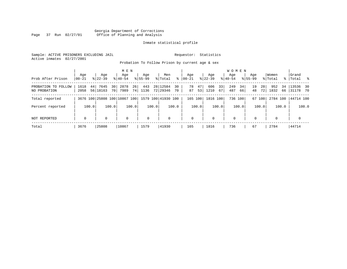#### Georgia Department of Corrections Page 37 Run 02/27/01 Office of Planning and Analysis

#### Inmate statistical profile

Sample: ACTIVE PRISONERS EXCLUDING JAIL **Requestor:** Statistics Active inmates 02/27/2001

Probation To Follow Prison by current age & sex

| Prob After Prison                   | Age<br>  00-21 | Age<br>$8 22-39$                   | M E N<br>Age<br>$8 40-54$    | Age<br>$8155 - 99$ | Men<br>ႜ<br>% Total              | Aqe<br>$00 - 21$     | Aqe<br>$ 22-39 $        | W O M E N<br>Aqe<br>$ 40-54 $ | Age<br>$8155 - 99$   | Women<br>% Total  | Grand<br>%   Total %       |
|-------------------------------------|----------------|------------------------------------|------------------------------|--------------------|----------------------------------|----------------------|-------------------------|-------------------------------|----------------------|-------------------|----------------------------|
| PROBATION TO FOLLOW<br>NO PROBATION | 1618<br>2058   | 7645<br>44<br>30<br>56 18163<br>70 | 26 <br>2878<br>74<br>7989    | 443<br>1136        | 28 12584<br>30<br>72 29346<br>70 | 47<br>78<br>87<br>53 | 33<br>606<br>1210<br>67 | 249<br>34<br>487<br>66        | 19<br>28<br>48<br>72 | 952<br>1832<br>66 | 34   13536 30<br> 31178 70 |
| Total reported                      |                |                                    | 3676 100 25808 100 10867 100 |                    | 1579 100 41930 100               | 165 100              | 1816 100                | 736 100                       | 67 100               | 2784 100          | 44714 100                  |
| Percent reported                    | 100.0          | 100.0                              | 100.0                        | 100.0              | 100.0                            | 100.0                | 100.0                   | 100.0                         | 100.0                | 100.0             | 100.0                      |
| NOT REPORTED                        | 0              | 0                                  | $\mathbf 0$                  | $\mathbf 0$        | $\mathbf 0$                      | $\mathbf 0$          | $\Omega$                | $\mathbf 0$                   | $\Omega$             | $\Omega$          | $\mathbf 0$                |
| Total                               | 3676           | 25808                              | 10867                        | 1579               | 41930                            | 165                  | 1816                    | 736                           | 67                   | 2784              | 44714                      |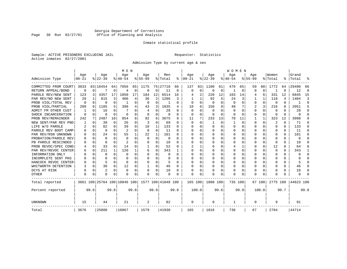#### Georgia Department of Corrections Page 38 Run 02/27/01 Office of Planning and Analysis

#### Inmate statistical profile

Sample: ACTIVE PRISONERS EXCLUDING JAIL **Requestor:** Statistics Active inmates 02/27/2001

Admission Type by current age & sex

|                      |                  |          |                  |          | M E N                        |          |                  |             |                    |              |                 |              |                 |          | <b>WOMEN</b>    |             |                    |          |                  |          |                |          |
|----------------------|------------------|----------|------------------|----------|------------------------------|----------|------------------|-------------|--------------------|--------------|-----------------|--------------|-----------------|----------|-----------------|-------------|--------------------|----------|------------------|----------|----------------|----------|
| Admission Type       | Age<br>$00 - 21$ |          | Age<br>$8 22-39$ |          | Age<br>$8 40-54$             |          | Age<br>$8 55-99$ |             | Men<br>% Total     | ႜ            | Age<br>$ 00-21$ |              | Age<br>$ 22-39$ |          | Age<br>$ 40-54$ |             | Age<br>$8155 - 99$ |          | Women<br>% Total | ွေ       | Grand<br>Total | 옹        |
|                      |                  |          |                  |          |                              |          |                  |             |                    |              |                 |              |                 |          |                 |             |                    |          |                  |          |                |          |
| COMMITTED FROM COURT | 3033             |          | 83 16454         | 64       | 7056                         | 65       | 1175             |             | 75 27718           | 66           | 137             | 83           | 1100            | 61       | 476             | 65          | 59                 | 88       | 1772             | 64       | 29490          | 66       |
| RETURN APPEAL/BOND   | 0                | $\Omega$ |                  | 0        | $\overline{4}$               | $\Omega$ | $\Omega$         | 0           | 11                 | 0            | $\Omega$        | $\mathbf 0$  | $\Omega$        | 0        |                 | 0           | $\Omega$           | $\Omega$ |                  | O        | 12             | $\Omega$ |
| PAROLE REV/NEW SENT  | 123              | 3        | 4357             | 17       | 1850                         | 17       | 184              | 12          | 6514               | 16           |                 | 2            | 220             | 12       | 103             | 14          | 4                  | 6        | 331              | 12       | 6845           | 15       |
| PAR REV/NO NEW SENT  | 29               |          | 815              | 3        | 406                          | 4        | 36               | 2           | 1286               | 3            |                 |              | 92              | 5        | 24              | 3           |                    |          | 118              | 4        | 1404           | 3        |
| PROB VIOL/TOTAL REV  | 0                | $\Omega$ | 0                | 0        |                              | 0        | O                | 0           |                    | $\Omega$     | $\Omega$        | $\Omega$     | $\Omega$        | O        | $\Omega$        | $\Omega$    | $\Omega$           | $\Omega$ | 0                | 0        |                | $\Omega$ |
| PROB VIOL/PARTIAL    | 209              | 6        | 1185             | 5        | 398                          | 4        | 43               | 3           | 1835               | 4            | 10              | 6            | 156             | 9        | 48              | 7           | 2                  | 3        | 216              | 8        | 2051           | 5        |
| ADMIT FM OTHER CUST  |                  | $\Omega$ | 16               | $\Omega$ | -7                           | O        | 4                | $\Omega$    | 28                 | $\Omega$     | $\Omega$        | 0            | 0               | O        | $\Omega$        | $\Omega$    | 0                  | $\Omega$ | 0                | U        | 28             | $\Omega$ |
| SHOCK INCARCERATION  | $\Omega$         | $\Omega$ | O                | $\Omega$ | $\Omega$                     | 0        | $\Omega$         | 0           | 0                  | $\Omega$     | $\Omega$        | $\Omega$     | 0               | $\Omega$ | 0               | 0           | 0                  | 0        | $\Omega$         | $\Omega$ | $\Omega$       | $\cap$   |
| PROB REV/REMAINDER   | 242              | 7        | 2487             | 10       | 854                          | 8        | 92               | 6           | 3675               | 9            | 11              | 7            | 233             | 13       | 78              | 11          |                    | 1        | 323              | 12       | 3998           | 9        |
| NEW SENT/PAR REV PND |                  | $\Omega$ | 39               | $\Omega$ | 26                           | $\Omega$ | 3                | $\mathbf 0$ | 69                 | $\Omega$     | $\Omega$        | $\Omega$     | -1              | O        | 1               | $\mathbf 0$ | 0                  | $\Omega$ | 2                | U        | 71             | ∩        |
| LIFE W/O PAROLE      | 2                | $\Omega$ | 82               | 0        | 39                           | $\Omega$ | 10               | 1           | 133                | $\Omega$     |                 | $\cap$       | $\Omega$        | O        | $\Omega$        | $\Omega$    | 0                  | $\Omega$ | $\Omega$         | 0        | 133            | ∩        |
| PAROLE REV BOOT CAMP |                  | $\Omega$ | 9                | $\Omega$ | 2                            | $\Omega$ | 0                | 0           | 11                 | 0            | U               | $\Omega$     | $\Omega$        | O        | 0               | 0           | O                  | $\Omega$ | $\Omega$         | U        | 11             | ∩        |
| PAR REV/RSN UNKNOWN  |                  | $\Omega$ | 24               | 0        | 55                           |          | 22               | 1           | 101                | $\Omega$     |                 | $\cap$       | $\Omega$        | O        | O               | $\Omega$    | O                  | 0        | $\Omega$         | 0        | 101            | ∩        |
| PROBATION/PAROLE REV |                  | $\Omega$ | O                | 0        | $\Omega$                     | $\Omega$ | $\Omega$         | O           | $\Omega$           | $\cap$       | U               | $\cap$       | $\Omega$        | O        | $\Omega$        | $\Omega$    | U                  |          | $\Omega$         | 0        | $\Omega$       | n        |
| PB PAROLE RESCINDED  |                  | $\Omega$ | 8                | U        |                              | U        | $\Omega$         | 0           | 10                 | $\Omega$     | U               | O            | $\Omega$        | O        | $\Omega$        | $\Omega$    | O                  | $\Omega$ | $\Omega$         | U        | 10             |          |
| PROB REVOC/SPEC COND | 4                | $\Omega$ | 33               | 0        | 14                           | O        | -1               | U           | 52                 | $\Omega$     |                 |              | 6               | U        | 4               | 1           | O                  | 0        | 12               | U        | 64             | $\Omega$ |
| PAR REV/REVOC CENTER | 6                | 0        | 211              | 1        | 120                          |          | б                | O           | 343                |              |                 | U            | U               | U        | $\Omega$        | 0           | O                  | 0        | $\Omega$         | 0        | 343            | 1        |
| INFORMATION ONLY     |                  | $\Omega$ | O                | 0        | $\Omega$                     | U        | U                | O           | $\Omega$           | $\Omega$     | O               | U            | $\Omega$        | U        | 0               | 0           | O                  | 0        | $\Omega$         | U        | $\Omega$       | $\Omega$ |
| INCOMPLETE SENT PKG  |                  | $\Omega$ | N                | 0        | $\Omega$                     | O        | U                | $\Omega$    | $\Omega$           | $\Omega$     | O               | <sup>0</sup> | $\Omega$        | U        | $\Omega$        | 0           | O                  | 0        | $\Omega$         | 0        |                | $\cap$   |
| HANCOCK REVOC CENTER |                  | $\Omega$ | 5                | 0        | $\cap$                       | 0        | U                | $\Omega$    | 5                  | $\Omega$     |                 | 0            | $\Omega$        | U        | $\Omega$        | $\Omega$    | O                  | 0        | $\Omega$         | 0        |                | $\cap$   |
| WHITWORTH DETENTION  |                  | $\Omega$ | 30               | 0        | 12                           | 0        | -1               | 0           | 46                 | $\Omega$     |                 | 0            | $\Omega$        | 0        | $\Omega$        | 0           | O                  | 0        | $\Omega$         | U        | 46             | $\Omega$ |
| DCYS AT RISK         |                  | $\Omega$ | 2                | $\Omega$ | $\Omega$                     | $\Omega$ |                  | 0           | 10                 | $\Omega$     |                 | $\Omega$     |                 | 0        | $\Omega$        | 0           | $\Omega$           | 0        | 0                | 0        | 10             | $\cap$   |
| OTHER                | $\Omega$         | 0        | O                | 0        | n                            | 0        | U                | 0           | $\Omega$           | <sup>0</sup> | U               | U            |                 | O        | $\Omega$        | $\Omega$    | $\Omega$           | $\Omega$ | $\Omega$         | U        | O              |          |
| Total reported       |                  |          |                  |          | 3661 100 25764 100 10846 100 |          |                  |             | 1577 100 41848 100 |              | 165 100         |              | 1808 100        |          | 735 100         |             |                    | 67 100   | 2775 100         |          | 44623 100      |          |
| Percent reported     |                  | 99.6     |                  | 99.8     |                              | 99.8     |                  | 99.9        |                    | 99.8         |                 | 100.0        |                 | 99.6     |                 | 99.9        |                    | 100.0    |                  | 99.7     |                | 99.8     |
| UNKNOWN              | 15               |          | 44               |          | 21                           |          | 2                |             | 82                 |              | 0               |              | 8               |          | 1               |             | 0                  |          | 9                |          | 91             |          |
| Total                | 3676             |          | 25808            |          | 10867                        |          | 1579             |             | 41930              |              | 165             |              | 1816            |          | 736             |             | 67                 |          | 2784             |          | 44714          |          |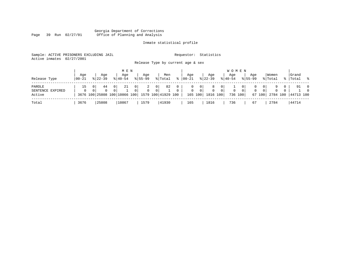#### Georgia Department of Corrections Page 39 Run 02/27/01 Office of Planning and Analysis

### Inmate statistical profile

|  | Sample: ACTIVE PRISONERS EXCLUDING JAIL |  |                                   |  | Requestor: Statistics |
|--|-----------------------------------------|--|-----------------------------------|--|-----------------------|
|  | Active inmates 02/27/2001               |  |                                   |  |                       |
|  |                                         |  | Release Type by current age & sex |  |                       |

| Release Type                         | Aqe<br>  00-21 | Aqe<br>$8122 - 39$ | Age<br>$8140 - 54$                                                                              | M E N<br>Age<br>$8155 - 99$ |                                        | Men<br>% Total | °≈                           | Aqe<br>$00 - 21$  |                | Aqe<br>$ 22-39 $             |                      | <b>WOMEN</b><br>Age<br>$8 40-54$ |          | Aqe<br>$8155 - 99$ |                               | Women<br>% Total     | Grand<br>%   Total % |                            |
|--------------------------------------|----------------|--------------------|-------------------------------------------------------------------------------------------------|-----------------------------|----------------------------------------|----------------|------------------------------|-------------------|----------------|------------------------------|----------------------|----------------------------------|----------|--------------------|-------------------------------|----------------------|----------------------|----------------------------|
| PAROLE<br>SENTENCE EXPIRED<br>Active | د 1<br>0       | 44<br>$\Omega$     | 0 <sup>1</sup><br>21<br>$\Omega$<br>$\Omega$<br>3676 100 25808 100 10866 100 1579 100 41929 100 | 01                          | 0 I<br>2<br>$\Omega$<br>$\overline{0}$ | 82             | $\mathbf{0}$<br>$\mathbf{0}$ | 0<br>$\mathbf{0}$ | 0 <sup>1</sup> | $\Omega$<br>165 100 1816 100 | $\Omega$<br>$\Omega$ | 0<br>736 100                     | $\Omega$ | $\circ$            | 0<br>0 <sup>1</sup><br>67 100 | $\Omega$<br>2784 100 | 91<br>44713 100      | $\overline{0}$<br>$\Omega$ |
| Total                                | 3676           | 25808              | 10867                                                                                           | 1579                        |                                        | 41930          |                              | 165               |                | 1816                         |                      | 736                              |          | 67                 |                               | 2784                 | 44714                |                            |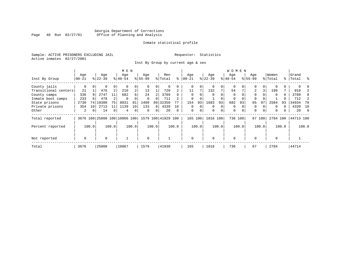#### Georgia Department of Corrections Page 40 Run 02/27/01 Office of Planning and Analysis

#### Inmate statistical profile

Sample: ACTIVE PRISONERS EXCLUDING JAIL **Requestor:** Statistics Active inmates 02/27/2001

Inst By Group by current age & sex

|                      |           |       |           |                | M E N                        |       |           |       |                    |                |             |             |          |             | <b>WOMEN</b> |          |           |                |          |       |           |          |
|----------------------|-----------|-------|-----------|----------------|------------------------------|-------|-----------|-------|--------------------|----------------|-------------|-------------|----------|-------------|--------------|----------|-----------|----------------|----------|-------|-----------|----------|
|                      | Age       |       | Age       |                | Age                          |       | Age       |       | Men                |                | Age         |             | Age      |             | Age          |          | Age       |                | Women    |       | Grand     |          |
| Inst By Group        | $00 - 21$ |       | $ 22-39 $ |                | $ 40-54 $                    |       | $8 55-99$ |       | % Total            | ⊱              | $00 - 21$   |             | $ 22-39$ |             | $ 40-54 $    |          | $8 55-99$ |                | % Total  |       | %   Total | ႜ        |
| County jails         | 0         | 0     | 0         | 0              | $\Omega$                     | 0     |           | 0     | 0                  |                | 0           | 0           |          | 0           | 0            |          | $\Omega$  | 0              |          | Ü     |           |          |
| Transitional centers | 21        |       | 476       | 2              | 210                          | 2     | 13        |       | 720                | $\overline{2}$ | 11          | 7           | 132      | 7           | 54           |          | 2         | 3              | 199      | 7     | 919       |          |
| County camps         | 336       | q     | 2747      | 11             | 682                          | б.    | 24        |       | 3789               | 9              | $\Omega$    | U           | $\Omega$ |             | $\Omega$     |          | $\Omega$  |                | $\Omega$ | 0     | 3789      | 8        |
| Inmate boot camps    | 233       |       | 478       |                | 0                            |       |           |       | 711                |                |             |             |          |             | 0            |          |           |                |          |       | 712       |          |
| State prisons        | 2730      | 74 l  | 19380     | 75             | 8831                         | 81    | 1409      | 89    | 32350              |                | 154         | 93          | 1683     | 93          | 682          | 93       | 65        | 97             | 2584     | 93    | 34934     | 78       |
| Private prisons      | 354       | 10    | 2713      | 11             | 1139                         | 10    | 133       | 8     | 4339               | 10             | 0           | $\Omega$    | $\Omega$ | 0           | $\Omega$     |          | $\Omega$  |                | $\Omega$ | U     | 4339      | 10       |
| Other                | 2         | 0     | 14        | 0 <sup>1</sup> | 4                            | 0     | $\Omega$  | 0     | 20                 | $\Omega$       | $\mathbf 0$ | $\mathbf 0$ | 0        | $\mathbf 0$ | $\mathbf 0$  | $\Omega$ | 0         | $\overline{0}$ | 0        |       | 20        | $\Omega$ |
| Total reported       |           |       |           |                | 3676 100 25808 100 10866 100 |       |           |       | 1579 100 41929 100 |                | 165 100     |             | 1816 100 |             | 736 100      |          |           | 67 100         | 2784 100 |       | 44713 100 |          |
| Percent reported     |           | 100.0 |           | 100.0          |                              | 100.0 |           | 100.0 |                    | 100.0          |             | 100.0       |          | 100.0       |              | 100.0    |           | 100.0          |          | 100.0 |           | 100.0    |
|                      | 0         |       | $\Omega$  |                |                              |       | $\Omega$  |       |                    |                | $\Omega$    |             | $\Omega$ |             | $\Omega$     |          | $\Omega$  |                | $\Omega$ |       |           |          |
| Not reported         |           |       |           |                |                              |       |           |       |                    |                |             |             |          |             |              |          |           |                |          |       |           |          |
| Total                | 3676      |       | 25808     |                | 10867                        |       | 1579      |       | 41930              |                | 165         |             | 1816     |             | 736          |          | 67        |                | 2784     |       | 44714     |          |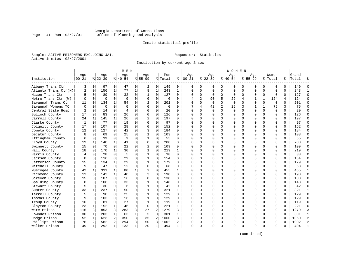#### Georgia Department of Corrections Page 41 Run 02/27/01 Office of Planning and Analysis

#### Inmate statistical profile

Sample: ACTIVE PRISONERS EXCLUDING JAIL **Requestor:** Statistics Active inmates 02/27/2001

Institution by current age & sex

| Institution<br>$00 - 21$ | Age<br>3       |             | Age<br>$8 22-39$ |              | Age<br>$8 40-54$ | $8155 - 99$ | Aqe            |             | Men         |              | Age          |                | Aqe         |                | Aqe      |             | Aqe         |              | Women       |          | Grand     |                |
|--------------------------|----------------|-------------|------------------|--------------|------------------|-------------|----------------|-------------|-------------|--------------|--------------|----------------|-------------|----------------|----------|-------------|-------------|--------------|-------------|----------|-----------|----------------|
|                          |                |             |                  |              |                  |             |                |             |             |              |              |                |             |                |          |             |             |              |             |          |           |                |
|                          |                |             |                  |              |                  |             |                |             | % Total     | နွ           | $ 00-21$     |                | $ 22-39$    |                | $ 40-54$ |             | $8155 - 99$ |              | % Total     |          | %   Total |                |
| Albany Trans Ctr         |                | 0           | 97               | 0            | 47               | 0           | 2              | 0           | 149         | 0            | $\Omega$     | $\mathbf{0}$   | 0           | 0              | 0        | 0           | 0           | 0            | $\mathbf 0$ | 0        | 149       | $\Omega$       |
| Atlanta Trans Ctr(M)     | $\overline{2}$ | $\mathbf 0$ | 156              | $\mathbf{1}$ | 77               | $\mathbf 1$ | 8              | $\mathbf 1$ | 243         | $\mathbf{1}$ | $\Omega$     | $\Omega$       | $\mathbf 0$ | $\mathbf 0$    | $\Omega$ | $\mathbf 0$ | $\Omega$    | $\Omega$     | $\mathbf 0$ | $\Omega$ | 243       | $\mathbf{1}$   |
| Macon Trans Ctr          | 5              | 0           | 89               | $\Omega$     | 32               | 0           | 1              | $\mathbf 0$ | 127         | $\Omega$     | $\Omega$     | $\mathbf 0$    | $\Omega$    | $\mathbf 0$    | $\Omega$ | $\mathbf 0$ | 0           | $\Omega$     | $\Omega$    | $\Omega$ | 127       | $\Omega$       |
| Metro Trans Ctr (W)      | $\Omega$       | 0           | $\Omega$         | $\Omega$     | $\Omega$         | $\mathbf 0$ | $\Omega$       | $\mathbf 0$ | $\Omega$    | $\Omega$     | 4            | $\overline{a}$ | 90          | 5              | 29       | 4           | 1           | $\mathbf{1}$ | 124         | 4        | 124       | $\Omega$       |
| Savannah Trans Ctr       | 11             | $\Omega$    | 134              | $\mathbf{1}$ | 54               | $\Omega$    |                | $\Omega$    | 201         | 0            | $\cap$       | 0              | $\Omega$    | $\Omega$       | $\Omega$ | $\Omega$    | $\Omega$    | $\Omega$     | $\Omega$    | $\Omega$ | 201       | $\Omega$       |
| Savannah Womens TC       | $\Omega$       | $\Omega$    | 0                | $\Omega$     | $\Omega$         | $\Omega$    | $\Omega$       | $\Omega$    | $\mathbf 0$ | 0            |              | 4              | 42          | $\overline{c}$ | 25       | 3           | 1           | 1            | 75          | 3        | 75        | $\Omega$       |
| Central State Hosp       | 2              | 0           | 14               | $\mathbf 0$  | $\overline{4}$   | 0           | 0              | 0           | 20          | $\Omega$     | $\Omega$     | $\Omega$       | $\Omega$    | $\mathbf 0$    | $\Omega$ | $\mathbf 0$ | $\mathbf 0$ | $\mathbf 0$  | $\mathbf 0$ | $\Omega$ | 20        | $\Omega$       |
| Bulloch County           | 17             | $\Omega$    | 83               | $\Omega$     | 26               | $\Omega$    | $\Omega$       | $\Omega$    | 126         | $\Omega$     | $\cap$       | $\Omega$       | $\Omega$    | 0              | $\Omega$ | $\Omega$    | $\Omega$    | $\Omega$     | $\Omega$    | $\Omega$ | 126       | $\Omega$       |
| Carroll County           | 24             | 1           | 145              | $\mathbf{1}$ | 26               | 0           | $\overline{c}$ | $\mathbf 0$ | 197         | $\Omega$     | $\cap$       | 0              | $\Omega$    | $\Omega$       | $\Omega$ | 0           | $\Omega$    | $\Omega$     | $\Omega$    | $\Omega$ | 197       | $\Omega$       |
| Clarke County            | $\mathbf{1}$   | $\mathbf 0$ | 77               | 0            | 19               | 0           | $\Omega$       | $\mathbf 0$ | 97          | $\Omega$     |              | $\Omega$       | $\Omega$    | 0              | C        | 0           | $\Omega$    | $\Omega$     | $\Omega$    | $\Omega$ | 97        | $\Omega$       |
| Colquitt County          | 17             | $\Omega$    | 107              | $\Omega$     | 28               | $\Omega$    | $\Omega$       | $\Omega$    | 152         | $\Omega$     | ∩            | 0              | $\Omega$    | $\Omega$       | $\Omega$ | $\Omega$    | $\Omega$    | $\Omega$     | $\Omega$    | $\Omega$ | 152       | $\Omega$       |
| Coweta County            | 12             | $\Omega$    | 127              | $\Omega$     | 42               | $\Omega$    | 3              | $\mathbf 0$ | 184         | $\Omega$     | <sup>0</sup> | $\Omega$       | $\Omega$    | $\Omega$       | $\Omega$ | $\Omega$    | $\Omega$    | $\Omega$     | $\mathbf 0$ | $\Omega$ | 184       | $\Omega$       |
| Decatur County           | 8              | $\mathbf 0$ | 69               | $\Omega$     | 25               | $\mathbf 0$ | $\mathbf 1$    | $\mathbf 0$ | 103         | $\Omega$     | $\Omega$     | $\Omega$       | 0           | 0              |          | $\mathbf 0$ | $\Omega$    | 0            | $\mathbf 0$ | $\Omega$ | 103       | $\Omega$       |
| Effingham County         | 6              | $\mathbf 0$ | 39               | $\Omega$     | 9                | $\Omega$    | $\mathbf 1$    | $\mathbf 0$ | 55          | $\Omega$     | $\Omega$     | $\Omega$       | O           | $\Omega$       | $\Omega$ | 0           | $\Omega$    | $\Omega$     | $\Omega$    | $\Omega$ | 55        | $\Omega$       |
| Floyd County             | 19             | 1           | 148              | $\mathbf 1$  | 41               | 0           | $\Omega$       | 0           | 208         | $\Omega$     | ∩            | $\Omega$       | $\Omega$    | 0              | $\Omega$ | 0           | $\Omega$    | $\Omega$     | 0           | 0        | 208       | $\Omega$       |
| Gwinnett County          | 15             | 0           | 70               | 0            | 22               | 0           | 2              | $\mathbf 0$ | 109         | 0            |              | $\Omega$       | $\Omega$    | 0              | $\Omega$ | 0           | $\Omega$    | $\Omega$     | $\mathbf 0$ | $\Omega$ | 109       | $\Omega$       |
| Hall County              | 18             | $\Omega$    | 170              | $\mathbf{1}$ | 30               | $\Omega$    | $\mathbf{1}$   | $\Omega$    | 219         | $\mathbf{1}$ | ∩            | $\Omega$       | $\Omega$    | 0              | $\Omega$ | $\Omega$    | $\Omega$    | $\Omega$     | $\Omega$    | $\Omega$ | 219       | $\Omega$       |
| Harris County            | 4              | $\Omega$    | 28               | $\Omega$     | .5               | $\Omega$    | $\mathbf{1}$   | $\Omega$    | 38          | $\Omega$     | ∩            | $\Omega$       | $\Omega$    | 0              | $\Omega$ | $\Omega$    | $\Omega$    | $\Omega$     | $\Omega$    | $\Omega$ | 38        | $\Omega$       |
| Jackson County           | 8              | $\mathbf 0$ | 116              | $\Omega$     | 29               | $\Omega$    | $\mathbf{1}$   | $\mathbf 0$ | 154         | $\Omega$     |              | $\Omega$       | O           | 0              |          | $\mathbf 0$ | $\Omega$    | $\Omega$     | $\mathbf 0$ | $\Omega$ | 154       | $\Omega$       |
| Jefferson County         | 15             | $\mathbf 0$ | 134              | $\mathbf{1}$ | 29               | $\Omega$    | $\mathbf{1}$   | $\Omega$    | 179         | $\Omega$     | $\Omega$     | $\Omega$       | $\Omega$    | $\Omega$       | $\Omega$ | 0           | $\Omega$    | $\Omega$     | $\Omega$    | $\Omega$ | 179       | $\Omega$       |
| Mitchell County          | 9              | 0           | 47               | $\Omega$     | 12               | 0           | $\Omega$       | $\mathbf 0$ | 68          | 0            | <sup>0</sup> | 0              | $\Omega$    | 0              | $\Omega$ | 0           | $\Omega$    | $\Omega$     | $\Omega$    | $\Omega$ | 68        | $\Omega$       |
| Muscogee County          | 42             | 1           | 331              | $\mathbf{1}$ | 80               | 1           | 2              | $\mathbf 0$ | 455         | 1            |              | $\Omega$       | $\Omega$    | 0              | O        | 0           | $\Omega$    | $\Omega$     | $\mathbf 0$ | $\Omega$ | 455       | -1             |
| Richmond County          | 13             | $\mathbf 0$ | 142              | $\mathbf{1}$ | 40               | $\Omega$    | 3              | $\mathbf 0$ | 198         | $\Omega$     | $\cap$       | 0              | $\Omega$    | 0              | $\Omega$ | 0           | $\Omega$    | $\Omega$     | $\Omega$    | $\Omega$ | 198       | $\Omega$       |
| Screven County           | 15             | $\mathbf 0$ | 107              | $\Omega$     | 16               | $\mathbf 0$ | 0              | $\mathbf 0$ | 138         | 0            | $\Omega$     | $\Omega$       | $\Omega$    | $\mathbf 0$    | $\Omega$ | 0           | $\Omega$    | $\Omega$     | $\mathbf 0$ | $\Omega$ | 138       | $\Omega$       |
| Spalding County          | 8              | $\mathbf 0$ | 106              | $\mathbf 0$  | 33               | $\mathbf 0$ | $\mathbf 1$    | $\mathbf 0$ | 148         | $\Omega$     | $\Omega$     | $\Omega$       | $\Omega$    | 0              |          | $\mathbf 0$ | $\Omega$    | 0            | $\mathbf 0$ | $\Omega$ | 148       | $\Omega$       |
| Stewart County           | 5              | $\Omega$    | 30               | $\Omega$     | 6                | $\Omega$    | $\mathbf{1}$   | $\Omega$    | 42          | $\Omega$     | $\Omega$     | $\Omega$       | $\Omega$    | $\Omega$       | $\Omega$ | 0           | $\Omega$    | $\Omega$     | $\Omega$    | $\Omega$ | 42        | $\Omega$       |
| Sumter County            | 33             | 1           | 237              | $\mathbf{1}$ | 50               | $\Omega$    | $\mathbf{1}$   | $\Omega$    | 321         | 1            | $\cap$       | 0              | $\Omega$    | 0              | $\Omega$ | 0           | $\Omega$    | $\Omega$     | $\Omega$    | $\Omega$ | 321       | $\mathbf{1}$   |
| Terrell County           | 5              | 0           | 98               | $\Omega$     | 25               | 0           | $\mathbf{1}$   | $\mathbf 0$ | 129         | $\Omega$     |              | $\Omega$       | $\Omega$    | O              | $\Omega$ | $\mathbf 0$ | $\Omega$    | $\Omega$     | $\Omega$    | $\Omega$ | 129       | $\Omega$       |
| Thomas County            | 9              | $\Omega$    | 103              | $\Omega$     | 16               | $\Omega$    | 1              | $\Omega$    | 129         | 0            | ∩            | $\cap$         | $\Omega$    | 0              | $\Omega$ | $\Omega$    | $\Omega$    | $\Omega$     | $\Omega$    | $\Omega$ | 129       | $\Omega$       |
| Troup County             | 10             | 0           | 81               | $\mathbf 0$  | 27               | $\Omega$    | 1              | $\mathbf 0$ | 119         | 0            | ∩            | $\Omega$       | $\Omega$    | 0              | $\Omega$ | 0           | $\Omega$    | $\Omega$     | $\mathbf 0$ | $\Omega$ | 119       | $\Omega$       |
| Clayton County           | 23             | $\mathbf 1$ | 152              | $\mathbf{1}$ | 46               | 0           | $\Omega$       | $\mathbf 0$ | 221         | 1            |              | 0              | 0           | 0              | C        | 0           | $\Omega$    | $\Omega$     | $\mathbf 0$ | $\Omega$ | 221       | $\Omega$       |
| Ware Prison              | 116            | 3           | 853              | 3            | 283              | 3           | 27             | 2           | 1279        | 3            | $\Omega$     | 0              | $\Omega$    | 0              | $\Omega$ | 0           | $\Omega$    | $\Omega$     | $\mathbf 0$ | $\Omega$ | 1279      | 3              |
| Lowndes Prison           | 30             | $\mathbf 1$ | 203              | $\mathbf{1}$ | 63               | $\mathbf 1$ | 5              | $\mathbf 0$ | 301         | 1            | $\cap$       | 0              | $\Omega$    | $\Omega$       | $\Omega$ | 0           | $\Omega$    | $\Omega$     | $\mathbf 0$ | $\Omega$ | 301       | $\mathbf{1}$   |
| Dodge Prison             | 52             | $\mathbf 1$ | 623              | 2            | 350              | 3           | 35             | 2           | 1060        | 3            | ∩            | $\Omega$       | $\Omega$    | $\mathbf 0$    | $\Omega$ | 0           | $\Omega$    | $\Omega$     | $\mathbf 0$ | U        | 1060      | $\overline{2}$ |
| Phillips Prison          | 76             | 2           | 582              | 2            | 294              | 3           | 50             | 3           | 1002        | 2            | <sup>0</sup> | 0              | 0           | 0              | $\Omega$ | $\mathbf 0$ | $\Omega$    | $\Omega$     | $\Omega$    | $\Omega$ | 1002      | $\mathcal{D}$  |
| Walker Prison            | 49             | 1           | 292              | $\mathbf 1$  | 133              | $\mathbf 1$ | 20             | 1           | 494         | 1            | $\Omega$     | 0              | $\Omega$    | 0              | $\Omega$ | $\mathbf 0$ | $\Omega$    | 0            | $\Omega$    | 0        | 494       | $\mathbf{1}$   |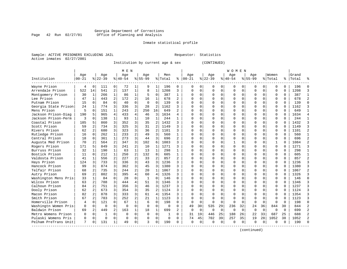#### Georgia Department of Corrections Page 42 Run 02/27/01 Office of Planning and Analysis

### Inmate statistical profile

|  | Sample: ACTIVE PRISONERS EXCLUDING JAIL |  |
|--|-----------------------------------------|--|
|  | Active inmates 02/27/2001               |  |

L Bample: Active Prequestor: Statistics

Institution by current age & sex (CONTINUED)

|                      |           |                |           |                | M E N     |                |              |                |          |                |            |          |          |             | W O M E N |          |              |          |          |              |           |    |
|----------------------|-----------|----------------|-----------|----------------|-----------|----------------|--------------|----------------|----------|----------------|------------|----------|----------|-------------|-----------|----------|--------------|----------|----------|--------------|-----------|----|
|                      | Age       |                | Age       |                | Age       |                | Aqe          |                | Men      |                | Age        |          | Age      |             | Age       |          | Aqe          |          | Women    |              | Grand     |    |
| Institution          | $00 - 21$ |                | $8 22-39$ |                | $8 40-54$ |                | $8155 - 99$  |                | % Total  | ႜ              | $ 00 - 21$ |          | $ 22-39$ |             | $8 40-54$ |          | $8155 - 99$  |          | % Total  |              | %   Total |    |
| Wayne Prison         | 4         | $\Omega$       | 111       | $\Omega$       | 72        | 1              | 9            | 1              | 196      | 0              | $\Omega$   | 0        | $\Omega$ | $\Omega$    | 0         | U        | <sup>0</sup> | $\Omega$ | O        | 0            | 196       |    |
| Arrendale Prison     | 522       | 14             | 541       | $\overline{a}$ | 137       | $\mathbf{1}$   | 8            | 1              | 1208     | 3              | $\Omega$   | 0        | $\Omega$ | $\Omega$    | 0         | $\Omega$ | $\Omega$     | $\Omega$ | O        | $\Omega$     | 1208      |    |
| Montgomery Prison    | 30        | 1              | 266       | $\mathbf{1}$   | 86        | 1              | 5            | $\Omega$       | 387      | $\mathbf{1}$   | $\Omega$   | 0        | $\Omega$ | $\Omega$    | $\Omega$  | $\Omega$ | $\Omega$     | $\Omega$ | $\Omega$ | $\Omega$     | 387       |    |
| Lee Prison           | 47        | $\mathbf{1}$   | 443       | 2              | 172       | 2              | 16           | 1              | 678      | 2              | O          | 0        | $\Omega$ | $\Omega$    | O         | $\Omega$ | <sup>0</sup> | $\Omega$ | $\Omega$ | $\Omega$     | 678       |    |
| Putnam Prison        | 15        | $\Omega$       | 84        | $\Omega$       | 40        | 0              | $\Omega$     | $\Omega$       | 139      | $\Omega$       | O          | 0        |          | $\mathbf 0$ | U         | $\Omega$ |              | $\Omega$ | $\Omega$ | $\Omega$     | 139       | U  |
| Georgia State Prison | 24        | 1              | 774       | 3              | 336       | 3              | 28           | $\overline{c}$ | 1162     | 3              | $\cap$     | 0        |          | $\Omega$    | ი         | $\Omega$ | $\Omega$     | $\Omega$ | $\Omega$ | $\Omega$     | 1162      |    |
| Mens Prison          | 5         | $\Omega$       | 151       | $\mathbf{1}$   | 243       | 2              | 250          | 16             | 649      | $\mathfrak{D}$ | $\Omega$   | 0        | ∩        | $\Omega$    | O         | $\Omega$ | $\cap$       | 0        | O        | $\Omega$     | 649       |    |
| Jackson Prison-Diag  | 190       | 5              | 965       | $\overline{4}$ | 433       | 4              | 46           | 3              | 1634     | 4              | $\cap$     | 0        | ∩        | $\Omega$    | U         | $\Omega$ | ∩            | 0        | O        | 0            | 1634      |    |
| Jackson Prison-Perm  | 3         | $\Omega$       | 138       | $\mathbf{1}$   | 93        | $\mathbf{1}$   | 10           | 1              | 244      |                | U          | 0        | $\Omega$ | $\Omega$    | 0         | $\Omega$ | <sup>0</sup> | 0        | O        | $\Omega$     | 244       |    |
| Coastal Prison       | 185       | 5              | 860       | 3              | 352       | 3              | 35           | 2              | 1432     | 3              |            | U        | $\Omega$ | $\Omega$    | 0         | $\Omega$ | <sup>0</sup> | $\Omega$ | $\Omega$ | U            | 1432      |    |
| Scott Prison         | 59        |                | 734       | 3              | 325       | 3              | 31           | $\overline{2}$ | 1149     | 3              | U          | U        | $\Omega$ | $\Omega$    | U         | C        | ∩            | 0        | $\Omega$ | $\Omega$     | 1149      |    |
| Rivers Prison        | 62        | 2              | 680       | 3              | 323       | 3              | 36           | $\mathfrak{D}$ | 1101     | 3              | U          | 0        | $\Omega$ | $\Omega$    | 0         | $\Omega$ | <sup>0</sup> | 0        | O        | 0            | 1101      |    |
| Rutledge Prison      | 16        | $\Omega$       | 262       | $\mathbf{1}$   | 233       | 2              | 49           | 3              | 560      | 1              | O          | 0        | $\Omega$ | $\Omega$    | 0         | $\Omega$ | $\Omega$     | $\Omega$ | $\Omega$ | $\Omega$     | 560       |    |
| Central Prison       | 18        | $\Omega$       | 361       | $\mathbf{1}$   | 273       | 3              | 44           | 3              | 696      | 2              | O          | 0        | $\Omega$ | $\Omega$    | O         | $\Omega$ |              | $\Omega$ | $\Omega$ | $\Omega$     | 696       |    |
| Augusta Med Prison   | 70        | 2              | 564       | $\overline{a}$ | 347       | 3              | 102          | 6              | 1083     | 3              | $\Omega$   | 0        | $\Omega$ | $\Omega$    |           | $\Omega$ | $\Omega$     | $\Omega$ | 1        | $\Omega$     | 1084      |    |
| Rogers Prison        | 171       | 5              | 849       | 3              | 241       | 2              | 10           | 1              | 1271     | 3              | $\cap$     | 0        | $\Omega$ | $\Omega$    | $\Omega$  | $\Omega$ | $\cap$       | $\Omega$ | $\Omega$ | $\Omega$     | 1271      |    |
| Burruss Prison       | 32        | $\mathbf{1}$   | 190       | $\mathbf{1}$   | 63        | $\mathbf{1}$   | 13           | $\mathbf{1}$   | 298      | 1              | $\cap$     | 0        | $\Omega$ | $\Omega$    | O         | $\Omega$ | $\cap$       | $\Omega$ | $\Omega$ | $\Omega$     | 298       | -1 |
| Bostick Prison       | 11        | $\Omega$       | 212       | $\mathbf{1}$   | 250       | $\overline{2}$ | 132          | 8              | 605      |                | U          | 0        | $\Omega$ | $\Omega$    | 0         | $\Omega$ |              | $\Omega$ | O        | $\Omega$     | 605       |    |
| Valdosta Prison      | 41        | 1              | 556       | $\overline{a}$ | 227       | 2              | 33           | $\overline{2}$ | 857      | 2              | $\Omega$   | U        | $\Omega$ | $\Omega$    | U         | $\Omega$ | $\cap$       | $\Omega$ | $\Omega$ | O            | 857       |    |
| Hays Prison          | 124       | 3              | 733       | 3              | 336       | 3              | 43           | 3              | 1236     | 3              | ∩          | 0        | ∩        | $\Omega$    | O         | ∩        | ∩            | 0        | $\Omega$ | $\Omega$     | 1236      |    |
| Hancock Prison       | 99        | 3              | 874       | 3              | 362       | 3              | 45           | 3              | 1380     | 3              | ∩          | 0        | ∩        | $\Omega$    | O         | $\Omega$ | <sup>0</sup> | 0        | $\Omega$ | 0            | 1380      |    |
| Telfair Prison       | 68        | 2              | 735       | 3              | 244       | $\overline{a}$ | 20           | $\mathbf{1}$   | 1067     | 3              | O          | 0        | $\Omega$ | $\Omega$    | $\Omega$  | $\Omega$ | <sup>0</sup> | $\Omega$ | $\Omega$ | $\Omega$     | 1067      |    |
| Autry Prison         | 69        | $\overline{a}$ | 802       | 3              | 395       | 4              | 60           | $\overline{4}$ | 1326     | 3              | O          | $\Omega$ | $\Omega$ | $\Omega$    | U         | $\Omega$ |              | $\Omega$ | $\Omega$ | $\Omega$     | 1326      |    |
| Washington Mens Pris | 33        | 1              | 84        | $\Omega$       | 28        | 0              | $\mathbf{1}$ | $\Omega$       | 146      | $\Omega$       | $\Omega$   | O        |          | $\Omega$    | Ω         | $\Omega$ |              | $\Omega$ | $\Omega$ | $\Omega$     | 146       |    |
| Wilcox Prison        | 63        | 2              | 788       | 3              | 444       | 4              | 51           | 3              | 1346     | 3              | $\cap$     | 0        | $\Omega$ | $\Omega$    | U         | $\Omega$ | $\cap$       | $\Omega$ | $\Omega$ | $\Omega$     | 1346      |    |
| Calhoun Prison       | 84        | 2              | 751       | 3              | 356       | 3              | 46           | 3              | 1237     | 3              | $\Omega$   | 0        | ∩        | $\Omega$    | U         | $\Omega$ | ∩            | $\Omega$ | $\Omega$ | $\Omega$     | 1237      |    |
| Dooly Prison         | 62        | 2              | 673       | 3              | 354       | 3              | 35           | $\overline{2}$ | 1124     | 3              | U          | 0        | $\Omega$ | $\Omega$    | 0         | $\Omega$ | ∩            | 0        | O        | $\Omega$     | 1124      |    |
| Macon Prison         | 82        | $\mathfrak{D}$ | 878       | 3              | 333       | 3              | 61           | 4              | 1354     | 3              | n          | 0        |          | $\Omega$    | O         | U        |              |          | O        | U            | 1354      |    |
| Smith Prison         | 67        | $\overline{2}$ | 783       | 3              | 252       | $\overline{a}$ | 21           | 1              | 1123     | 3              | $\Omega$   | O        | $\Omega$ | $\Omega$    | U         | C        | $\cap$       | U        | $\cap$   | U            | 1123      |    |
| Homerville Prison    | 4         | $\Omega$       | 121       | $\Omega$       | 67        | $\mathbf{1}$   | 6            | $\Omega$       | 198      | 0              | $\Omega$   | $\Omega$ | $\Omega$ | $\Omega$    | U         | $\Omega$ | $\cap$       | $\Omega$ | U        | <sup>0</sup> | 198       |    |
| Washingtn Women Pris | $\Omega$  | $\Omega$       | $\Omega$  | $\Omega$       | $\Omega$  | 0              | $\Omega$     | $\Omega$       | $\Omega$ | $\Omega$       | 49         | 30       | 535      | 29          | 236       | 32       | 24           | 36       | 844      | 30           | 844       |    |
| Baldwin Prison       | 69        | 2              | 449       | 2              | 163       | 1              | 18           | $\mathbf{1}$   | 699      | $\overline{a}$ | $\Omega$   | $\Omega$ | $\Omega$ | $\Omega$    | $\Omega$  | $\Omega$ | $\Omega$     | $\Omega$ | O        | $\Omega$     | 699       |    |
| Metro Womens Prison  | $\Omega$  | $\mathbf 0$    |           | $\Omega$       | $\Omega$  | 0              | $\Omega$     | $\Omega$       |          | $\Omega$       | 31         | 19       | 446      | 25          | 188       | 26       | 22           | 33       | 687      | 25           | 688       |    |
| Pulaski Womens Pris  | $\Omega$  | 0              | $\Omega$  | $\Omega$       | $\Omega$  | 0              |              | $\mathbf 0$    | $\Omega$ | $\Omega$       | 74         | 45       | 702      | 39          | 257       | 35       | 19           | 28       | 1052     | 38           | 1052      |    |
| Pelham PreTrans Unit | 7         | $\Omega$       | 131       | 1              | 49        | 0              | ર            | $\Omega$       | 190      | 0              | $\Omega$   | 0        | $\Omega$ | 0           | $\Omega$  | $\Omega$ | $\Omega$     | 0        | $\Omega$ | $\Omega$     | 190       |    |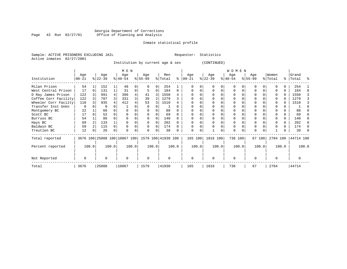#### Georgia Department of Corrections<br>Page 43 Run 02/27/01 Office of Planning and Analysis Page 43 Run 02/27/01 Office of Planning and Analysis

#### Inmate statistical profile

Sample: ACTIVE PRISONERS EXCLUDING JAIL **Requestor:** Statistics Active inmates 02/27/2001

Institution by current age & sex (CONTINUED)

|                      |          |          |           |       | M E N                                           |       |           |       |          |          |            |       |           |          | W O M E N   |          |             |        |          |       |           |       |
|----------------------|----------|----------|-----------|-------|-------------------------------------------------|-------|-----------|-------|----------|----------|------------|-------|-----------|----------|-------------|----------|-------------|--------|----------|-------|-----------|-------|
|                      | Age      |          | Age       |       | Age                                             |       | Age       |       | Men      |          | Age        |       | Age       |          | Age         |          | Age         |        | Women    |       | Grand     |       |
| Institution          | $ 00-21$ |          | $ 22-39 $ |       | $8 40-54$                                       |       | $8 55-99$ |       | % Total  | ႜ        | $ 00 - 21$ |       | $ 22-39 $ |          | $ 40-54 $   |          | $8155 - 99$ |        | % Total  |       | %   Total | ႜ     |
| Milan Prison         | 54       |          | 152       |       | 48                                              |       |           | 0     | 254      |          |            |       |           |          | $\Omega$    |          | O           |        |          |       | 254       |       |
| West Central Prison  | 17       | $\Omega$ | 131       |       | 31                                              | 0     | 5         | 0     | 184      | $\Omega$ |            |       |           | 0        | $\Omega$    | $\Omega$ |             |        |          | 0     | 184       |       |
| D Ray James Prison   | 122      |          | 991       | 4     | 396                                             |       | 41        |       | 1550     |          |            |       |           |          | 0           |          |             |        |          | U     | 1550      |       |
| Coffee Corr Facility | 122      |          | 787       | 3     | 331                                             |       | 39        |       | 1279     |          |            |       |           |          | $\Omega$    |          |             |        |          |       | 1279      |       |
| Wheeler Corr Facilty | 110      |          | 935       |       | 412                                             |       | 53        |       | 1510     |          |            |       |           |          | 0           |          |             |        |          |       | 1510      |       |
| Transfer Inst Unkn   | 0        |          | $\Omega$  |       |                                                 |       |           |       |          |          |            |       |           |          |             |          |             |        |          |       |           |       |
| Montgomery BC        | 22       |          | 66        |       |                                                 |       |           |       | 88       |          |            |       |           |          |             |          |             |        |          |       | 88        |       |
| Scott BC             | 17       |          | 52        |       |                                                 |       |           |       | 69       |          |            |       |           |          |             |          |             |        |          |       | 69        |       |
| Burruss BC           | 54       |          | 86        |       |                                                 |       |           |       | 140      |          |            |       |           |          | 0           |          | $\Omega$    |        |          | 0     | 140       |       |
| Hays BC              | 69       |          | 133       |       |                                                 |       |           |       | 202      |          |            |       |           |          |             |          |             |        |          | 0     | 202       |       |
| Baldwin BC           | 59       |          | 115       |       |                                                 |       | 0         | 0     | 174      |          |            |       |           |          | 0           |          | $\Omega$    |        |          | 0     | 174       |       |
| Treutlen BC          | 12       | 0        | 26        | 0     |                                                 |       | 0         | 0     | 38       |          | $\Omega$   | 0     |           | $\Omega$ | $\mathbf 0$ | $\Omega$ | $\Omega$    |        |          |       | 39        |       |
| Total reported       |          |          |           |       | 3676 100 25808 100 10867 100 1579 100 41930 100 |       |           |       |          |          | 165 100    |       | 1816 100  |          | 736 100     |          |             | 67 100 | 2784 100 |       | 44714 100 |       |
| Percent reported     |          | 100.0    |           | 100.0 |                                                 | 100.0 |           | 100.0 |          | 100.0    |            | 100.0 |           | 100.0    |             | 100.0    |             | 100.0  |          | 100.0 |           | 100.0 |
| Not Reported         | 0        |          | U         |       | $\Omega$                                        |       | 0         |       | $\Omega$ |          | $\Omega$   |       | $\Omega$  |          | $\Omega$    |          | $\Omega$    |        |          |       |           |       |
| Total                | 3676     |          | 25808     |       | 10867                                           |       | 1579      |       | 41930    |          | 165        |       | 1816      |          | 736         |          | 67          |        | 2784     |       | 44714     |       |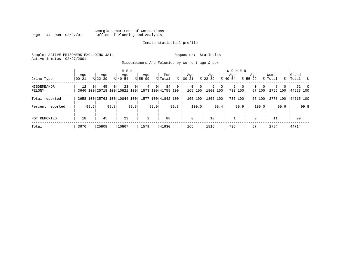#### Georgia Department of Corrections Page 44 Run 02/27/01 Office of Planning and Analysis

#### Inmate statistical profile

Sample: ACTIVE PRISONERS EXCLUDING JAIL **Requestor:** Statistics Active inmates 02/27/2001

Misdemeanors And Felonies by current age & sex

| Crime Type            | Aqe<br>  00-21 |                | Age<br>$8122 - 39$                                    |          | M E N<br>Age<br>$8140 - 54$ |                | Age<br>$8155 - 99$ |                | Men<br>% Total | ႜ              | Age<br>$00 - 21$ |                                    | Age<br>$8122 - 39$ |                | <b>WOMEN</b><br>Aqe<br>$8140 - 54$ |                         | Age<br>$8155 - 99$ |                    | Women<br>% Total |               | Grand<br>%   Total % |      |
|-----------------------|----------------|----------------|-------------------------------------------------------|----------|-----------------------------|----------------|--------------------|----------------|----------------|----------------|------------------|------------------------------------|--------------------|----------------|------------------------------------|-------------------------|--------------------|--------------------|------------------|---------------|----------------------|------|
| MISDEMEANOR<br>FELONY | 12             | 0 <sup>1</sup> | 45<br>3646 100 25718 100 10821 100 1573 100 41758 100 | $\Omega$ | 23                          | $\overline{0}$ | 4                  | 0 <sup>1</sup> | 84             | $\overline{0}$ |                  | $\Omega$<br>$\mathbf 0$<br>165 100 | 6<br>1800 100      | 0 <sup>1</sup> | 2                                  | $\mathbf{0}$<br>733 100 | $\Omega$           | $\Omega$<br>67 100 | 8                | 0<br>2765 100 | 44523 100            | 92 0 |
| Total reported        |                |                | 3658 100 25763 100 10844 100 1577 100 41842 100       |          |                             |                |                    |                |                |                | 165              | 100                                |                    | 1806 100       |                                    | 735 100                 |                    | 67 100             | 2773 100         |               | 44615 100            |      |
| Percent reported      |                | 99.5           |                                                       | 99.8     |                             | 99.8           |                    | 99.9           |                | 99.8           |                  | 100.0                              |                    | 99.4           |                                    | 99.9                    |                    | 100.0              |                  | 99.6          |                      | 99.8 |
| NOT REPORTED          | 18             |                | 45                                                    |          | 23                          |                | $\overline{a}$     |                | 88             |                |                  | $\mathbf 0$                        | 10                 |                |                                    |                         | $\Omega$           |                    | 11               |               | 99                   |      |
| Total                 | 3676           |                | 25808                                                 |          | 10867                       |                | 1579               |                | 41930          |                | 165              |                                    | 1816               |                | 736                                |                         | 67                 |                    | 2784             |               | 44714                |      |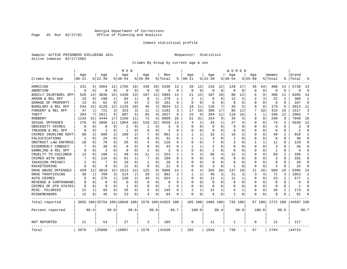#### Georgia Department of Corrections<br>Page 45 Run 02/27/01 Office of Planning and Analysis Page 45 Run 02/27/01 Office of Planning and Analysis

#### Inmate statistical profile

Sample: ACTIVE PRISONERS EXCLUDING JAIL **Requestor:** Statistics Active inmates 02/27/2001

Crimes By Group by current age & sex

|                      |           |             |                |              | M E N                        |             |             |             |                    |          |                         |              |                |                | W O M E N   |             |             |              |                          |          |           |                |
|----------------------|-----------|-------------|----------------|--------------|------------------------------|-------------|-------------|-------------|--------------------|----------|-------------------------|--------------|----------------|----------------|-------------|-------------|-------------|--------------|--------------------------|----------|-----------|----------------|
|                      | Age       |             | Age            |              | Age                          |             | Age         |             | Men                |          | Age                     |              | Age            |                | Aqe         |             | Aqe         |              | Women                    |          | Grand     |                |
| Crimes By Group      | $00 - 21$ |             | $ 22-39$       |              | $8140 - 54$                  |             | $8155 - 99$ |             | % Total            | နွ       | $ 00-21$                |              | $8$   22-39    |                | $8140 - 54$ |             | $8155 - 99$ |              | % Total                  | ⊱        | Total     |                |
| HOMICIDE             | 231       | 6           | 2964           | 12           | 1705                         | 16          | 436         | 28          | 5336               | 13       | 20                      | 12           | 216            | 12             | 128         | 17          | 36          | 54           | 400                      | 14       | 5736      | 13             |
| ABORTION             | $\Omega$  | $\mathbf 0$ | $\Omega$       | $\mathbf 0$  | $\Omega$                     | $\mathbf 0$ | $\Omega$    | $\mathbf 0$ | $\mathbf 0$        | 0        | $\Omega$                | $\Omega$     | $\mathbf 0$    | $\mathbf 0$    | $\Omega$    | $\mathbf 0$ | $\Omega$    | $\mathbf 0$  | $\mathbf 0$              | $\Omega$ | $\Omega$  | $\Omega$       |
| BODILY INJRY&REL OFF | 526       | 14          | 3836           | 15           | 1436                         | 13          | 187         | 12          | 5985               | 14       | 21                      | 13           | 187            | 10             | 86          | 12          | 6           | 9            | 300                      | 11       | 6285      | 14             |
| ARSON & REL OFF      | 16        | 0           | 190            | $\mathbf{1}$ | 64                           | 1           | 8           | 1           | 278                | 1        | $\overline{\mathbf{c}}$ | 1            | 6              | O              | 12          | 2           | 2           | 3            | 22                       | 1        | 300       | 1              |
| DAMAGE OF PROPERTY   | 13        | $\Omega$    | 62             | $\Omega$     | 24                           | $\Omega$    |             | $\Omega$    | 101                | $\Omega$ | $\Omega$                | $\Omega$     | 6              | O              | $\Omega$    | $\Omega$    | $\Omega$    | $\Omega$     | -6                       | $\Omega$ | 107       | $\Omega$       |
| BURGLARY & REL OFF   | 534       | 15          | 3128           | 12           | 1126                         | 10          | 46          | 3           | 4834               | 12       | 18                      | 11           | 126            | 7              | 35          | .5          | 0           | $\Omega$     | 179                      | 6        | 5013      | 11             |
| FORGERY & REL OFF    | 47        | 1           | 721            | 3            | 323                          | 3           | 11          | 1           | 1102               | 3        | 17                      | 10           | 306            | 17             | 85          | 12          |             | 10           | 415                      | 15       | 1517      | 3              |
| THEFT                | 264       | 7           | 1611           | 6            | 687                          | 6           | 65          | 4           | 2627               | 6        | 15                      | 9            | 204            | 11             | 118         | 16          | 1           | $\mathbf{1}$ | 338                      | 12       | 2965      | 7              |
| <b>ROBBERY</b>       | 1143      | 31          | 4444           | 17           | 1150                         | 11          | 72          | 5           | 6809               | 16       | 51                      | 31           | 154            | 9              | 35          | 5           | $\Omega$    | $\Omega$     | 240                      | 9        | 7049      | 16             |
| SEXUAL OFFENSES      | 276       | 8           | 2806           | 11           | 1964                         | 18          | 510         | 32          | 5556               | 13       |                         | 2            | 43             | $\overline{2}$ | 27          | 4           | 0           | 0            | 74                       | 3        | 5630      | 13             |
| OBSCENITY CRIMES     | $\Omega$  | $\Omega$    | $\Omega$       | $\Omega$     | 2                            | $\Omega$    | 1           | $\Omega$    | 3                  | $\Omega$ | <sup>0</sup>            | $\Omega$     | $\Omega$       | O              | $\Omega$    | $\Omega$    | $\Omega$    | O            | $\Omega$                 | $\Omega$ | κ         | $\Omega$       |
| TREASON & REL OFF    | $\Omega$  | 0           | 1              | $\Omega$     | -1                           | O           | 0           | 0           | 2                  | 0        | <sup>0</sup>            | $\Omega$     | $\Omega$       | $\Omega$       | $\Omega$    | $\Omega$    | $\Omega$    | $\Omega$     | $\Omega$                 | $\Omega$ | 2         | $\Omega$       |
| CRIMES INVOLVNG GOVT | 68        | 2           | 606            | 2            | 180                          | 2           |             | $\mathbf 0$ | 861                | 2        |                         | 1            | 32             | 2              | 16          | 2           | $\Omega$    | $\Omega$     | 49                       |          | 910       | $\overline{2}$ |
| FALSIFICATIONS       | 1         | $\mathbf 0$ | 24             | $\Omega$     | 7                            | $\Omega$    | O           | 0           | 32                 | O        | -1                      | 1            | 4              | O              | 1           | 0           | 0           | $\Omega$     | 6                        | 0        | 38        | ∩              |
| OBSTRUCT LAW ENFORCE | 10        | 0           | 78             | $\Omega$     | 26                           | O           | 4           | 0           | 118                | O        | <sup>0</sup>            | 0            | 7              | U              | 3           | 0           | 1           | 1            | 11                       | O        | 129       | $\Omega$       |
| DISORDERLY CONDUCT   | 7         | 0           | 30             | 0            | 6                            | 0           | 0           | 0           | 43                 | O        |                         |              | 2              | 0              | O           | 0           | $\Omega$    | $\Omega$     | 3                        |          | 46        | ∩              |
| GAMBLING & REL OFF   | $\Omega$  | $\Omega$    | $\overline{2}$ | U            | $\Omega$                     | $\Omega$    | 1           | $\Omega$    | 3                  | O        | $\cap$                  | $\Omega$     | $\mathbf{1}$   | O              | $\Omega$    | $\Omega$    | $\Omega$    | $\Omega$     | $\mathbf{1}$             | $\Omega$ | 4         |                |
| CRUELTY TO CHILDREN  | 13        | 0           | 180            | $\mathbf{1}$ | 49                           | $\Omega$    | 11          | 1           | 253                | 1        | 5                       | 3            | 66             | 4              | 12          | 2           | $\Omega$    | $\Omega$     | 83                       | 3        | 336       | -1             |
| CRIMES WITH GUNS     |           | $\mathbf 0$ | 114            | $\Omega$     | 61                           | 1           | 7           | $\Omega$    | 189                | O        | $\Omega$                | $\Omega$     | $\overline{2}$ | $\Omega$       | $\Omega$    | $\mathbf 0$ | $\Omega$    | $\Omega$     | $\overline{\mathcal{L}}$ | $\Omega$ | 191       | $\Omega$       |
| INVASION PRIVACY     | 2         | 0           | 7              | $\Omega$     | 10                           | $\Omega$    | 1           | 0           | 20                 | $\Omega$ | $\Omega$                | $\Omega$     | $\Omega$       | U              | $\Omega$    | 0           | $\Omega$    | $\Omega$     | $\Omega$                 | $\Omega$ | 20        | $\Omega$       |
| RACKETEERING         | $\Omega$  | 0           | 9              | $\Omega$     | 12                           | $\Omega$    | $\Omega$    | 0           | 21                 | 0        | <sup>0</sup>            | $\Omega$     | 3              | O              |             | 0           | U           | $\Omega$     | 4                        | O        | 25        | $\Omega$       |
| DRUG ABUSE OFFENSES  | 429       | 12          | 3819           | 15           | 1513                         | 14          | 125         | 8           | 5886               | 14       | 6                       | 4            | 355            | 20             | 137         | 19          | 11          | 16           | 509                      | 18       | 6395      | 14             |
| DRUG TRAFFICKING     | 30        | 1           | 709            | 3            | 214                          | 2           | 29          | 2           | 982                | 2        | 1                       | $\mathbf{1}$ | 46             | 3              | 21          | 3           | 3           | 4            | 71                       | 3        | 1053      | 2              |
| <b>AUTO CRIMES</b>   | 5         | $\mathbf 0$ | 275            | 1            | 230                          | 2           | 44          | 3           | 554                | 1        | $\Omega$                | $\Omega$     | 12             | 1              | 11          | 1           | $\Omega$    | $\Omega$     | 23                       | 1        | 577       | $\mathbf{1}$   |
| REVENUE & CONTRABAND | 0         | $\mathbf 0$ | 0              | $\mathbf 0$  | $\mathbf 0$                  | $\mathbf 0$ | 0           | $\mathbf 0$ | 0                  | $\Omega$ | $\Omega$                | $\Omega$     | $\Omega$       | $\mathbf 0$    | 0           | $\mathbf 0$ | $\Omega$    | 0            | $\mathbf 0$              | $\Omega$ | $\Omega$  | $\Omega$       |
| CRIMES OF OTH STATES | $\Omega$  | 0           | $\Omega$       | $\Omega$     | -1                           | $\Omega$    | O           | $\Omega$    | -1                 | $\Omega$ | $\Omega$                | $\Omega$     | $\Omega$       | $\Omega$       | $\Omega$    | $\Omega$    | 0           | $\Omega$     | $\Omega$                 | $\Omega$ | 1         | $\Omega$       |
| MISC. FELONIES       | 21        | 1           | 93             | 0            | 26                           | $\Omega$    | 5           | $\mathbf 0$ | 145                | 0        | 2                       |              | 21             | 1              | 5           | 1           | $\Omega$    | $\Omega$     | 28                       |          | 173       | ∩              |
| MISDEMEANORS         | 12        | 0           | 45             | 0            | 23                           | 0           | 4           | 0           | 84                 | 0        | $\Omega$                | 0            | 6              | 0              | 2           | 0           | 0           | 0            | 8                        | N        | 92        |                |
| Total reported       |           |             |                |              | 3655 100 25754 100 10840 100 |             |             |             | 1576 100 41825 100 |          | 165 100                 |              | 1805 100       |                | 735 100     |             |             | 67 100       | 2772 100                 |          | 44597 100 |                |
| Percent reported     |           | 99.4        |                | 99.8         |                              | 99.8        |             | 99.8        |                    | 99.7     |                         | 100.0        |                | 99.4           |             | 99.9        |             | 100.0        |                          | 99.6     |           | 99.7           |
| NOT REPORTED         | 21        |             | 54             |              | 27                           |             | 3           |             | 105                |          | 0                       |              | 11             |                | 1           |             | 0           |              | 12                       |          | 117       |                |
| Total                | 3676      |             | 25808          |              | 10867                        |             | 1579        |             | 41930              |          | 165                     |              | 1816           |                | 736         |             | 67          |              | 2784                     |          | 44714     |                |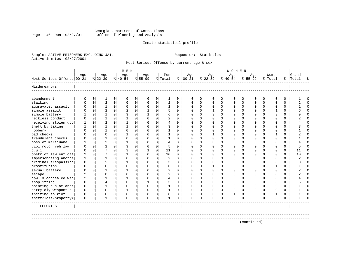#### Georgia Department of Corrections Page 46 Run 02/27/01 Office of Planning and Analysis

#### Inmate statistical profile

Sample: ACTIVE PRISONERS EXCLUDING JAIL **Requestor:** Statistics Active inmates 02/27/2001

Most Serious Offense by current age & sex

|                            |              |              |                |             | M E N          |             |              |             |                |               |           |              |             |          | <b>WOMEN</b> |             |             |             |          |          |           |          |
|----------------------------|--------------|--------------|----------------|-------------|----------------|-------------|--------------|-------------|----------------|---------------|-----------|--------------|-------------|----------|--------------|-------------|-------------|-------------|----------|----------|-----------|----------|
|                            | Age          |              | Age            |             | Age            |             | Aqe          |             | Men            |               | Age       |              | Age         |          | Age          |             | Aqe         |             | Women    |          | Grand     |          |
| Most Serious Offense 00-21 |              |              | $8 22-39$      |             | $8 40-54$      |             | $8 55-99$    |             | % Total        | $\frac{6}{6}$ | $ 00-21 $ |              | $ 22-39$    |          | $8 40-54$    |             | $8155 - 99$ |             | % Total  |          | %   Total | °        |
| Misdemeanors               |              |              |                |             |                |             |              |             |                |               |           |              |             |          |              |             |             |             |          |          |           |          |
| abandonment                | $\Omega$     | $\mathbf 0$  | 1              | $\mathbf 0$ | $\mathbf 0$    | $\mathbf 0$ | $\Omega$     | $\mathbf 0$ | 1              | 0             | $\Omega$  | $\Omega$     | $\mathbf 0$ | 0        | $\Omega$     | 0           | 0           | 0           | $\Omega$ | $\Omega$ |           | $\Omega$ |
| stalking                   | $\Omega$     | $\mathbf 0$  | $\overline{2}$ | $\Omega$    | $\Omega$       | $\mathbf 0$ | $\Omega$     | $\mathbf 0$ | 2              | $\Omega$      |           | $\Omega$     | $\Omega$    | $\Omega$ | $\Omega$     | $\Omega$    | $\Omega$    | $\Omega$    | $\Omega$ | $\Omega$ |           | $\Omega$ |
| aggravated assault         | $\Omega$     | $\mathbf{0}$ | $\mathbf{1}$   | $\mathbf 0$ | $\mathbf 0$    | 0           | 0            | $\mathbf 0$ | $\mathbf{1}$   | $\Omega$      | $\Omega$  | 0            | $\mathbf 0$ | 0        | 0            | $\mathbf 0$ | $\Omega$    | $\mathbf 0$ | $\Omega$ | $\Omega$ |           | $\Omega$ |
| simple assault             | $\Omega$     | $\Omega$     | $\overline{c}$ | $\Omega$    | $\overline{2}$ | 0           | $\mathbf{1}$ | $\Omega$    | 5              | $\Omega$      | $\Omega$  | $\Omega$     |             | $\Omega$ | $\Omega$     | $\Omega$    | $\Omega$    | $\Omega$    |          | $\Omega$ |           | $\Omega$ |
| simple battery             |              | $\Omega$     | 1              | $\Omega$    | 3              | $\mathbf 0$ | $\mathbf{1}$ | $\mathbf 0$ | 6              | $\Omega$      | ∩         | $\Omega$     | 3           | $\Omega$ | ∩            | $\Omega$    | U           | $\Omega$    | २        | $\Omega$ |           | $\Omega$ |
| reckless conduct           | $\Omega$     | $\Omega$     | 1              | $\Omega$    | 1              | $\Omega$    | $\Omega$     | $\Omega$    | $\overline{c}$ | $\Omega$      | $\Omega$  | $\Omega$     |             | $\Omega$ | $\Omega$     | $\Omega$    | $\Omega$    | $\Omega$    | $\cap$   | $\Omega$ |           | $\Omega$ |
| receiving stolen goo       |              | 0            | $\overline{c}$ | $\Omega$    |                | $\mathbf 0$ | $\Omega$     | $\Omega$    | $\overline{4}$ | $\Omega$      | $\Omega$  | $\Omega$     | $\Omega$    | $\Omega$ | $\Omega$     | $\Omega$    | U           | $\Omega$    | $\Omega$ | $\Omega$ |           | $\Omega$ |
| theft by taking            |              | 0            |                | $\Omega$    |                | $\mathbf 0$ | $\Omega$     | 0           | 3              | $\Omega$      | $\Omega$  | 0            | $\Omega$    | $\Omega$ | $\Omega$     | $\Omega$    | U           | $\Omega$    | ∩        | $\Omega$ |           | $\Omega$ |
| robbery                    |              | $\Omega$     |                | $\Omega$    | $\Omega$       | $\mathbf 0$ | $\Omega$     | $\Omega$    |                | $\Omega$      | $\Omega$  | 0            | $\Omega$    | $\Omega$ | $\Omega$     | $\Omega$    | U           | $\Omega$    | $\Omega$ | $\Omega$ |           | $\Omega$ |
| bad checks                 |              | 0            | $\Omega$       | $\Omega$    |                | $\mathbf 0$ | $\Omega$     | $\Omega$    |                | $\Omega$      | $\Omega$  |              |             | $\Omega$ | ∩            | $\Omega$    |             | $\Omega$    |          | $\Omega$ |           | $\Omega$ |
| fraudulent checks          |              | $\Omega$     | 1              | $\Omega$    | $\Omega$       | $\Omega$    | $\Omega$     | $\Omega$    |                | $\Omega$      | $\Omega$  |              | $\Omega$    | $\Omega$ |              | $\Omega$    |             | $\Omega$    | $\cap$   | $\Omega$ |           | $\Omega$ |
| poss of marijuana          |              | $\mathbf 0$  | $\mathfrak{D}$ | $\Omega$    | $\mathbf{1}$   | $\Omega$    | $\Omega$     | $\Omega$    | $\overline{4}$ | $\Omega$      | $\Omega$  | U            | $\Omega$    | $\Omega$ | $\Omega$     | $\Omega$    | U           | $\Omega$    | $\Omega$ | $\Omega$ |           | $\Omega$ |
| viol motor yeh law         | $\Omega$     | $\Omega$     | $\overline{c}$ | $\Omega$    | 3              | $\Omega$    | $\Omega$     | $\Omega$    |                | $\Omega$      | $\Omega$  |              | C           | $\Omega$ |              | $\Omega$    |             | $\Omega$    | $\Omega$ | $\Omega$ |           | $\Omega$ |
| d.u.i.                     | O            | $\Omega$     | 7              | $\Omega$    | ζ              | $\mathbf 0$ | $\mathbf{1}$ | $\Omega$    | 11             | $\Omega$      | $\Omega$  |              | C           | $\Omega$ |              | $\Omega$    |             | $\Omega$    | $\Omega$ | $\Omega$ | 11        | $\Omega$ |
| obstr of law enf off       | 2            | $\mathbf 0$  | 7              | $\Omega$    | $\mathbf{1}$   | $\mathbf 0$ | $\Omega$     | $\Omega$    | 10             | $\Omega$      | ∩         |              | n           | 0        |              | $\Omega$    |             | $\Omega$    | ∩        | $\Omega$ | 10        | $\Omega$ |
| impersonating anothe       | $\mathbf{1}$ | $\mathbf 0$  | $\mathbf{1}$   | $\Omega$    | $\Omega$       | $\Omega$    | $\Omega$     | $\Omega$    | $\overline{2}$ | $\Omega$      | ∩         |              | n           | $\Omega$ |              | $\Omega$    | ∩           | $\Omega$    | $\cap$   | $\Omega$ |           | $\Omega$ |
| criminal trespassing       | $\Omega$     | $\Omega$     | $\overline{a}$ | $\Omega$    | $\mathbf{1}$   | $\Omega$    | $\Omega$     | $\Omega$    | 3              | $\cap$        | ∩         | <sup>n</sup> | $\Omega$    | $\cap$   |              | $\Omega$    | ∩           | $\cap$      | $\Omega$ | $\Omega$ |           | $\cap$   |
| prostitution               | $\cap$       | $\Omega$     | $\Omega$       | $\Omega$    | $\Omega$       | $\Omega$    | $\Omega$     | $\Omega$    | $\Omega$       | $\Omega$      | ∩         | ∩            |             | $\Omega$ | ∩            | $\Omega$    | ∩           | $\Omega$    |          | $\Omega$ |           | $\Omega$ |
| sexual battery             | U            | $\Omega$     |                | $\Omega$    |                | $\Omega$    | $\Omega$     | $\Omega$    | $\overline{2}$ | $\cap$        | ∩         |              | ∩           | 0        |              | $\Omega$    |             | $\cap$      | ∩        | $\Omega$ |           | $\cap$   |
| escape                     |              | $\Omega$     | $\cap$         | $\Omega$    | $\Omega$       | $\Omega$    | $\Omega$     | $\Omega$    | $\overline{2}$ | $\Omega$      | ∩         | <sup>n</sup> | $\Omega$    | $\Omega$ |              | $\Omega$    | ∩           | $\cap$      | $\cap$   | $\Omega$ |           | $\cap$   |
| cpwl & concealed wea       |              | $\Omega$     | 1              | $\Omega$    | $\mathbf{1}$   | $\Omega$    | $\Omega$     | $\Omega$    | $\overline{4}$ | $\Omega$      | $\Omega$  | ∩            | $\Omega$    | $\Omega$ |              | $\Omega$    | U           | $\Omega$    | $\Omega$ | $\Omega$ |           | $\Omega$ |
| shoplifting                | $\Omega$     | $\Omega$     | $\overline{4}$ | $\Omega$    | $\Omega$       | $\Omega$    | 1            | $\Omega$    | 5              | $\Omega$      | ∩         | <sup>n</sup> | $\Omega$    | $\Omega$ | ∩            | $\Omega$    | U           | $\cap$      | $\Omega$ | $\Omega$ |           | $\cap$   |
| pointing gun at anot       | $\Omega$     | $\Omega$     | 1              | $\Omega$    | $\Omega$       | $\Omega$    | $\Omega$     | $\Omega$    | $\mathbf{1}$   | $\Omega$      | $\Omega$  | $\Omega$     | $\Omega$    | $\Omega$ | $\Omega$     | $\Omega$    | O           | $\Omega$    | $\Omega$ | $\Omega$ |           | $\Omega$ |
| carry dly weapons pu       | 0            | $\mathbf 0$  | $\Omega$       | $\Omega$    | $\mathbf{1}$   | $\mathbf 0$ | $\Omega$     | $\Omega$    | 1              | $\Omega$      | $\Omega$  | $\Omega$     | $\Omega$    | $\Omega$ | $\Omega$     | $\Omega$    | O           | $\Omega$    | $\Omega$ | $\Omega$ |           | $\Omega$ |
| inciting to riot           | $\Omega$     | $\Omega$     | $\Omega$       | $\Omega$    | $\Omega$       | 0           | 0            | $\Omega$    | $\Omega$       | $\Omega$      | O         | $\Omega$     | $\Omega$    | $\Omega$ |              | $\Omega$    | 0           | $\Omega$    |          | $\Omega$ |           | $\cap$   |
| theft/lost/property<       | $\Omega$     | 0            | 1              | $\mathbf 0$ | $\Omega$       | $\mathbf 0$ | $\Omega$     | $\mathbf 0$ | 1              | $\Omega$      | $\Omega$  | $\Omega$     | $\Omega$    | 0        | $\Omega$     | $\mathbf 0$ | $\Omega$    | $\mathbf 0$ | $\Omega$ | $\Omega$ |           |          |
| FELONIES                   |              |              |                |             |                |             |              |             |                |               |           |              |             |          |              |             |             |             |          |          |           |          |
|                            |              |              |                |             |                |             |              |             |                |               |           |              |             |          |              |             |             |             |          |          |           |          |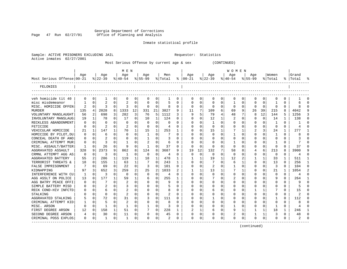Georgia Department of Corrections Page 47 Run 02/27/01 Office of Planning and Analysis

#### Inmate statistical profile

|  |                | SAMPIE. ACIIVE PRISONERS EACHODI |  |
|--|----------------|----------------------------------|--|
|  | Active inmates | 02/27/2001                       |  |

Sample: ACTIVE PRISONERS EXCLUDING JAIL **Requestor:** Statistics

Most Serious Offense by current age & sex (CONTINUED)

|                            |                |             |              |              | M E N          |          |             |              |         |          |                         |              |                |          | W O M E N    |             |             |              |             |              |                |                |
|----------------------------|----------------|-------------|--------------|--------------|----------------|----------|-------------|--------------|---------|----------|-------------------------|--------------|----------------|----------|--------------|-------------|-------------|--------------|-------------|--------------|----------------|----------------|
|                            | Age            |             | Age          |              | Age            |          | Aqe         |              | Men     |          | Aqe                     |              | Aqe            |          | Aqe          |             | Aqe         |              | Women       |              | Grand          |                |
| Most Serious Offense 00-21 |                |             | $8 22-39$    |              | $8 40-54$      |          | $8155 - 99$ |              | % Total |          | $8   00 - 21$           |              | $ 22-39$       |          | $ 40-54$     |             | $8155 - 99$ |              | % Total     |              | %   Total      |                |
| FELONIES                   |                |             |              |              |                |          |             |              |         |          |                         |              |                |          |              |             |             |              |             |              |                |                |
|                            |                |             |              |              |                |          |             |              |         |          |                         |              |                |          |              |             |             |              |             |              |                |                |
| veh homicide tit 40        | 0              | 0           |              | 0            | 0              | 0        | 0           | 0            | 1       | 0        | 0                       | 0            | 0              | 0        | 0            | 0           | 0           | 0            | 0           | 0            |                |                |
| misc misdemeanor           |                | $\Omega$    |              | $\Omega$     |                | 0        |             | 0            | 5       | O        | <sup>0</sup>            | $\Omega$     | $\Omega$       | $\Omega$ |              | 0           | $\Omega$    | 0            |             | U            |                |                |
| MISC. HOMICIDE OFFEN       | $\overline{c}$ | $\Omega$    | 3            | $\Omega$     | 3              | $\Omega$ | $\Omega$    | $\Omega$     | 8       | 0        | 0                       | $\Omega$     | $\Omega$       | 0        | $\Omega$     | 0           | $\mathbf 0$ | $\Omega$     | $\Omega$    | 0            |                |                |
| MURDER                     | 135            | 4           | 2028         | 8            | 1333           | 12       | 331         | 21           | 3827    | 9        | 11                      | 7            | 109            | 6        | 69           | 9           | 26          | 39           | 215         | 8            | 4042           |                |
| VOLUNTARY MANSLAUGHT       | 56             |             | 698          | 3            | 282            | 3        | 76          | 5            | 1112    | 3        | 9                       | 5            | 79             | 4        | 48           |             | 8           | 12           | 144         | 5            | 1256           |                |
| INVOLUNTARY MANSLAUG       | 19             | -1          | 78           | $\Omega$     | 17             | 0        | 10          | 1            | 124     | U        | $\Omega$                | 0            | 12             | 1        |              | $\Omega$    | $\cap$      | $\Omega$     | 14          | $\mathbf{1}$ | 138            |                |
| RECKLESS ABANDONMENT       | $\Omega$       | $\Omega$    | $\Omega$     | $\Omega$     | $\Omega$       | 0        | $\Omega$    | $\Omega$     | O       | 0        | <sup>0</sup>            | 0            | -1             | O        | $\Omega$     | $\Omega$    | O           | O            | -1          | 0            |                |                |
| FETICIDE                   | 0              | 0           | 2            | $\Omega$     | 2              | 0        | 0           | $\Omega$     | 4       | 0        | 0                       | 0            | $\Omega$       | O        | 0            | $\Omega$    | 0           | 0            | $\Omega$    | 0            |                |                |
| VEHICULAR HOMICIDE         | 21             | -1          | 147          |              | 70             | 1        | 15          | $\mathbf{1}$ | 253     |          | 0                       | $\Omega$     | 15             | 1        |              | 1           |             | 3            | 2.4         | 1            | 277            |                |
| HOMICIDE BY PILOT, DU      | 0              | 0           | 6            | $\Omega$     | $\Omega$       | 0        |             | $\Omega$     |         | 0        | 0                       | $\Omega$     | $\Omega$       | $\Omega$ | 1            | $\mathbf 0$ | $\Omega$    | 0            | 1           | $\Omega$     |                |                |
| CONCEAL DEATH OF ANO       | 0              | $\Omega$    |              | $\Omega$     | $\Omega$       | U        |             | $\Omega$     | 3       | O        |                         | 0            | 0              | O        | 0            | 0           | O           | 0            | $\mathbf 0$ | 0            |                |                |
| CRIMINAL ATTEMPT MUR       | 0              | $\Omega$    | 3            | $\Omega$     | -1             | U        |             | $\Omega$     | 6       | O        | C                       | $\Omega$     | <sup>0</sup>   | O        | 1            | $\Omega$    | O           | 0            |             | 0            |                | ∩              |
| MISC. ASSAULT/BATTER       | 1              | $\Omega$    | 26           | $\Omega$     | 9              | $\Omega$ | -1          | $\Omega$     | 37      | $\Omega$ | $\Omega$                | $\Omega$     | $\Omega$       | O        | <sup>0</sup> | $\Omega$    | O           | $\Omega$     | $\Omega$    | 0            | 37             | ∩              |
| <b>AGGRAVATED ASSAULT</b>  | 328            | 9           | 2373         | 9            | 862            | 8        | 124         | 8            | 3687    | 9        | 19                      | 12           | 132            | 7        | 58           | 8           | 4           | 6            | 213         | 8            | 3900           | q              |
| CRMNL ATTEMPT AGG AS       | 0              | $\Omega$    | 3            | $\Omega$     | 1              | 0        | $\Omega$    | 0            | 4       | U        | 0                       | $\mathbf 0$  | 0              | $\Omega$ | $\mathbf 0$  | 0           | 0           | 0            | 0           | 0            | 4              | $\Omega$       |
| AGGRAVATED BATTERY         | 55             | 2           | 286          | 1            | 119            | 1        | 18          | $\mathbf{1}$ | 478     | 1        | 1                       | $\mathbf{1}$ | 19             | 1        | 12           | 2           | 1           | $\mathbf{1}$ | 33          | 1            | 511            | -1             |
| TERRORIST THREATS &        | 18             | $\Omega$    | 155          |              | 63             | 1        |             | $\Omega$     | 243     | 1        | <sup>0</sup>            | $\Omega$     |                | $\Omega$ | 6            | 1           | O           | $\Omega$     | 13          | 0            | 256            | -1             |
| FALSE IMPRISONMENT         | 7              | n           | 69           | $\Omega$     | 22             | 0        | 3           | $\Omega$     | 101     | 0        | 0                       | $\Omega$     | $\overline{2}$ | 0        |              | 0           | 0           | 0            | 3           | 0            | 104            | $\Omega$       |
| KIDNAPPING                 | 97             | 3           | 652          | 3            | 259            | 2        | 25          | 2            | 1033    |          |                         |              | 13             |          |              |             | 0           | O            | 21          |              | 1054           | $\overline{2}$ |
| INTERFERENCE WITH CU       | 1              | $\cap$      | 3            | $\Omega$     | $\Omega$       | 0        |             | $\Omega$     | 4       | U        | <sup>0</sup>            | 0            | $\Omega$       | O        | $\Omega$     | $\Omega$    | $\Omega$    |              | $\Omega$    | $\Omega$     | $\overline{4}$ | $\cap$         |
| AGG ASSLT ON POLICE        | 13             | $\Omega$    | 177          |              | 59             | 1        |             | $\Omega$     | 255     |          | <sup>0</sup>            | 0            |                | U        |              | $\Omega$    | $\cap$      | U            | q           | $\Omega$     | 264            | -1             |
| AGG BATRY PEACE OFFI       | $\Omega$       | $\cap$      |              | $\Omega$     | 2              | 0        |             | ∩            | 9       | U        | ∩                       | 0            | <sup>0</sup>   | U        | U            | $\Omega$    | U           | <sup>n</sup> | $\Omega$    | 0            | q              |                |
| SIMPLE BATTERY MISD        | 0              | O           | 2            | <sup>0</sup> | 3              | 0        |             | $\Omega$     | 5       | O        | O                       | $\Omega$     | 0              | O        | O            | $\Omega$    | O           | 0            | $\Omega$    | 0            |                |                |
| RECK COND-HIV INFCTD       | 0              | $\Omega$    | 6            | $\Omega$     | 2              | 0        |             | $\Omega$     | 8       | O        | O                       | $\Omega$     | 6              | $\Omega$ | O            | $\Omega$    |             | 1            |             | 0            | 15             |                |
| STALKING                   |                | $\Omega$    | $\Omega$     | $\Omega$     | $\overline{c}$ | 0        |             | $\Omega$     | 2       | O        |                         | 0            | $\Omega$       | $\Omega$ | 0            | $\Omega$    | O           | $\Omega$     | $\Omega$    | 0            | 2              |                |
| AGGRAVATED STALKING        | 5              | 0           | 72           | $\Omega$     | 31             | 0        | 3           | 0            | 111     | O        |                         | $\Omega$     |                | $\Omega$ | 0            | 0           | O           | $\Omega$     | 1           | 0            | 112            |                |
| CRIMINAL ATTEMPT KID       |                | $\mathbf 0$ | 5            | $\Omega$     | 2              | 0        |             | 0            | 8       | $\Omega$ |                         | $\Omega$     | $\Omega$       | $\Omega$ | 0            | $\mathbf 0$ | $\Omega$    | $\Omega$     | $\Omega$    | $\Omega$     |                |                |
| MISC. ARSON                | O              | $\Omega$    | $\mathbf{1}$ | $\Omega$     | -1             | 0        |             | $\Omega$     | 3       | O        | C                       | 0            | $\Omega$       | O        |              | 0           | O           | $\Omega$     | -1          | 0            | $\overline{4}$ |                |
| FIRST DEGREE ARSON         | 12             | $\Omega$    | 158          | 1            | 51             | 0        |             | $\Omega$     | 228     | 1        | $\overline{\mathbf{c}}$ | 1            | 6              | 0        | 9            | 1           | 1           | $\mathbf{1}$ | 18          | $\mathbf{1}$ | 246            | -1             |
| SECOND DEGREE ARSON        | 4              | 0           | 30           | $\Omega$     | 11             | 0        |             | $\Omega$     | 45      | $\Omega$ | <sup>0</sup>            | 0            | O              | 0        | 2            | 0           | 1           | 1            | 3           | 0            | 48             | ∩              |
| CRIMINAL POSS EXPLOS       | 0              | $\Omega$    |              | $\Omega$     | -1             | 0        | $\Omega$    | $\Omega$     | 2       | 0        | ∩                       | $\Omega$     | 0              | $\Omega$ | $\Omega$     | $\Omega$    | $\Omega$    | $\Omega$     | $\Omega$    | 0            | 2              | n              |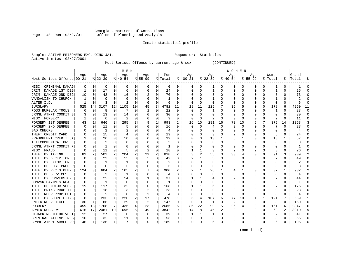#### Georgia Department of Corrections Page 48 Run 02/27/01 Office of Planning and Analysis

### Inmate statistical profile

| Sample: ACTIVE PRISONERS EXCLUDING JAIL | Requestor: Statistics |  |
|-----------------------------------------|-----------------------|--|
| Active inmates 02/27/2001               |                       |  |

Most Serious Offense by current age & sex (CONTINUED)

|                            |     |             |           |          | M E N          |          |           |          |         |          |              |              |              |    | W O M E N |              |             |              |              |          |           |          |
|----------------------------|-----|-------------|-----------|----------|----------------|----------|-----------|----------|---------|----------|--------------|--------------|--------------|----|-----------|--------------|-------------|--------------|--------------|----------|-----------|----------|
|                            | Age |             | Age       |          | Age            |          | Age       |          | Men     |          | Age          |              | Age          |    | Aqe       |              | Aqe         |              | Women        |          | Grand     |          |
| Most Serious Offense 00-21 |     |             | $ 22-39 $ |          | $8140 - 54$    |          | $8 55-99$ |          | % Total | ႜ        | $ 00-21$     |              | $ 22-39$     |    | $ 40-54$  |              | $8155 - 99$ |              | % Total      |          | %   Total |          |
| MISC. CRIMINAL DAMAG       | 0   | 0           | 0         | 0        | 0              | 0        | 0         | 0        | 0       | 0        | 0            | 0            | 1            | 0  | 0         | 0            | 0           | 0            | -1           | 0        |           | ∩        |
| CRIM. DAMAGE 1ST DEG       | 1   | 0           | 17        | 0        | 6              | 0        | 0         | 0        | 24      | O        | <sup>0</sup> | 0            | 1            | 0  | O         | 0            | 0           | O            | -1           | 0        | 25        |          |
| CRIM. DAMAGE 2ND DEG       | 10  | $\Omega$    | 42        | 0        | 16             | 0        |           | 0        | 70      | $\Omega$ |              | 0            |              | 0  |           | 0            | 0           | O            |              | 0        | 73        |          |
| VANDALISM TO CHURCH        |     | $\Omega$    | $\Omega$  | U        | $\Omega$       | $\Omega$ |           | O        | -1      | O        |              | 0            |              | 0  |           | $\Omega$     | 0           | 0            |              | O        |           |          |
| ALTER I.D.                 |     | $\Omega$    | 3         | O        | $\overline{c}$ | $\Omega$ |           | 0        | 6       | O        |              | $\Omega$     | <sup>0</sup> | 0  |           | 0            | O           | $\Omega$     | $\Omega$     | O        |           |          |
| <b>BURGLARY</b>            | 525 | 14          | 3107      | 12       | 1105           | 10       | 45        | 3        | 4782    | 11       | 18           | 11           | 125          | 7  | 35        | 5            | U           | $\Omega$     | 178          | 6        | 4960      | 11       |
| POSS BURGLAR TOOLS         | 6   | $\mathbf 0$ | 8         | $\Omega$ | 7              | $\Omega$ | 1         | 0        | 22      | $\Omega$ | $\Omega$     | $\Omega$     | -1           | U  | $\Omega$  | 0            | U           | $\Omega$     | -1           | 0        | 23        | $\Omega$ |
| CRMNL ATMPT COMMIT B       |     | $\mathbf 0$ | 13        | $\Omega$ | 14             | 0        | O         | 0        | 30      | 0        | n            | 0            | O            | U  | O         | 0            | 0           | $\Omega$     | 0            | $\Omega$ | 30        | $\Omega$ |
| MISC. FORGERY              |     | 0           | 6         | $\Omega$ | 2              | 0        | O         | 0        | 9       | 0        | O            | 0            | 2            | 0  | O         | 0            | 0           | $\Omega$     | 2            | U        | 11        | ∩        |
| FORGERY 1ST DEGREE         | 43  | 1           | 646       | 3        | 295            | 3        | 9         | 1        | 993     | 2        | 16           | 10           | 281          | 16 | 73        | 10           | 5           | 7            | 375          | 14       | 1368      | 3        |
| FORGERY 2ND DEGREE         |     | $\Omega$    | 11        | O        |                | O        | O         | $\Omega$ | 16      | O        | ∩            | O            | 4            | U  | 3         | <sup>0</sup> | U           | O            |              | $\Omega$ | 23        |          |
| <b>BAD CHECKS</b>          |     | 0           | 2         | U        |                | 0        |           | 0        | 4       | O        |              | <sup>0</sup> | O            | U  |           | 0            | O           | O            | 0            | 0        |           |          |
| THEFT CREDIT CARD          |     | 0           | 15        | $\Omega$ | 4              | 0        |           | 0        | 19      | 0        |              | 0            | 3            | U  | 2         | 0            | O           | $\Omega$     | 5            | 0        | 24        |          |
| FRAUDULENT CREDIT CA       |     | $\mathbf 0$ | 26        | 0        | 10             | 0        |           | $\Omega$ | 39      | 0        |              | 0            | 13           | 1  |           | 1            | 0           | 0            | 18           |          | 57        |          |
| TELECOMMUNICATIONS F       |     | 0           | 3         | U        | 0              | 0        |           | 0        | 3       | O        |              | 0            | $\Omega$     | U  |           | 0            | U           | O            | $\cap$       | 0        |           |          |
| CRMNL ATMPT COMMIT F       |     | $\Omega$    | 1         | U        | $\mathsf{C}$   | 0        | O         | $\Omega$ | 1       | O        |              | 0            |              | 0  | $\Omega$  | $\Omega$     | 0           | O            | C            | 0        |           |          |
| MISC. FRAUD                |     | 0           | 11        | $\Omega$ | 5              | 0        |           | 0        | 18      | 0        |              |              | 3            | 0  | 2         | 0            |             | 3            | 8            | $\Omega$ | 26        |          |
| THEFT BY TAKING            | 83  | 2           | 502       | 2        | 204            | 2        | 29        | 2        | 818     | 2        |              | 2            | 55           | 3  | 33        | 4            | 0           | 0            | 91           | 3        | 909       |          |
| THEFT BY DECEPTION         |     | 0           | 22        | U        | 15             | 0        |           | 0        | 42      |          |              |              | 5            | 0  |           | 0            | 0           |              |              | O        | 49        |          |
| THEFT BY EXTORTION         |     | $\Omega$    | 1         | U        |                | 0        |           | O        | 2       | n        |              | 0            | $\Omega$     | 0  |           | $\Omega$     | U           | O            | $\Omega$     | 0        |           |          |
| THEFT OF LOST PROPER       |     | 0           | $\Omega$  | O        | Р              | O        |           | 0        | ς       | O        |              | $\Omega$     | $\Omega$     | U  |           | 0            | O           | $\Omega$     | $\Omega$     | 0        | 3         |          |
| THEFT BY REC STOLEN        | 124 | 3           | 604       | 2        | 165            | 2        |           | 0        | 900     |          |              |              | 26           | 1  |           | 1            | O           | 0            | 32           | 1        | 932       |          |
| THEFT OF SERVICES          |     | $\mathbf 0$ | 3         | 0        | -1             | $\Omega$ | 0         | 0        | 4       | O        |              | $\Omega$     |              | 0  |           | 0            | 0           | O            | 0            | 0        |           |          |
| THEFT BY CONVERSION        |     | $\mathbf 0$ | 22        | 0        | 14             | 0        |           | 0        | 37      | 0        |              | 1            |              | 0  |           | 0            | U           | O            |              | 0        | 44        |          |
| CONVSN PAYMNTS REAL        | ∩   | 0           | -1        | U        | $\Omega$       | $\Omega$ | O         | 0        | 1       | U        | ∩            | 0            |              | U  |           | 0            | O           | O            | <sup>0</sup> | 0        | -1        |          |
| THEFT OF MOTOR VEH,        | 19  | 1           | 117       | 0        | 32             | 0        | 0         | 0        | 168     | 0        |              | ı            | 6            | 0  | O         | 0            | 0           | 0            |              | 0        | 175       |          |
| THEFT BRING PROP IN        | 0   | 0           | 18        | U        | 3              | 0        | 2         | 0        | 23      | 0        |              | 0            | O            | 0  |           | 0            | 0           | O            | 0            |          | 23        |          |
| THEFT RECV PROP OUT        |     | 0           | 2         | 0        | 0              | 0        |           | $\Omega$ | 4       | 0        |              | 0            | 0            | 0  |           | 0            | 0           | O            | -0           | U        |           |          |
| THEFT BY SHOPLIFTING       | 8   | $\Omega$    | 233       | 1        | 220            | 2        | 17        | 1        | 478     |          | 6            | 4            | 107          | 6  | 77        | 10           |             | $\mathbf{1}$ | 191          |          | 669       |          |
| ENTERING VEHICLE           | 30  | 1           | 86        | $\Omega$ | 29             | $\Omega$ | 2         | $\Omega$ | 147     | 0        | $\Omega$     | 0            | -1           | 0  | 2         | $\Omega$     | 0           | $\Omega$     | 3            | 0        | 150       | $\cap$   |
| <b>ROBBERY</b>             | 459 | 13          | 1768      | 7        | 436            | 4        | 23        | 1        | 2686    | 6        | 36           | 22           | 99           | 5  | 26        | 4            | 0           | $\Omega$     | 161          | 6        | 2847      |          |
| ARMED ROBBERY              | 616 | 17          | 2481      | 10       | 696            | 6        | 49        | 3        | 3842    | 9        | 14           | 8            | 45           | 2  | g         | 1            | 0           | 0            | 68           | 2        | 3910      | 9        |
| HIJACKING MOTOR VEHI       | 12  | 0           | 27        | 0        | 0              | $\Omega$ |           | 0        | 39      | O        |              | 1            | -1           | 0  |           | $\mathbf 0$  | $\Omega$    | $\Omega$     | 2            | $\Omega$ | 41        |          |
| CRIMINAL ATTEMPT ROB       | 10  | 0           | 32        | $\Omega$ | 11             | 0        |           | 0        | 53      | $\Omega$ |              | 0            | 3            | 0  |           | 0            | U           | $\Omega$     | 3            | 0        | 56        |          |
| CRMNL ATMPT ARMED RO       | 46  | 1           | 136       | 1        | -7             | 0        | $\Omega$  | 0        | 189     | 0        | $\Omega$     | 0            | 6            | 0  | $\Omega$  | 0            | O           | 0            | 6            | 0        | 195       |          |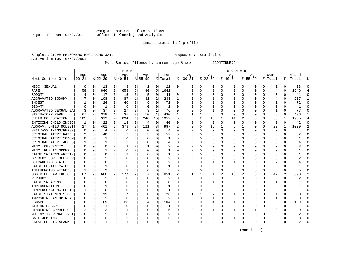#### Georgia Department of Corrections Page 49 Run 02/27/01 Office of Planning and Analysis

### Inmate statistical profile

| Sample: ACTIVE PRISONERS EXCLUDING JAIL | Requestor: Statistics |  |
|-----------------------------------------|-----------------------|--|
| Active inmates 02/27/2001               |                       |  |

Most Serious Offense by current age & sex (CONTINUED)

|                            |          |             |              |          | M E N       |             |           |              |                |          |              |          |              |   | <b>WOMEN</b> |          |           |          |                |              |              |                |
|----------------------------|----------|-------------|--------------|----------|-------------|-------------|-----------|--------------|----------------|----------|--------------|----------|--------------|---|--------------|----------|-----------|----------|----------------|--------------|--------------|----------------|
|                            | Age      |             | Age          |          | Age         |             | Age       |              | Men            |          | Age          |          | Age          |   | Age          |          | Age       |          | Women          |              | Grand        |                |
| Most Serious Offense 00-21 |          |             | $8 22-39$    |          | $8 40-54$   |             | $8 55-99$ |              | % Total        | ៖        | $ 00-21$     |          | $ 22-39$     |   | $ 40-54$     |          | $8 55-99$ |          | % Total        |              | %   Total    | ៖              |
| MISC. SEXUAL               | 0        | 0           | 13           | 0        | 8           | 0           | 1         | 0            | 22             | 0        | 0            | 0        | 0            | 0 | -1           | 0        | 0         | 0        | -1             | 0            | 23           | $\Omega$       |
| RAPE                       | 58       | 2           | 846          | 3        | 658         | 6           | 80        | 5            | 1642           | 4        | <sup>0</sup> | 0        | $\mathbf{1}$ | 0 | 3            | 0        | 0         | 0        | $\overline{4}$ | 0            | 1646         | 4              |
| SODOMY                     |          | $\mathbf 0$ | 17           | $\Omega$ | 15          | 0           | 5         | 0            | 41             | $\Omega$ |              | O        | $\Omega$     | 0 |              | $\Omega$ | Ω         | $\Omega$ | $\Omega$       | $\Omega$     | 41           | $\Omega$       |
| AGGRAVATED SODOMY          |          | $\Omega$    | 108          | $\Omega$ | 87          | 1           | 31        | 2            | 233            | 1        |              | $\Omega$ |              | O |              | $\Omega$ | Ω         | $\Omega$ | $\overline{4}$ | $\Omega$     | 237          | 1              |
| <b>INCEST</b>              |          | $\Omega$    | 24           | 0        | 40          | $\mathbf 0$ | 6         | $\mathbf 0$  | 71             | $\Omega$ |              | $\Omega$ |              | O |              | $\Omega$ |           | 0        | -1             | 0            | 72           | $\Omega$       |
| <b>BIGAMY</b>              |          | $\mathbf 0$ | $\mathbf{1}$ | 0        | $\mathbf 0$ | 0           |           | $\mathsf 0$  | $\mathbf{1}$   | $\Omega$ |              | $\Omega$ | 0            | 0 |              | $\Omega$ |           | 0        | $\Omega$       | $\Omega$     | $\mathbf{1}$ | $\Omega$       |
| AGGRAVATED SEXUAL BA       | 3        | 0           | 37           | 0        | 27          | 0           | 9         | $\mathbf{1}$ | 76             | $\Omega$ |              | O        |              | U |              | $\Omega$ |           | 0        | 1              | $\Omega$     | 77           | $\Omega$       |
| STATUATORY RAPE            | 67       | 2           | 318          | 1        | 35          | 0           | 10        | 1            | 430            | 1        |              |          | 5            | U | ∩            | $\Omega$ | Ω         | 0        | 6              | $\Omega$     | 436          | 1              |
| CHILD MOLESTATION          | 105      | 3           | 913          | 4        | 694         | 6           | 240       | 15           | 1952           | 5        | 3            | 2        | 16           | 1 | 14           | 2        | 0         | 0        | 33             | 1            | 1985         | 4              |
| ENTICING CHILD-INDEC       | -1       | 0           | 22           | 0        | 13          | 0           | 4         | 0            | 40             | 0        |              | 0        | 2            | 0 |              | 0        | 0         | 0        | $\overline{2}$ | O            | 42           | $\mathbf 0$    |
| AGGRAV. CHILD MOLEST       | 27       | 1           | 461          | 2        | 378         | 3           | 121       | 8            | 987            |          |              | O        | 16           | 1 |              | 1        | 0         | 0        | 22             |              | 1009         | $\overline{a}$ |
| SEXL/ASSLT/AGN/PERS/       | O        | 0           | 4            | U        | 0           | 0           | 0         | 0            | 4              | $\Omega$ |              | O        | $\Omega$     | U |              | $\Omega$ | U         | 0        | $\Omega$       | 0            | 4            | $\Omega$       |
| CRIMINAL ATTPT RAPE        |          | $\Omega$    | 40           | $\Omega$ |             | $\Omega$    |           | $\Omega$     | 52             | $\Omega$ |              | O        | 0            | 0 |              | $\Omega$ | 0         | 0        | $\Omega$       | 0            | 52           | $\Omega$       |
| CRIMINAL ATTPT SODOM       |          | 0           | 1            | $\Omega$ | $\mathbf 0$ | $\Omega$    | 0         | $\mathbf 0$  | 1              | $\Omega$ |              | $\Omega$ | 0            | 0 |              | $\Omega$ |           | 0        | $\Omega$       | O            |              | $\Omega$       |
| CRIMINAL ATTPT AGG S       |          | $\mathbf 0$ | 1            | 0        | 2           | 0           | 0         | 0            | 4              | $\Omega$ |              | 0        | C            | 0 |              | $\Omega$ |           | 0        | $\Omega$       | $\Omega$     |              | $\Omega$       |
| MISC. OBSCENITY            |          | $\Omega$    | O            | O        | 2           | 0           | 1         | 0            | 3              | $\Omega$ |              | $\Omega$ | C            | U |              | $\Omega$ | U         | 0        | $\Omega$       | $\Omega$     |              | $\Omega$       |
| MISC. PUBLIC ORDER         |          | $\Omega$    | 1            | U        | $\Omega$    | 0           | O         | 0            | 1              | $\Omega$ |              | O        | O            | U |              | $\Omega$ | U         | 0        | ∩              | 0            |              | $\Omega$       |
| FALSE SWEARNG WRITTN       |          | $\mathbf 0$ | O            | O        | -1          | 0           | O         | 0            | 1              | 0        |              | 0        | O            | U |              | $\Omega$ | U         | 0        | $\Omega$       | O            |              | $\Omega$       |
| BRIBERY GOVT OFFICER       |          | $\mathbf 0$ | 2            | U        | $\mathbf 0$ | 0           | O         | 0            | 2              | 0        |              |          | C            | U |              | 0        |           | O        | $\Omega$       | U            |              | $\Omega$       |
| DEFRAUDING STATE           |          | $\Omega$    | O            | U        |             | 0           | O         | 0            | 2              | $\Omega$ |              | O        |              | O |              | $\Omega$ |           | O        |                | O            |              | $\Omega$       |
| FALSE CERTIFICATES         |          | $\Omega$    |              | U        | $\Omega$    | 0           | O         | $\Omega$     | 1              | $\Omega$ |              | $\Omega$ | $\Omega$     | U |              | $\Omega$ |           | U        | $\Omega$       | <sup>0</sup> |              | $\Omega$       |
| INFLUENCING WITNESS        |          | 0           | 3            | $\Omega$ | -1          | 0           | 0         | 0            | 5              | 0        | O            | $\Omega$ | $\Omega$     | 0 | n            | $\Omega$ | U         | 0        | $\Omega$       | 0            |              | ∩              |
| OBSTR OF LAW ENF OFF       | 67       | 2           | 600          | 2        | 177         | 2           |           | $\mathbf 0$  | 851            | 2        |              |          | 31           | 2 | 15           | 2        | 0         | $\Omega$ | 47             | 2            | 898          | $\overline{2}$ |
| PERJURY                    |          | $\mathbf 0$ | 2            | 0        | $\mathbf 0$ | 0           | 0         | $\mathbf 0$  | 2              | $\Omega$ |              | 0        | 0            | 0 |              | 0        | 0         | 0        | $\Omega$       | $\Omega$     |              | $\Omega$       |
| <b>FALSE SWEARING</b>      |          | $\mathbf 0$ | 0            | O        | $\Omega$    | 0           | O         | 0            | $\Omega$       | $\Omega$ |              | O        |              | U |              | $\Omega$ | U         | U        | $\mathbf{1}$   | 0            |              | $\Omega$       |
| IMPERSONATION              |          | 0           | 1            | U        | 0           | 0           | O         | 0            | 1              | 0        |              | O        | 0            | 0 |              | 0        | 0         | U        | $\Omega$       | 0            |              | $\Omega$       |
| IMPERSONATING OFFIC        |          | $\mathbf 0$ | $\Omega$     | U        | 0           | 0           | O         | 0            | 1              | 0        |              | 0        | 0            | 0 |              | 0        | 0         | U        | $\Omega$       | 0            |              | $\Omega$       |
| FALSE STATEMENTS GOV       |          | 0           | 19           | U        |             | $\Omega$    | O         | 0            | 26             | $\Omega$ |              |          | 2            | U |              | $\Omega$ |           | U        | $\overline{4}$ | U            | 30           | $\Omega$       |
| IMPRSNTNG ANTHR RBAL       |          | 0           | 2            | O        | $\Omega$    | $\Omega$    | O         | 0            | $\overline{c}$ | $\Omega$ |              | $\Omega$ | $\mathbf{1}$ | O |              | $\Omega$ |           | O        | $\mathbf{1}$   | $\Omega$     |              | $\Omega$       |
| <b>ESCAPE</b>              |          | $\Omega$    | 69           | 0        | 23          | $\Omega$    | 4         | $\Omega$     | 104            | $\Omega$ |              | O        | 4            | U |              | $\Omega$ |           | U        | 5              | $\Omega$     | 109          | $\Omega$       |
| AIDING ESCAPE              |          | $\Omega$    | 1            | 0        | $\Omega$    | 0           | $\Omega$  | 0            |                | $\Omega$ |              | $\Omega$ | O            | O |              | $\Omega$ | Ω         | $\Omega$ | $\Omega$       | 0            |              | $\Omega$       |
| HINDERING APPREH OR        |          | 0           | 3            | 0        | 1           | 0           | O         | $\mathbf 0$  | 6              | $\Omega$ |              | $\Omega$ |              | O |              | 0        |           | 1        | 3              | O            |              | $\Omega$       |
| MUTINY IN PENAL INST       |          | 0           | 2            | 0        | 0           | 0           | O         | $\mathbf 0$  | 2              | 0        |              | $\Omega$ | 0            | U |              | 0        | U         | 0        |                | U            |              | $\Omega$       |
| <b>BAIL JUMPING</b>        |          | 0           | 3            | 0        | 2           | 0           |           | $\mathsf 0$  | 5              | $\Omega$ |              | $\Omega$ | 2            | 0 |              | 0        | U         | 0        | 3              | 0            |              | $\Omega$       |
| FALSE PUBLIC ALARM         | $\Omega$ | 0           | 1            | 0        | -1          | 0           | $\Omega$  | 0            | 2              | 0        | <sup>0</sup> | 0        | O            | 0 | $\Omega$     | 0        | O         | 0        | ∩              | 0            |              | $\Omega$       |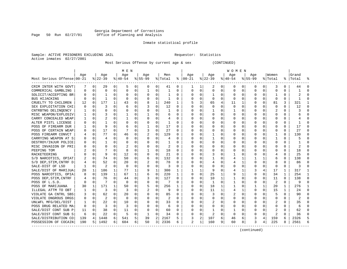#### Georgia Department of Corrections Page 50 Run 02/27/01 Office of Planning and Analysis

### Inmate statistical profile

| Sample: ACTIVE PRISONERS EXCLUDING JAIL | Requestor: Statistics |  |
|-----------------------------------------|-----------------------|--|
| Active inmates 02/27/2001               |                       |  |

Most Serious Offense by current age & sex (CONTINUED)

|                            |          | M E N    |           |              |                |             |          |              |         |          | W O M E N     |          |              |                |           |             |             |              |                         |              |                |              |
|----------------------------|----------|----------|-----------|--------------|----------------|-------------|----------|--------------|---------|----------|---------------|----------|--------------|----------------|-----------|-------------|-------------|--------------|-------------------------|--------------|----------------|--------------|
|                            | Age      |          | Age       |              | Aqe            |             | Age      |              | Men     |          | Age           |          | Age          |                | Age       |             | Age         |              | Women                   |              | Grand          |              |
| Most Serious Offense 00-21 |          |          | $ 22-39 $ |              | $ 40-54 $      |             | $ 55-99$ |              | % Total |          | $8   00 - 21$ |          | $ 22-39$     |                | $ 40-54 $ |             | $8155 - 99$ |              | % Total                 |              | %   Total      |              |
| CRIM INTER WITH GOVT       |          | 0        | 29        | 0            | 5              | 0           | 0        | 0            | 41      | 0        |               | 1        | 2            | 0              | 0         | 0           | 0           | 0            | 3                       | 0            | 44             |              |
| COMMERICAL GAMBLING        | n        | $\Omega$ | $\Omega$  | $\Omega$     | $\Omega$       | 0           | 1        | 0            | 1       | O        | $\Omega$      | $\Omega$ | $\Omega$     | 0              | $\Omega$  | $\mathbf 0$ | $\Omega$    | $\Omega$     | $\Omega$                | 0            |                | $\cap$       |
| SOLICIT/ACCEPTING BR       |          | $\Omega$ | 1         | 0            | $\Omega$       | 0           | $\Omega$ | $\Omega$     | 1       | $\Omega$ | <sup>0</sup>  | 0        | -1           | 0              | $\Omega$  | $\Omega$    | U           | 0            |                         | 0            |                |              |
| <b>BUS HIJACKING</b>       |          | $\Omega$ | -1        | $\Omega$     | $\Omega$       | $\mathbf 0$ | O        | $\mathbf 0$  | 1       | $\Omega$ | <sup>0</sup>  | $\Omega$ | $\Omega$     | $\Omega$       | 0         | $\Omega$    | O           | $\Omega$     | $\Omega$                | 0            | 1              |              |
| CRUELTY TO CHILDREN        | 12       | 0        | 177       | $\mathbf{1}$ | 43             | 0           |          | $\mathbf 1$  | 240     | 1        |               | 3        | 65           | $\overline{4}$ | 11        | 1           | 0           | $\Omega$     | 81                      | 3            | 321            |              |
| SEX EXPLOITATION CHI       | $\Omega$ | $\Omega$ | 3         | 0            | 6              | 0           |          | $\Omega$     | 12      | $\Omega$ | $\Omega$      | $\Omega$ | 0            | $\Omega$       | $\Omega$  | $\Omega$    | U           | $\Omega$     | $\Omega$                | 0            | 12             | $\cap$       |
| CNTRBTNG DELINOENCY        |          | $\Omega$ | U         | 0            | $\Omega$       | 0           | O        | $\Omega$     | -1      | $\Omega$ | ∩             | 0        | 1            | 0              | 1         | $\Omega$    | U           | 0            | $\overline{\mathbf{c}}$ | 0            | ς              | $\Omega$     |
| MISC WEAPON/EXPLOSIV       |          | $\Omega$ |           | 0            | -1             | 0           | 1        | 0            | 6       | 0        | ∩             | 0        | 0            | 0              | 0         | 0           | O           | 0            | O                       | 0            |                | $\Omega$     |
| CARRY CONCEALED WEAP       |          | $\Omega$ |           | 0            |                | 0           | O        | $\Omega$     | 4       | 0        | ∩             | $\Omega$ | 0            | $\Omega$       | 0         | 0           | U           | 0            | 0                       | 0            |                | $\Omega$     |
| ALTER PISTL LICENSE        |          | $\Omega$ |           |              | $\Omega$       | 0           | 0        | 0            |         | O        | <sup>0</sup>  | 0        | 0            | 0              | 0         | 0           | O           |              | O                       | U            |                |              |
| POSS OF FIREARM DUR        |          | $\Omega$ | 9         | U            | 6              | 0           |          | $\Omega$     | 17      | $\Omega$ | ∩             | $\Omega$ | $\Omega$     | O              | O         | $\Omega$    | U           |              | $\Omega$                | U            | 17             | $\cap$       |
| POSS OF CERTAIN WEAP       |          | $\Omega$ | 17        | 0            | 7              | 0           |          | $\Omega$     | 27      | $\Omega$ | ∩             | $\Omega$ | $\Omega$     | $\Omega$       | O         | $\Omega$    | n           | <sup>n</sup> | <sup>0</sup>            | 0            | 27             | $\cap$       |
| POSS FIREARM CONVCT        |          | $\Omega$ | 77        | 0            | 46             | 0           |          | 0            | 129     | 0        | <sup>0</sup>  | $\Omega$ | -1           | $\Omega$       | O         | $\Omega$    | U           | 0            | 1                       | 0            | 130            | $\Omega$     |
| CARRYING WEAPON AT S       |          | $\Omega$ | 4         | 0            | $\mathbf 0$    | 0           | $\Omega$ | 0            | 4       | O        | $\Omega$      | 0        | $\mathbf{1}$ | $\Omega$       |           | $\mathbf 0$ | O           |              | $\mathbf{1}$            | 0            |                | $\cap$       |
| DESTROY/INJUR POLICE       |          | $\Omega$ | 1         | $\Omega$     | $\Omega$       | $\Omega$    | $\Omega$ | $\Omega$     | 1       | 0        | $\cap$        | $\Omega$ | $\Omega$     | $\Omega$       | O         | $\Omega$    | U           | <sup>0</sup> | $\Omega$                | 0            |                | $\cap$       |
| MISC INVASION OF PRI       |          | $\Omega$ | U         | 0            | $\overline{2}$ | 0           | O        | $\Omega$     | 2       | $\Omega$ | ∩             | 0        | $\Omega$     | O              | O         | $\Omega$    | U           | <sup>0</sup> | <sup>0</sup>            | 0            | $\mathfrak{D}$ | $\cap$       |
| PEEPING TOM                |          | $\Omega$ |           | 0            | 8              | 0           |          | 0            | 18      | 0        | <sup>0</sup>  | $\Omega$ | $\Omega$     | $\Omega$       | O         | 0           | U           | <sup>0</sup> | O                       | U            | 18             | $\Omega$     |
| RACKETEERING               |          | $\Omega$ | 9         | 0            | 12             | 0           | O        | 0            | 21      | 0        |               | 0        |              | 0              |           | 0           | O           |              |                         | U            | 25             | $\Omega$     |
| S/D NARCOTICS, OPIAT       |          | $\Omega$ | 74        | U            | 50             | 0           | 6        | $\Omega$     | 132     | O        | $\Omega$      | $\Omega$ |              | $\Omega$       | 4         | 1           |             |              | б                       | 0            | 138            |              |
| S/D DEP, STIM, CNTRF D     |          | $\Omega$ | 52        | 0            | 20             | $\Omega$    |          | $\Omega$     | 78      | 0        | <sup>0</sup>  | $\Omega$ | 4            | $\Omega$       |           | 1           | O           | <sup>0</sup> | 8                       | 0            | 86             |              |
| SALE-DIST OF LSD           |          | $\Omega$ | 2         | 0            | $\Omega$       | $\Omega$    | $\Omega$ | $\Omega$     | 3       | 0        | <sup>0</sup>  | $\Omega$ | $\Omega$     | 0              | O         | $\Omega$    | U           | 0            | $\Omega$                | 0            | 3              |              |
| SALE/DIST OF MARIJUA       | 28       | 1        | 186       | $\mathbf 1$  | 77             | 1           | 9        | $\mathbf{1}$ | 300     | 1        |               | 1        | 9            | $\Omega$       |           | 1           | 3           | 4            | 17                      | 1            | 317            |              |
| POSS NARCOTICS, OPIA       |          | 0        | 139       | $\mathbf{1}$ | 67             | 1           | 6        | 0            | 220     | 1        | $\Omega$      | 0        | 25           | 1              | 9         | 1           | $\Omega$    | $\Omega$     | 34                      | $\mathbf{1}$ | 254            | $\mathbf{1}$ |
| POSS DEP, STIM, CNTRF      |          | $\Omega$ | 76        | $\Omega$     | 44             | $\Omega$    |          | $\Omega$     | 127     | $\Omega$ | $\Omega$      | $\Omega$ | 10           | 1              |           | $\Omega$    | $\Omega$    | $\Omega$     | 11                      | 0            | 138            | $\Omega$     |
| POSS OF L.S.D.             | O        | $\Omega$ | 7         | 0            | $\Omega$       | 0           | $\Omega$ | 0            | 7       | $\Omega$ | $\Omega$      | 0        | -1           | $\Omega$       |           | $\Omega$    | 0           | 0            | 2                       | 0            | 9              | $\Omega$     |
| POSS OF MARIJUANA          | 30       | 1        | 171       | 1            | 50             | 0           |          | 0            | 256     | 1        | 0             | $\Omega$ | 18           | 1              |           | 0           |             |              | 20                      | 1            | 276            | -1           |
| ILLEGAL ATTM TO OBT        |          | $\Omega$ | 3         | 0            | 3              | 0           |          | $\Omega$     | 9       | O        | <sup>0</sup>  | $\Omega$ | 11           | $\mathbf{1}$   | 4         | 1           | U           | 0            | 15                      | 1            | 24             | $\cap$       |
| VIOLATE GA CNTRL SBS       | 3        | $\Omega$ | 62        | 0            | 20             | $\Omega$    | $\Omega$ | $\Omega$     | 85      | $\Omega$ | $\Omega$      | $\Omega$ | २            | $\Omega$       |           | $\Omega$    | ∩           |              | 5                       | 0            | 90             | $\cap$       |
| VIOLATE DNGROUS DRGS       |          | $\Omega$ | 2         | 0            | $\Omega$       | $\Omega$    | O        | $\Omega$     | 2       | 0        | <sup>0</sup>  | $\Omega$ | $\Omega$     | 0              | O         | $\Omega$    | U           | <sup>0</sup> | $\Omega$                | 0            | 2              |              |
| UNLWFL MFG/DEL/DIST        |          | $\Omega$ | 22        | $\Omega$     | 10             | $\Omega$    | $\Omega$ | $\Omega$     | 33      | $\Omega$ | <sup>0</sup>  | $\Omega$ |              | 0              | O         | $\Omega$    | U           | 0            | 2                       | 0            | 35             | $\cap$       |
| POSS DRUG RELATED MA       | $\Omega$ | $\Omega$ | 3         | 0            | 3              | 0           |          | $\Omega$     | 6       | 0        |               | $\Omega$ | $\Omega$     | 0              | 0         | $\Omega$    |             | 0            | 0                       | 0            | 6              |              |
| SALE/DIST CONT SUB P       | 11       | $\Omega$ | 38        | 0            | 11             | $\Omega$    | $\Omega$ | $\Omega$     | 60      | $\Omega$ | $\Omega$      | $\Omega$ | 1            | 0              |           | $\Omega$    | U           | 0            |                         | 0            | 62             | C            |
| SALE/DIST CONT SUB S       | 6        | $\Omega$ | 22        | 0            | 5              | $\Omega$    | 1        | $\Omega$     | 34      | $\Omega$ | <sup>0</sup>  | $\Omega$ | 2            | $\Omega$       | $\Omega$  | $\Omega$    | U           | 0            | 2                       | 0            | 36             | $\Omega$     |
| SALE/DISTRIBUTION CO       | 139      | 4        | 1448      | 6            | 541            | 5           | 39       | 2            | 2167    | 5        | 3             | 2        | 107          | 6              | 46        | 6           | 3           | 4            | 159                     | 6            | 2326           | 5            |
| POSSESSION OF COCAIN       | 190      | 5        | 1492      | 6            | 604            | 6           | 50       | 3            | 2336    | 6        | 2             | 1        | 160          | 9              | 60        | 8           | 3           | 4            | 225                     | 8            | 2561           |              |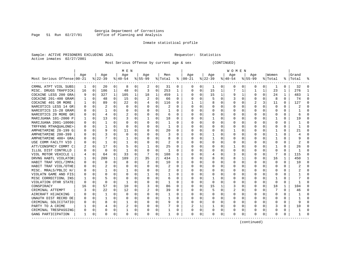#### Georgia Department of Corrections Page 51 Run 02/27/01 Office of Planning and Analysis

### Inmate statistical profile

| Sample: ACTIVE PRISONERS EXCLUDING JAIL | Requestor: Statistics |  |
|-----------------------------------------|-----------------------|--|
| Active inmates 02/27/2001               |                       |  |

Most Serious Offense by current age & sex (CONTINUED)

|                            | M E N |             |           |          |           |                |           |          |         |          |               | <b>WOMEN</b>   |          |   |          |          |              |          |              |              |           |          |
|----------------------------|-------|-------------|-----------|----------|-----------|----------------|-----------|----------|---------|----------|---------------|----------------|----------|---|----------|----------|--------------|----------|--------------|--------------|-----------|----------|
|                            | Aqe   |             | Age       |          | Age       |                | Age       |          | Men     |          | Age           |                | Age      |   | Aqe      |          | Aqe          |          | Women        |              | Grand     |          |
| Most Serious Offense 00-21 |       |             | $ 22-39 $ |          | $8 40-54$ |                | $8 55-99$ |          | % Total |          | $8   00 - 21$ |                | $ 22-39$ |   | $ 40-54$ |          | $8155 - 99$  |          | % Total      |              | %   Total |          |
| CRMNL ATPT VIOL SUBS       | 1     | 0           | 20        | 0        | 8         | 0              | 2         | 0        | 31      | 0        | 0             | 0 <sup>1</sup> | 1        | 0 | $\Omega$ | 0        | 0            | 0        | 1            | $\Omega$     | 32        | ∩        |
| MISC. DRUGS TRAFFICK       | 16    | 0           | 186       | 1        | 48        | $\Omega$       | 3         | 0        | 253     | 1        | $\Omega$      | 0              | 15       | 1 |          | 1        | $\mathbf{1}$ | 1        | 23           | $\mathbf{1}$ | 276       | 1        |
| COCAINE LESS 200 GRA       | 9     | 0           | 327       | 1        | 105       | 1              | 18        | 1        | 459     | 1        |               | 0              | 15       | 1 | g        | 1        | $\Omega$     | $\Omega$ | 24           | 1            | 483       | -1       |
| COCAINE 201-400 GRAM       |       | 0           | 48        | 0        | 15        | 0              |           | 0        | 66      | 0        |               | 0              | 5        | 0 |          | 0        | 0            | $\Omega$ | 8            | $\Omega$     | 74        | $\Omega$ |
| COCAINE 401 OR MORE        |       | $\mathbf 0$ | 89        | 0        | 22        | 0              |           | 0        | 116     | 0        |               | 1              | 8        | 0 |          | 0        |              | 3        | 11           | $\Omega$     | 127       | $\Omega$ |
| NARCOTICS LESS 14 GR       |       | $\Omega$    |           | U        | $\Omega$  | $\Omega$       |           | $\Omega$ | 2       | $\Omega$ |               | 0              |          | 0 |          | $\Omega$ | $\Omega$     | $\Omega$ | $\Omega$     | $\Omega$     |           |          |
| NARCOTICS 15-28 GRAM       |       | 0           | 1         | 0        | $\Omega$  | 0              | O         | 0        |         | O        |               | 0              | 0        | 0 |          | 0        | U            | 0        | 0            | $\Omega$     |           | ∩        |
| NARCOTICS 29 MORE GR       |       | 0           | 4         | U        |           | 0              |           | 0        | 6       | $\Omega$ |               | 0              | $\Omega$ | 0 |          | 0        | 0            | 0        | 0            | $\Omega$     | 6         |          |
| MARIJUANA 101-2000 P       |       | $\mathbf 0$ | 13        | U        |           | 0              |           | 0        | 18      | $\Omega$ |               | $\Omega$       | 1        | 0 |          | 0        | U            | 0        |              | $\Omega$     | 19        |          |
| MARIJUANA 2001-10000       |       | 0           | 1         | U        | $\Omega$  | 0              | O         | $\Omega$ |         | $\Omega$ |               | 0              | 0        | 0 |          | $\Omega$ | 0            | 0        | 0            | $\Omega$     |           | $\cap$   |
| TRFFKNG MTHAOUALONE>       |       | 0           | 1         | U        | 0         | O              | O         | 0        | 1       | $\Omega$ |               | 0              | 0        | 0 | O        | 0        | O            | 0        | O            | $\Omega$     |           | ∩        |
| AMPHETAMINE 28-199 G       |       | $\Omega$    | 9         | 0        | 11        | 0              |           | $\Omega$ | 20      | $\Omega$ |               | 0              | 0        | 0 |          | 0        | O            | 0        |              | $\Omega$     | 21        | $\cap$   |
| AMPHETAMINE 200-399        |       | $\Omega$    | 3         | U        | $\Omega$  | 0              |           | $\Omega$ | 3       | $\Omega$ | ∩             | 0              |          | 0 |          | $\Omega$ | 0            | 0        | -1           | $\Omega$     |           | $\cap$   |
| AMPHETAMINE 400+ GRA       |       | 0           |           | 0        | -1        | 0              | U         | 0        | 8       | 0        | n             | 0              |          | 0 |          | 0        | O            | 0        | 1            | 0            |           | $\cap$   |
| USE COMM FACLTY VIO        |       | 0           | 1         | 0        | -1        | 0              | 0         | 0        | 2       | 0        |               | 0              | O        | 0 | O        | 0        | O            | 0        | O            | $\Omega$     |           | $\cap$   |
| ATT/CONSPRCY COMMT C       |       | $\mathbf 0$ | 17        | U        |           | O              |           | 0        | 25      | $\Omega$ |               | 0              | U        | U |          | 0        | O            | 0        |              | 0            | 26        |          |
| ILLGL DIST CONTRLLD        |       | 0           | 0         | U        | -1        | 0              | O         | 0        | 1       | $\Omega$ | ∩             | 0              | 0        | 0 | U        | 0        | 0            | 0        | <sup>0</sup> | 0            | -1        | $\cap$   |
| VIOL MOTOR VEHICLE L       |       | 0           | 64        | $\Omega$ | 33        | 0              | 7         | 0        | 108     | 0        |               | $\Omega$       |          | 0 |          | 0        | 0            | $\Omega$ | 7            | $\Omega$     | 115       | ∩        |
| DRVNG HABTL VIOLATOR       |       | 0           | 209       | 1        | 189       | $\overline{a}$ | 35        | 2        | 434     | 1        | ∩             | $\Omega$       |          | 0 |          | 1        | 0            | $\Omega$ | 16           | 1            | 450       | -1       |
| HABIT TRAF VOIL/IMPA       |       | 0           | 0         | 0        | 8         | 0              |           | 0        | 10      | $\Omega$ | ∩             | 0              | 0        | 0 |          | 0        | 0            | 0        | 0            | 0            | 10        | ∩        |
| HABIT TRAF VIOL/OTHE       |       | 0           |           | $\Omega$ | O         | 0              | O         | 0        | 2       | 0        | O             | 0              | O        | 0 | O        | 0        | 0            | 0        | 0            | 0            |           | ∩        |
| MISC. MRALS/PBLIC H/       |       | 0           | 1         | $\Omega$ | -1        | 0              | 0         | $\Omega$ | 2       | 0        | ∩             | $\Omega$       | U        | U | O        | 0        | O            | 0        | O            | 0            |           | ∩        |
| VIOLATN GAME AND FIS       |       | $\Omega$    | 0         | $\Omega$ | $\Omega$  | 0              |           | $\Omega$ |         | 0        | ∩             | $\Omega$       | 0        | 0 | 0        | 0        | 0            | $\Omega$ | 0            | 0            |           | ∩        |
| MISC CORRECTIONL INS       |       | 0           |           | $\Omega$ | $\Omega$  | 0              | O         | 0        | 6       | 0        | ∩             | 0              |          | 0 |          | 0        | 0            | $\Omega$ |              | 0            |           | ∩        |
| VIOLATION OTHR STATE       | O     | 0           | 0         | $\Omega$ |           | 0              | 0         | 0        | -1      | 0        | O             | 0              | 0        | 0 |          | 0        | 0            | $\Omega$ | 0            | 0            |           | $\Omega$ |
| CONSPIRACY                 | 16    | 0           | 57        | $\Omega$ | 10        | 0              |           | 0        | 86      | 0        | <sup>0</sup>  | 0              | 15       | 1 | 3        | 0        | 0            | $\Omega$ | 18           | 1            | 104       | ∩        |
| CRIMINAL ATTEMPT           |       | 0           | 22        | $\Omega$ | 12        | 0              |           | 0        | 39      | 0        | O             | 0              | 5        | 0 |          | 0        | 0            | 0        |              | 0            | 46        | ∩        |
| AIRCRAFT HIJACKING         |       | 0           | 1         | $\Omega$ | 0         | 0              | O         | 0        | -1      | 0        | n             | 0              | 0        | 0 |          | 0        | 0            | $\Omega$ | 0            | 0            |           | ∩        |
| UNAUTH DIST RECRD DE       |       | $\mathbf 0$ | 1         | 0        | O         | 0              | O         | 0        |         | 0        | <sup>0</sup>  | 0              | O        | 0 | $\left($ | 0        | O            | $\Omega$ | O            | 0            |           | ∩        |
| CRIMINAL SOLICITATIO       |       | 0           | 8         | $\Omega$ |           | 0              | O         | $\Omega$ | 9       | $\Omega$ | <sup>0</sup>  | 0              | 0        | 0 | 0        | 0        | 0            | $\Omega$ | O            | 0            |           | $\cap$   |
| PARTY TO A CRIME           |       | 0           | 4         | 0        |           | 0              | O         | 0        |         | 0        |               |                |          | 0 | O        | 0        | 0            | 0        | 3            | 0            | 10        |          |
| CRIMINAL TRESPASSING       |       | 0           | 0         | 0        |           | 0              | O         | 0        |         | 0        | <sup>0</sup>  | 0              | 0        | 0 |          | 0        | U            | 0        | 0            | 0            |           |          |
| GANG PARTICIPATION         | ı     | 0           | $\Omega$  | 0        | 0         | 0              | $\Omega$  | 0        | 1       | 0        | $\Omega$      | 0              | 0        | 0 | $\Omega$ | 0        | 0            | 0        | $\Omega$     | 0            |           | ∩        |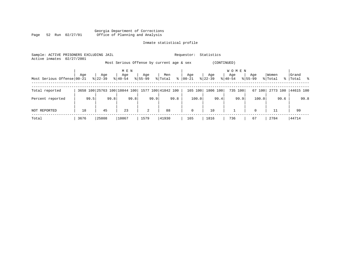|      |  |                 | Georgia Department of Corrections |                                 |  |  |
|------|--|-----------------|-----------------------------------|---------------------------------|--|--|
| Page |  | 52 Run 02/27/01 |                                   | Office of Planning and Analysis |  |  |

| Sample: ACTIVE PRISONERS EXCLUDING JAIL<br>Active inmates | 02/27/2001 |           |                              |                |                                           | Requestor:  | Statistics  |                     |             |          |             |
|-----------------------------------------------------------|------------|-----------|------------------------------|----------------|-------------------------------------------|-------------|-------------|---------------------|-------------|----------|-------------|
|                                                           |            |           |                              |                | Most Serious Offense by current age & sex |             | (CONTINUED) |                     |             |          |             |
|                                                           | Age        | Age       | M E N<br>Age                 | Age            | Men                                       | Age         | Age         | <b>WOMEN</b><br>Age | Age         | Women    | Grand       |
| Most Serious Offense 00-21                                |            | $8 22-39$ | $8140 - 54$                  | $8155 - 99$    | $\frac{8}{6}$<br>% Total                  | 00-21       | $ 22-39 $   | $8 40-54$           | $8155 - 99$ | % Total  | %   Total % |
| Total reported                                            |            |           | 3658 100 25763 100 10844 100 |                | 1577 100 41842 100                        | 165 100     | 1806 100    | 735 100             | 67 100      | 2773 100 | 44615 100   |
| Percent reported                                          | 99.5       | 99.8      | 99.8                         | 99.9           | 99.8                                      | 100.0       | 99.4        | 99.9                | 100.0       | 99.6     | 99.8        |
| NOT REPORTED                                              | 18         | 45        | 23                           | $\overline{a}$ | 88                                        | $\mathbf 0$ | 10          |                     | $\Omega$    | 11       | 99          |
| Total                                                     | 3676       | 25808     | 10867                        | 1579           | 41930                                     | 165         | 1816        | 736                 | 67          | 2784     | 44714       |